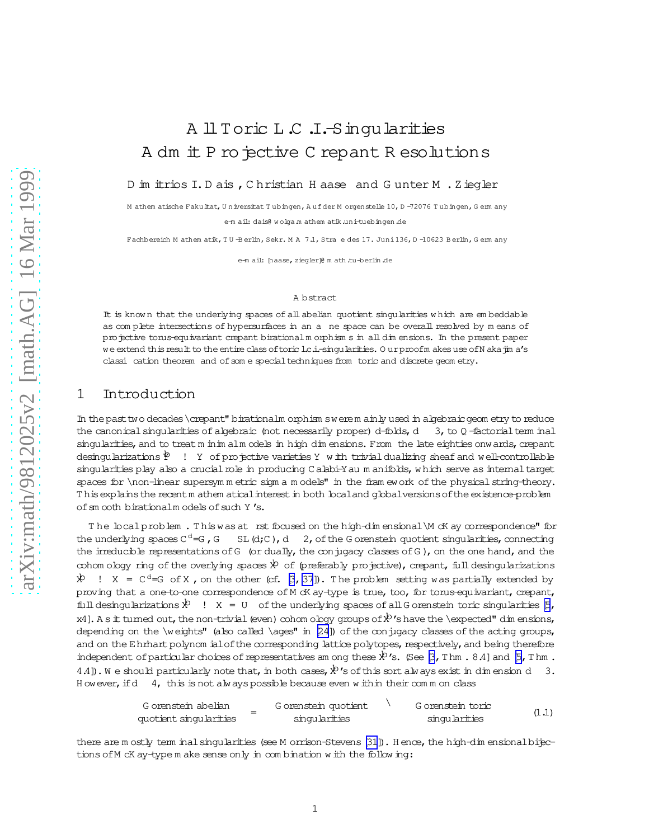# <span id="page-0-0"></span>A ll Toric L.C.I.-Singularities A dm it P ro jective C repant R esolutions

D im itrios I.D ais , Christian H aase and Gunter M . Ziegler

M athem atische Fakultat, Universitat Tubingen, Aufder M orgenstelle 10, D-72076 Tubingen, Germ any e-m ail: dais@ wolgam athem atik.uni-tuebingen.de

Fachbereich Mathematik, TU Berlin, Sekr. MA 7.1, Stra e des 17. Juni 136, D-10623 Berlin, Germany

e-mail: [haase, ziegler]@ math.tu-berlin.de

### A bstract

It is known that the underlying spaces of all abelian quotient singularities which are embeddable as complete intersections of hypersurfaces in an a ne space can be overall resolved by means of projective torus equivariant crepant birational morphisms in all dimensions. In the present paper we extend this result to the entire class of toric lc.i.-singularities. Our proofm akes use of N aka jim a's classi cation theorem and of some special techniques from toric and discrete geometry.

#### 1 Introduction

In the past two decades \crepant" birationalm orphism swerem ainly used in algebraic geometry to reduce the canonical singularities of algebraic (not necessarily proper) d-folds, d 3, to Q-factorial term inal singularities, and to treat m in im alm odels in high dim ensions. From the late eighties onwards, crepant desingularizations  $\mathcal{P}$  ! Y of projective varieties Y with trivial dualizing sheaf and well-controllable singularities play also a crucial role in producing Calabi-Yau manifolds, which serve as internal target spaces for \non-linear supersymmetric sigmam odels" in the framework of the physical string-theory. This explains the recent m athem atical interest in both local and global versions of the existence-problem of sm ooth birationalm odels of such Y's.

The local problem. This was at rst focused on the high-dimensional \M cK ay correspondence" for the underlying spaces  $C^d = G$ , G  $SL(d;C)$ , d 2, of the G orenstein quotient singularities, connecting the irreducible representations of G (or dually, the conjugacy classes of G), on the one hand, and the cohom ology ring of the overlying spaces  $\dot{x}^b$  of (preferably projective), crepant, full desingularizations  $X = C<sup>d</sup>=G$  of X, on the other (cf.  $\beta$ , 37). The problem setting was partially extended by proving that a one-to-one correspondence of M cK ay-type is true, too, for torus-equivariant, crepant, full desingularizations  $\dot{X}$  !  $X = U$  of the underlying spaces of all G orenstein toric singularities  $\beta$ , x4]. A s it tumed out, the non-trivial (even) cohom ology groups of  $\mathcal{R}'$  is have the \expected" dim ensions, depending on the \weights" (also called \ages" in [24]) of the conjugacy classes of the acting groups, and on the Ehrhart polynom ial of the corresponding lattice polytopes, respectively, and being therefore independent of particular choices of representatives am ong these  $\aleph$ 's. (See [3, Thm. 8.4] and [5, Thm. 4.4]). We should particularly note that, in both cases,  $x^b$  's of this sort always exist in dimension d 3. However, if  $d$  4, this is not always possible because even within their comm on class

| G orenstein abelian    | G orenstein quotient |  | G orenstein toric |       |
|------------------------|----------------------|--|-------------------|-------|
| quotient singularities | singularities        |  | singularities     | (1.1) |

there are mostly term inal singularities (see Morrison-Stevens [31]). Hence, the high-dimensional bijections of M cK ay-type m ake sense only in combination with the following: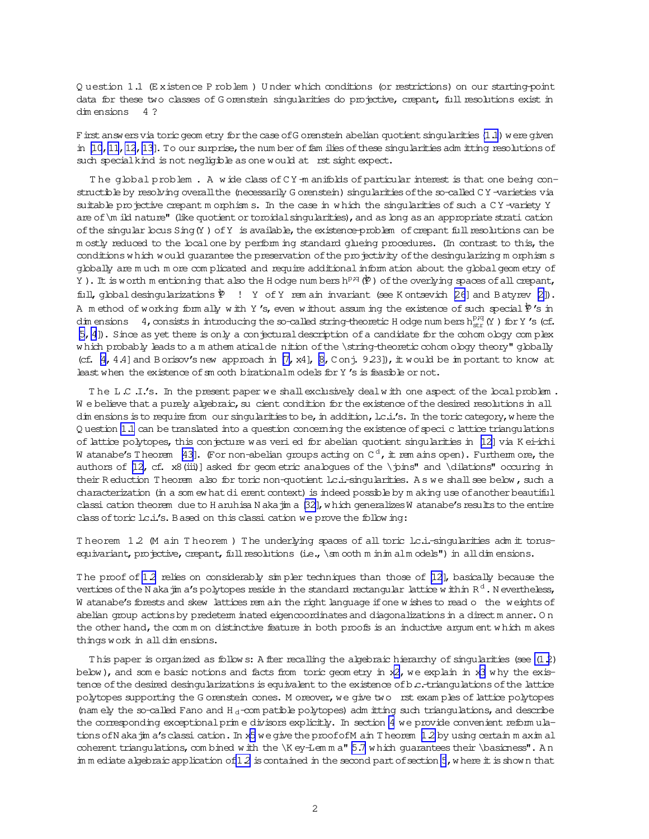<span id="page-1-0"></span>Q uestion 1.1 (Existence P roblem) Under which conditions (or restrictions) on our starting-point data for these two classes of Gorenstein singularities do projective, crepant, full resolutions exist in  $dim$  ensions  $4$  ?

F irst answers via toric geom etry for the case of G orenstein abelian quotient singularities (1.1) were given in  $[10, 11, 12, 13]$ . To our surprise, the num ber of families of these singularities admitting resolutions of such special kind is not negligible as one would at rst sight expect.

The global problem. A wide class of CY -m anifolds of particular interest is that one being constructible by resolving overall the (necessarily G orenstein) singularities of the so-called CY-varieties via suitable projective crepant m orphisms. In the case in which the singularities of such a CY-variety Y are of \m ild nature" (like quotient or toroidal singularities), and as long as an appropriate strati cation of the singular bous Sing (Y) of Y is available, the existence-problem of crepant full resolutions can be m ostly reduced to the local one by perform ing standard glueing procedures. (In contrast to this, the conditions which would guarantee the preservation of the projectivity of the desingularizing morphisms globally are much more complicated and require additional information about the global geometry of Y). It is worth m entioning that also the H odge num bers  $h^{p,q}(\mathcal{P})$  of the overlying spaces of all crepant, fill, global desingularizations  $\mathcal{P}$  ! Y of Y rem ain invariant (see K ontsevich [26] and B atyrev [2]). A method of working form ally with Y's, even without assuming the existence of such special  $\frac{p}{2}$ 's in dim ensions 4, consists in introducing the so-called string-theoretic H odge num bers  $h_{str}^{p,q}(Y)$  for Y's (cf.  $[5, 4]$ ). Since as yet there is only a conjectural description of a candidate for the cohomology complex which probably leads to a m athem atical de nition of the \string-theoretic cohom ology theory" globally (cf.  $[4, 4.4]$  and Borisov's new approach in  $[7, x4]$ ,  $[8, C \text{on}$ ; 9.23]), it would be in portant to know at least when the existence of sm ooth birationalm odels for Y's is feasible or not.

The L C J's. In the present paper we shall exclusively deal with one aspect of the local problem. We believe that a purely algebraic, su cient condition for the existence of the desired resolutions in all dim ensions is to require from our singularities to be, in addition, l.c.i.'s. In the toric category, where the Q uestion 1.1 can be translated into a question concerning the existence of speci c lattice triangulations of lattice polytopes, this conjecture was veri ed for abelian quotient singularities in [12] via K ei-ichi W atanabe's Theorem [43]. (For non-abelian groups acting on  $C^d$ , it rem ains open). Furtherm ore, the authors of [12, cf.  $x8$  (iii)] asked for geometric analogues of the \pins" and \dilations" occuring in their Reduction Theorem also for toric non-quotient loci-singularities. As we shall see below, such a characterization (in a som ew hat di erent context) is indeed possible by m aking use of another beautiful classi cation theorem due to H aruhisa N aka jim a [32], which generalizes W atanabe's results to the entire class of toric lc.i.'s. B ased on this classi cation we prove the following:

Theorem 1.2 (M ain Theorem ) The underlying spaces of all toric lc.i.-singularities adm it torusequivariant, projective, crepant, full resolutions (i.e., \sm ooth m in im alm odels") in all dim ensions.

The proof of 1.2 relies on considerably sin pler techniques than those of  $[12]$ , basically because the vertices of the N aka jin a's polytopes reside in the standard rectangular lattice within  $R<sup>d</sup>$ . Nevertheless, W atanabe's forests and skew lattices rem ain the right language if one w ishes to read o the weights of abelian group actions by predeterm inated eigencoordinates and diagonalizations in a direct m anner. On the other hand, the comm on distinctive feature in both proofs is an inductive argum ent which makes things work in all dimensions.

This paper is organized as follows: A fter recalling the algebraic hierarchy of singularities (see (1.2) below), and some basic notions and facts from toric geometry in  $x2$ , we explain in  $x3$  why the existence of the desired desingularizations is equivalent to the existence of b.c. triangulations of the lattice polytopes supporting the G orenstein cones. M oreover, we give two rst examples of lattice polytopes (namely the so-called Fano and H<sub>d</sub>-compatible polytopes) adm itting such triangulations, and describe the corresponding exceptional prime divisors explicitly. In section 4 we provide convenient reformulations of N aka jin a's classi cation. In x5 we give the proof of M ain T heorem 12 by using certain m axim al coherent triangulations, combined with the \K ey-Lemma" 5.7 which quarantees their \basicness". An in m ediate algebraic application of 1.2 is contained in the second part of section 5, where it is shown that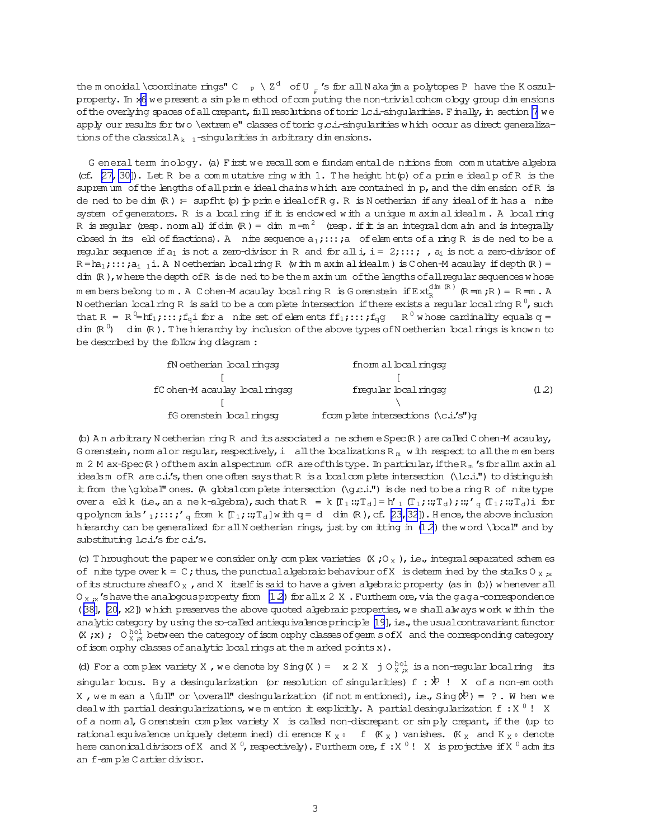<span id="page-2-0"></span>the m onoidal \coordinate rings" C  $_P \setminus Z^d$  of U  $_R$ 's for all N akajim a polytopes P have the K oszulproperty. In x6 we present a simple method of computing the non-trivial cohom ology group dimensions of the overlying spaces of all crepant, full resolutions of toric lc.i.-singularities. Finally, in section 7 we apply our results for two \extrem e" classes of toric q c.i.-singularities which occur as direct generalizations of the classical  $A_{k-1}$ -singularities in arbitrary dimensions.

G eneral term inology. (a) First we recall some fundamental denitions from commutative algebra (cf.  $[27, 30]$ ). Let R be a commutative ring with 1. The height ht(p) of a prime ideal p of R is the supremum of the lengths of all prime ideal chains which are contained in p, and the dimension of R is de ned to be dim  $(R) =$  supflit  $(p)$  p prime ideal of R q. R is N oetherian if any ideal of it has a nite system of generators. R is a boal ring if it is endowed with a unique maximal idealm. A local ring R is reqular (resp. norm al) if dim  $(R) =$  dim  $m = m^2$  (resp. if it is an integral dom ain and is integrally closed in its eld of fractions). A nite sequence  $a_1$ ;:::; a of elem ents of a ring R is de ned to be a reqular sequence if  $a_1$  is not a zero-divisor in R and for all i,  $i = 2, \ldots$ ,  $a_i$  is not a zero-divisor of  $R = ha_1; \ldots; a_{i-1}$  i. A N oetherian local ring R (w ith m axim al idealm) is C ohen-M acaulay if depth (R) = dim (R), where the depth of R is de ned to be the maximum of the lengths of all regular sequences whose m embers belong to m. A Cohen-M acaulay local ring R is Gorenstein if  $Ext_R^{dim(R)}$  (R=m;R) = R=m. A N oetherian local ring R is said to be a complete intersection if there exists a reqular local ring R<sup>0</sup>, such that R = R<sup>0</sup>=hf<sub>1</sub>;:::  $f_q$ i for a nite set of elements  $ff_1$ ;:::  $f_q$ g R<sup>0</sup> whose cardinality equals q = dim  $(\mathbb{R}^0)$  dim  $(\mathbb{R})$ . The hierarchy by inclusion of the above types of N oetherian local rings is known to be described by the following diagram:

| fN oetherian local ringsg      | fnom al boal ringsg                          |     |
|--------------------------------|----------------------------------------------|-----|
|                                |                                              |     |
| fC ohen-M acaulay local ringsg | fregular local ringsg                        | 12) |
|                                |                                              |     |
| fG orenstein local ringsg      | from plete intersections $\Lambda$ c.i.'s")q |     |

 $\phi$ ) An arbitrary N oetherian ring R and its associated a ne scheme Spec $\mathbb R$ ) are called C ohen-M acaulay, G orenstein, norm alor regular, respectively, i all the localizations R<sub>m</sub> with respect to all the m embers m 2 M ax-Spec R ) of them axim alspectrum of R are of this type. In particular, if the R<sub>m</sub> 's for all m axim al idealsm of R are c.i.'s, then one often says that R is a local complete intersection (\l.c.i.") to distinguish it from the \global" ones. (A global complete intersection (\gc.i.") is dened to be a ring R of nite type over a eld k (ie., an a ne k-algebra), such that  $R = k [T_1 :: T_d] = h'_{1} (T_1 :: T_d) :: T_d$ ;  $:: T_d :: T_d$ ) i for q polynom ials'<sub>1</sub>;::; '<sub>q</sub> from k [T<sub>1</sub>;::;T<sub>d</sub>]w ith q = d dim (R), cf. [23, 32]). Hence, the above inclusion hierarchy can be generalized for all N oetherian rings, just by om itting in (12) the word \bcal" and by substituting lc.i.'s for c.i.'s.

(c) Throughout the paper we consider only complex varieties  $(X, 0_X)$ , i.e., integral separated schemes of nite type over  $k = C$ ; thus, the punctual algebraic behaviour of X is determined by the stalks O  $_{X, R}$ of its structure sheaf  $0<sub>x</sub>$ , and X itself is said to have a given a logbraic property (as in (b)) whenever all  $O_{X,x}$ 's have the analogous property from (12) for all x 2 X. Furtherm ore, via the gaga-correspondence  $(38)$ ,  $[20, x2]$  which preserves the above quoted algebraic properties, we shall always work within the analytic category by using the so-called antiequivalence principle [19], i.e., the usual contravariant functor (X,x); O  $_{X}^{101}$  between the category of isom orphy classes of germ s of X and the corresponding category of isom orphy classes of analytic local rings at the m arked points x).

(d) For a complex variety X, we denote by Sing (X) =  $x$  2 X j O $_{X}^{hol}$  is a non-regular local ring its singular locus. By a desingularization (or resolution of singularities)  $f : \mathcal{R}$  ! X of a non-sm ooth X, we mean a \full" or \overall" desingularization (if not mentioned), i.e.,  $\sin q(x^0) = ?$ . When we deal with partial desingularizations, we m ention it explicitly. A partial desingularization f: X<sup>0</sup>! X of a norm al, Gorenstein complex variety X is called non-discrepant or simply crepant, if the (up to rational equivalence uniquely determined) di erence  $K_X \circ f(K_X)$  vanishes.  $(K_X$  and  $K_X \circ$  denote here canonical divisors of X and X<sup>0</sup>, respectively). Furtherm ore, f: X<sup>0</sup>! X is projective if X<sup>0</sup> adm its an f-ample Cartier divisor.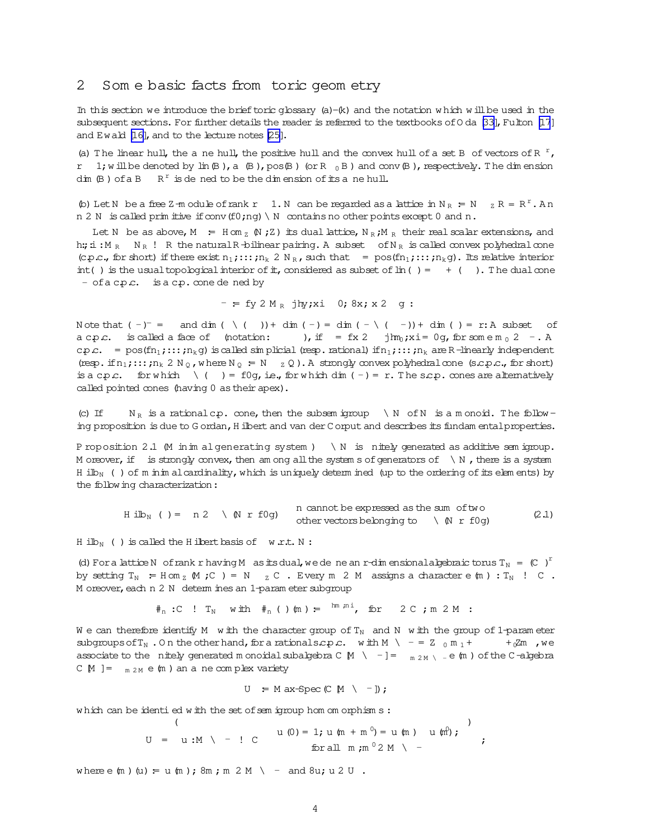### <span id="page-3-0"></span>2 Som e basic facts from toric geom etry

In this section we introduce the brief toric glossary  $(a) - (k)$  and the notation which w ill be used in the subsequent sections. For further details the reader is referred to the textbooks of  $0$  da [\[33\]](#page-32-0), Fulton [\[17](#page-31-0)] and Ewald [\[16\]](#page-31-0), and to the lecture notes [\[25\]](#page-31-0).

(a) The linear hull, the a ne hull, the positive hull and the convex hull of a set B of vectors of R  $r$ , r 1; w ill be denoted by  $\text{lin}(B)$ , a  $(B)$ , pos $(B)$  (or R  $_0$  B ) and conv $(B)$ , respectively. The dim ension dim  $(B)$  of a B  $R^r$  is dened to be the dimension of its ane hull.

(b) Let N be a free Z-m odule of rank r 1. N can be regarded as a lattice in  $N_R = N$   $_Z R = R^r$ . An n 2 N is called prim itive if conv (f0;ng) \ N contains no other points except 0 and n.

Let N be as above, M = H om <sub>z</sub>  $(N \nmid Z)$  its dual lattice,  $N_R \nmid N_R$  their real scalar extensions, and h:; i:  $M_R$  N<sub>R</sub> ! R the natural R-bilinear pairing. A subset of  $N_R$  is called convex polyhedral cone (c.p.c., for short) if there exist  $n_1$ ;:::;n<sub>k</sub> 2 N<sub>R</sub>, such that = pos(fn<sub>1</sub>;:::;n<sub>k</sub>g). Its relative interior int() is the usual topological interior of it, considered as subset of  $\ln( ) = + ( )$ . The dual cone  $-$  of a c.p.c. is a c.p. cone dened by

$$
-
$$
 = fy 2 M<sub>R</sub> jhy;xi 0; 8x; x 2 g:

N ote that  $(-)^-$  = and dim  $( \setminus ( ) )$  + dim  $( - )$  = dim  $( - \setminus ( - )$ ) + dim  $( )$  = r:A subset of a c.p.c. is called a face of (notation: ), if =  $fx 2$  $\lim_{0} x i = 0$ g, for som e m  $_0$  2 - . A c. =  $pos(fn_1;...;n_kq)$  is called simplicial (resp.rational) if  $n_1;...;n_k$  are R-linearly independent (resp. if  $n_1$ ;::; $n_k$  2 N<sub>0</sub>, where N<sub>0</sub> = N  $_Z$  Q). A strongly convex polyhedral cone (s.c.p.c., for short) is a c.p.c. for w hich  $\ ( ) = f0q$ , i.e., for w hich dim  $(-) = r$ . The s.c.p. cones are alternatively called pointed cones (having 0 astheir apex).

(c) If  $N_R$  is a rationalc.p. cone, then the subsem igroup \N of N is a m onoid. The follow ing proposition is due to G ordan, H ilbert and van der C orput and describes its fundam ental properties.

P roposition 2.1 (M in im algenerating system ) \ N is nitely generated as additive sem igroup. M oreover, if is strongly convex, then am ong all the system s of generators of  $\setminus N$ , there is a system H ilb<sub>N</sub> ( ) of m inim alcardinality, which is uniquely determ ined (up to the ordering of its elem ents) by the following characterization:

 $H$  ilb<sub>N</sub> ( ) = n 2 \ (N r f0g) n cannot be expressed as the sum of two other vectors belonging to  $\qquad \setminus \mathbb{N}$  r f0g) (2.1)

H ilb<sub>N</sub> ( ) is called the H ilbert basis of w.r.t. N :

(d) For a lattice N of rank r having M as its dual, we de ne an r-dim ensional algebraic torus  $T_N = (C)^T$ by setting  $T_N$  = H om  $_Z$  (M ; C ) = N  $_Z$  C . Every m 2 M assigns a character e (m) :  $T_N$  ! C . M oreover, each n 2 N determ ines an 1-param eter subgroup

 $\#_{n}$ :C ! T<sub>N</sub> with  $\#_{n}$  ( ) (m ) =  $\lim_{n \to \infty}$  for 2 C ; m 2 M :

W e can therefore identify M w ith the character group of  $T_N$  and N w ith the group of 1-param eter subgroups of  $T_N$ . On the other hand, for a rationals.c.p.c. with M \ - = Z  $_0$  m<sub>1</sub> + +  $\frac{1}{6}$ Zm , we associate to the nitely generated monoidal subalgebra C  $\rm{M}$  \ -]=  $_{\rm{m 2M} \setminus -}$ e  $\rm{(m)}$  of the C-algebra C  $[M] = \frac{m}{2M} e(m)$  an ane complex variety

$$
U = M ax-Spec (C M \setminus -]) ;
$$

which can be identied with the set of sem igroup hom om orphism s :

$$
U = u : M \setminus -! C \qquad u (0) = 1; u (m + m0) = u (m) u (m);
$$
  
for all m; m<sup>0</sup>2 M \setminus -

where  $e(m)$  (u) = u (m );  $8m$  ;  $m \geq M$  \ - and  $8u$ ; u  $2 U$  .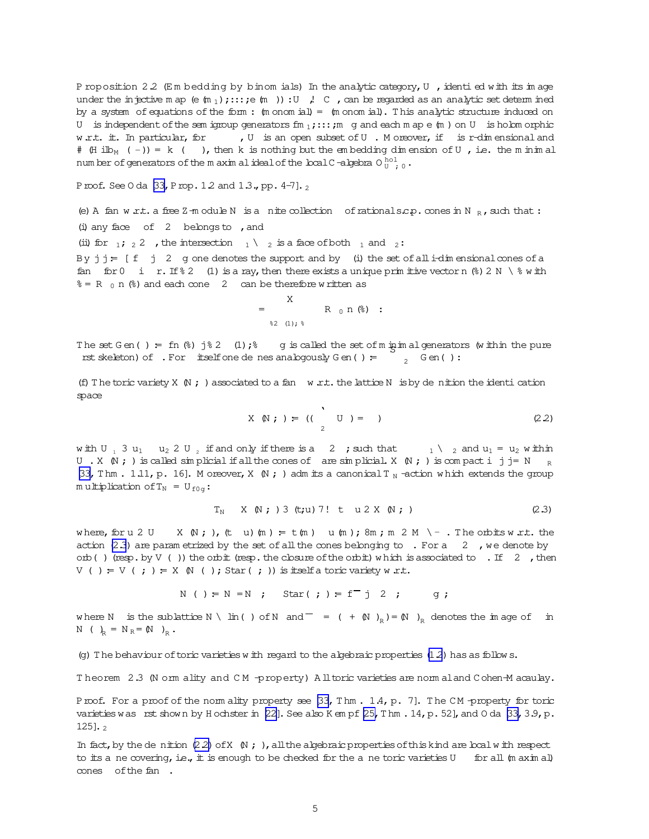P roposition 2.2 (Em bedding by binom ials) In the analytic category, U, identi ed with its image under the injective m ap (e  $(m_1)$ ; :::; e  $(m_1)$ ) : U , C, can be regarded as an analytic set determ ined by a system of equations of the form:  $(m \text{ conn } id) = (m \text{ conn } id)$ . This analytic structure induced on U is independent of the sem ignoup generators  $f m_1$ ; ::: ; m g and each m ap e  $f m$  ) on U is holom orphic , U is an open subset of U. Moreover, if is r-dimensional and w.r.t. it. In particular, for # (H ilb<sub>M</sub> (-)) = k (), then k is nothing but the embedding dimension of U, i.e. the m inimal num ber of generators of the m axim alideal of the local C-algebra O $_{U}^{hol}$  o.

Proof. See 0 da [33, Prop. 12 and 13., pp. 4-7]. 2

(e) A fan w r.t. a free Z-m odule N is a nite collection of rational s.c.p. cones in N R, such that : (i) any face of  $2$  belongs to , and

(ii) for  $\frac{1}{2}$  /  $\frac{2}{2}$  / the intersection  $\frac{1}{2}$  is a face of both  $\frac{1}{2}$  and  $\frac{2}{2}$ :

By  $j j = [f \ j \ 2 \ q$  one denotes the support and by (i) the set of all i-dim ensional cones of a fan for 0 i r. If  $\S$  2 (1) is a ray, then there exists a unique prim it ive vector n  $\S$  2 N  $\setminus$   $\S$  w ith  $\hat{s} = R_0 n$  ( $\hat{s}$ ) and each cone 2 can be therefore w ritten as

$$
= \n\begin{array}{ccc}\nX & & & \\
& R & 0 & n & 0 \\
& & \& 2 & (1); \end{array}
$$

The set Gen() = fn  $\%)$  j $\degree$  2 (1);  $\degree$  g is called the set of m in in al generators  $\%$  it hin the pure  $\frac{1}{2}$  Gen(): rst skeleton) of  $\cdot$  For itselfone de nes analogously G en () =

(f) The toric variety X  $\mathbb N$ ; ) associated to a fan w.r.t. the lattice N is by de nition the identication space

$$
X \t N; ) = ((\t U) = )
$$
 (2.2)

with U<sub>1</sub> 3 u<sub>1</sub> u<sub>2</sub> 2 U<sub>2</sub> if and only if there is a 2 ; such that  $_1 \setminus 2$  and u<sub>1</sub> = u<sub>2</sub> within U . X  $\mathbb{N}$ ; ) is called simplicial if all the cones of are simplicial X  $\mathbb{N}$ ; ) is compact i j j = N  $_{\rm R}$ [33, Thm . 1.11, p. 16]. M oreover, X  $(N; )$  adm its a canonical T<sub>N</sub> -action which extends the group multiplication of  $T_N = U_{f0q}$ :

$$
T_N \times \mathbb{N}; 3 \text{ (t;u)} 7! \text{ t } u 2 \times \mathbb{N};
$$
 (2.3)

where, for u 2 U  $X(N; h)(t u)(m) = t(m) u(m); 8m; m 2 M \ -$ . The orbits w.r.t. the action (2.3) are parametrized by the set of all the cones belonging to . For a 2, we denote by orb () (resp. by  $V$  ()) the orbit (resp. the closure of the orbit) which is associated to . If 2, then  $V$  ( ) =  $V$  ( ; ) =  $X$   $N$  ( ); Star ( ; )) is itself a toric variety w r.t.

$$
N()
$$
 =  $N = N$ ; Star(j) = f<sup>-</sup>j 2 ; g;

where N is the sublattice N \ lin( ) of N and  $=$  ( +  $\circledR$ )<sub>R</sub>) =  $\circledR$ )<sub>R</sub> denotes the image of in N ( )<sub>R</sub> = N <sub>R</sub> = (N )<sub>R</sub>.

(q) The behaviour of toric varieties with regard to the algebraic properties  $(1,2)$  has as follows.

Theorem 2.3 (N omm ality and CM -property) All toric varieties are norm aland Cohen-M acaulay.

Proof. For a proof of the norm ality property see [33, Thm. 1.4, p. 7]. The CM-property for toric varieties was rst shown by Hochster in [22]. See also K em pf [25, T hm . 14, p. 52], and O da [33, 3.9, p. 125].  $\frac{1}{2}$ 

In fact, by the denition (2.2) of X  $\mathbb N$ ; ), all the algebraic properties of this kind are local with respect to its a ne covering, i.e., it is enough to be checked for the a ne toric varieties U for all (m axim al) cones of the fan.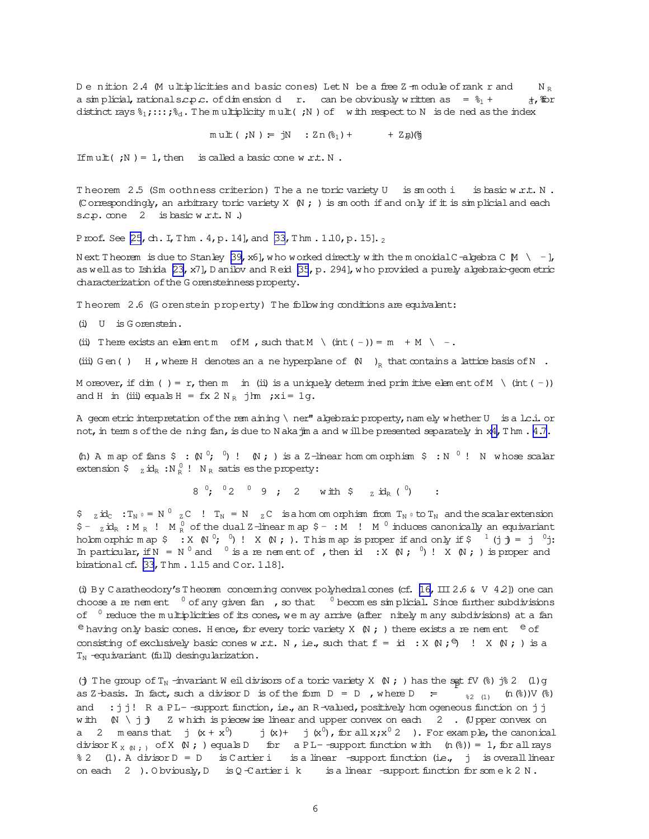<span id="page-5-0"></span>Denition 2.4 (Multiplicities and basic cones) Let N be a free Z-module of rank r and  $N_{\rm p}$ a simplicial, rational s.c.p.c. of dimension d r. can be obviously written as =  $\frac{8}{11}$  + d, Hor distinct rays  $\xi_1$ ; :::;  $\xi_d$ . The multiplicity mult(; N) of with respect to N is dened as the index

> $m u \mathbb{L} ( ; N ) = jN : Zn (\S_1) + jN$ + Zබ)(ලී

If  $m u \pm (7) = 1$ , then is called a basic cone w  $r.t. N$ .

Theorem 2.5 (Sm oothness criterion) The a ne toric variety U is sm ooth i is basic w.r.t. N. (Correspondingly, an arbitrary toric variety X  $\,$  N ; ) is sm ooth if and only if it is simplicial and each s.c.p. cone 2 is basic w.r.t. N.)

Proof. See [25, ch. I, Thm. 4, p. 14], and [33, Thm. 1.10, p. 15].

N ext T heorem is due to Stanley [39, x6], who worked directly with the monordal C -algebra C  $\mu \ \setminus -1$ , as well as to Ishida  $[23, x7]$ , D anilov and Reid  $[35, p. 294]$ , who provided a purely algebraic-geometric characterization of the G orensteinness property.

Theorem 2.6 (G orenstein property) The following conditions are equivalent:

 $(i)$  U is Gorenstein.

(ii) There exists an element m of M , such that  $M \setminus (int (-)) = m + M \setminus -$ .

(iii) G en () H, where H denotes an a ne hyperplane of  $\mathbb N$   $\mathbb N$  that contains a lattice basis of N.

M or ever, if dim () = r, then m in (ii) is a uniquely determined primitive element of M \ (int (-)) and H in (iii) equals H =  $f x 2 N_R$  jm ; xi = 1g.

A geom etric interpretation of the rem aining \ ner" algebraic property, namely whether U is a l.c.i. or not, in term s of the de ning fan, is due to N aka jim a and will be presented separately in x4, T hm. 4.7.

(h) A map of fans  $\frac{5}{7}$  : (N  $\frac{0}{7}$ ,  $\frac{0}{1}$ ) I (N ; ) is a Z-linear hom omorphism  $\frac{5}{7}$  : N  $\frac{0}{7}$  ! N whose scalar extension  $\varphi$   $_{Z}$  id<sub>R</sub> : N<sub>R</sub>  $\varphi$  ! N<sub>R</sub> satis es the property:

 $8^{0}$ ;  $6^{0}2^{0}9$ ; 2 with  $\frac{1}{2}$  id<sub>R</sub> ( $\frac{0}{2}$ )

 $\sin \theta$   $\sin^2 \theta$   $\sin^2 \theta$   $\sin^2 \theta$   $\sin^2 \theta$   $\sin^2 \theta$   $\sin^2 \theta$   $\sin^2 \theta$   $\sin^2 \theta$   $\sin^2 \theta$   $\sin^2 \theta$   $\sin^2 \theta$   $\sin^2 \theta$   $\sin^2 \theta$   $\sin^2 \theta$   $\sin^2 \theta$   $\sin^2 \theta$   $\sin^2 \theta$   $\sin^2 \theta$   $\sin^2 \theta$   $\sin^2 \theta$   $\sin^2 \theta$   $\sin^2 \theta$   $\sin^2 \theta$   $\sin^2 \theta$  $$ - z$   $id_R : M_R : M_R^0$  of the dual Z-linear m ap  $$ - : M : M^0$  induces canonically an equivariant holomorphic map  $\frac{1}{2}$  : X  $(N^0; 0)$ ! X  $(N; 1)$ . This map is proper if and only if  $\frac{1}{2}$  (i) = i  $0$ i: In particular, if  $N = N^0$  and  $N^0$  is a re nem ent of , then id :  $X \in N$ ;  $N^0$  !  $X \in N$ ; ) is proper and birational cf. [33, Thm . 1.15 and Cor. 1.18].

(i) By Caratheodory's Theorem concerning convex polyhedral cones (cf. [16, III 2.6 & V 4.2]) one can choose a re nem ent  $\int$  of any given fan, so that  $\int$  becomes simplicial. Since further subdivisions of  $\circ$  reduce the multiplicities of its cones, we may arrive (after nitely many subdivisions) at a fan <sup>e</sup> having only basic cones. Hence, for every toric variety X  $\,$  N ; ) there exists a re nem ent <sup>e</sup> of consisting of exclusively basic cones w.r.t. N, i.e., such that  $f = id : X \times \mathbb{R}$ ;  $\Theta$  !  $X \times \mathbb{R}$ ; ) is a  $T_N$  -equivariant (full) desingularization.

(j) The group of  $T_N$  -invariant W eil divisors of a toric variety X  $(N; )$  has the set fV  $(*)$  j $\$$  2 (1) g as Z-basis. In fact, such a divisor D is of the form  $D = D$ , where  $D = D$  $_{32(1)}$  (n (3)) V (3) and : j j! R a PL- -support function, i.e., an R-valued, positively hom ogeneous function on j j with  $\mathbb N \setminus j$   $\mathbb j$  Z which is piecewise linear and upper convex on each 2. Upper convex on  $j(x)+j(x^0)$ , for all  $x,x^0$  2). For example, the canonical a 2 means that  $j(x + x^0)$ divisor  $K_{X \ N}$ , of  $X \ N$ ; ) equals D for a PL-support function with  $(n \ \%) = 1$ , for all rays % 2 (1). A divisor D = D is Cartier i is a linear -support function (i.e., j is overall linear on each 2 ). Obviously, D is  $Q$ -Cartier i k is a linear -support function for some k 2 N.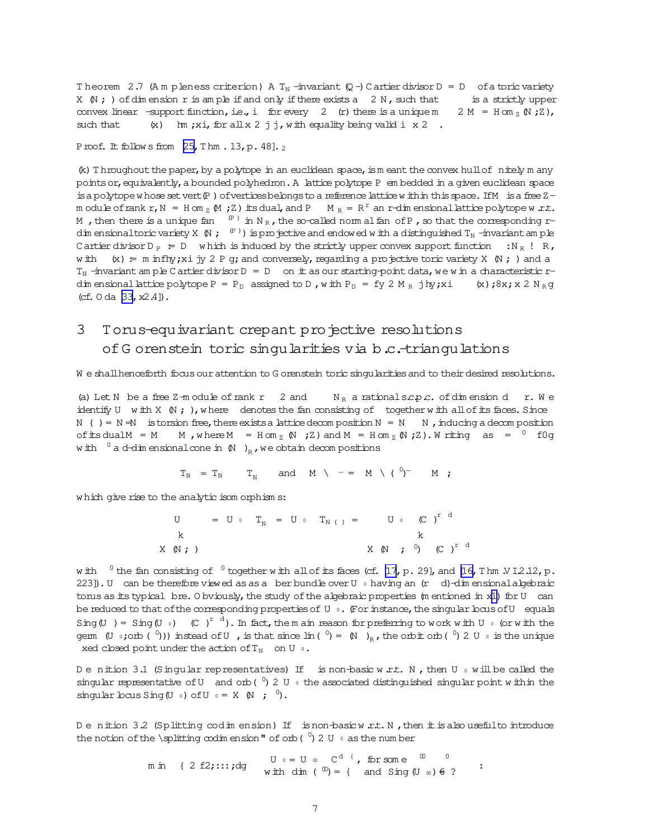<span id="page-6-0"></span>Theorem 2.7 (Ampleness criterion) A T<sub>N</sub>-invariant  $(Q - C)$  Cartier divisor D = D of a toric variety X  $\mathbb N$ ; ) of dim ension r is am ple if and only if there exists a 2 N, such that is a strictly upper convex linear -support function, i.e., i for every  $2$  (r) there is a unique m  $2 M = H \text{ cm } Z (N Z),$ (x)  $\text{Im } x$  i, for all x 2 j j, with equality being valid i x 2. such that

Proof. It follows from  $[25, Thm. 13, p. 48]$ .

 $(k)$  Throughout the paper, by a polytope in an euclidean space, is meant the convex hull of nitely many points or, equivalently, a bounded polyhedron. A lattice polytope P em bedded in a given euclidean space is a polytope whose set vert  $(P)$  of vertices belongs to a reference lattice within this space. If M is a free  $Z$ m odule of rank r, N = H om z  $(M, Z)$  its dual, and P  $M_R = R^r$  an r-dim ensional lattice polytope w.r.t. M, then there is a unique fan  $(P)$  in N<sub>R</sub>, the so-called norm al fan of P, so that the corresponding rdim ensional toric variety X  $(N; (P))$  is projective and endowed with a distinguished  $T_N$  -invariant am ple C artier divisor  $D_P = D$  which is induced by the strictly upper convex support function :  $N_R$  ! R, with  $(x) = m \inf\{y; x \text{ i } y \text{ } 2 \text{ } P \text{ } g \}$ ; and conversely, regarding a projective toric variety  $X \in V$  ; ) and a  $T_N$  -invariant am ple C artier divisor D = D on it as our starting-point data, we win a characteristic rdim ensional lattice polytope P =  $P_D$  assigned to D, with  $P_D$  = fy 2 M<sub>R</sub> j hy; xi (x); 8x; x 2 N<sub>R</sub>q (cf.  $0$  da  $[33, x2.4]$ ).

### Torus-equivariant crepant projective resolutions 3 of G orenstein toric singularities via b.c.-triangulations

We shall henceforth focus our attention to G orenstein toric singularities and to their desired resolutions.

(a) Let N be a free  $Z$ -m odule of rank  $r$  2 and  $N_R$  a rational scp.c. of dimension d r. We identify U with X  $(N; )$ , where denotes the fan consisting of together with all of its faces. Since N ( ) = N = N is torsion free, there exists a lattice decomposition N = N  $\,$  N  $\,$ , inducing a decomposition of its dual M = M  $\ldots$  M, where M = H on  $_L$  (N ; Z) and M = H on  $_L$  (N ; Z). W riting as =  $^0$  f 0g with  $\int_a^b a d\tau$ dim ensional cone in  $(N)$ <sub>R</sub>, we obtain decompositions

$$
T_N = T_N
$$
  $T_N$  and  $M \setminus - = M \setminus (0)^- M$  ;

which give rise to the analytic isom orphism s:

$$
U = U \circ T_N = U \circ T_{N(1)} = U \circ (C)^{r d}
$$
  
\n
$$
X (N ; )
$$
  
\n
$$
X (N ; )
$$
  
\n
$$
X (N ; )
$$
  
\n
$$
X (N ; )
$$
  
\n
$$
Y (N ; )
$$

w ith  $0$  the fan consisting of  $0$  together w ith all of its faces (cf. [17, p. 29], and [16, Thm  $N12.12$ , p. 223]). U can be therefore viewed as as a ber bundle over U  $\circ$  having an (r d)-dim ensional algebraic torus as its typical bre. O byiously, the study of the algebraic properties (m entioned in x1) for U can be reduced to that of the corresponding properties of U . (For instance, the singular bous of U equals Sing (U) = Sing (U) (C)<sup>rd</sup>). In fact, the m ain reason for preferring to work with U<sub>0</sub> (or with the gem  $(U_0; \text{coh} (0))$  instead of U, is that since  $\text{lin} (0) = (N)$ , the orbit orb $(0)$  2 U  $\text{o}$  is the unique xed closed point under the action of  $T_N$  on U  $\circ$ .

Denition 3.1 (Singular representatives) If is non-basic w.r.t. N, then U  $\circ$  will be called the singular representative of U and orb ( $^{0}$ ) 2 U  $\circ$  the associated distinguished singular point within the singular bous Sing  $(U \circ)$  of  $U \circ = X \circ N$ ;  $\circ$ ).

Denition 3.2 (Splitting codimension) If is non-basic w.r.t. N, then it is also useful to introduce the notion of the \splitting  $\infty$ dimension" of orb ( $\binom{0}{1}$  2 U  $\circ$  as the number

> $U_0 = U_0$   $C^d$  f, for some  $\infty$  0 m in { 2 f2;:::; dg with dim (  $\omega$ ) = { and Sing (U  $\omega$ )  $\in$  ?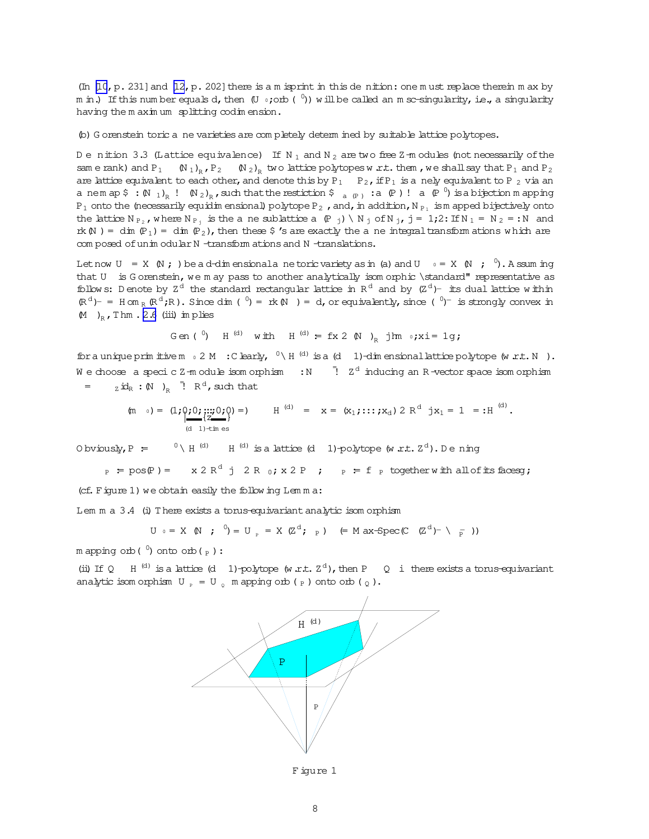<span id="page-7-0"></span>(In [10, p. 231] and [12, p. 202] there is a m isprint in this dention: one must replace therein max by m in.) If this number equals d, then  $(U_0; \text{coh}(\sqrt[0]{}))$  will be called an m sc-singularity, i.e., a singularity having the maximum splitting codimension.

(b) G orenstein toric a ne varieties are completely determined by suitable lattice polytopes.

Denition 3.3 (Lattice equivalence) If N<sub>1</sub> and N<sub>2</sub> are two free Z-m odules (not necessarily of the same rank) and  $P_1$  (N<sub>1</sub>)<sub>R</sub>,  $P_2$  (N<sub>2</sub>)<sub>R</sub> two lattice polytopes w.r.t. them, we shall say that  $P_1$  and  $P_2$ are lattice equivalent to each other, and denote this by  $P_1$   $P_2$ , if  $P_1$  is a nely equivalent to P<sub>2</sub> via an a nem ap  $\frac{2}{3}$  :  $(N_1)_p$  !  $(N_2)_p$ , such that the restiction  $S_{(a,p)}$  : a  $(p)$  ! a  $(p^0)$  is a bijection m apping  $P_1$  onto the (necessarily equidim ensional) polytope  $P_2$ , and, in addition, N<sub>P1</sub> is m apped bijectively onto the lattice  $N_{P_2}$ , where  $N_{P_1}$  is the a ne sublattice a  $(P_1) \setminus N_1$  of  $N_1$ , j = 1;2: If  $N_1 = N_2 = N$  and rk  $(N)$  = dim  $(P_1)$  = dim  $(P_2)$ , then these  $\frac{1}{2}$  is are exactly the a ne integral transform ations which are com posed of unim odular N -transform ations and N -translations.

Let now  $U = X \times N$ ; ) be a d-dim ensional and toric variety as in (a) and  $U = X \times N$ ;  $\theta$ . A ssum ing that U is Gorenstein, we m ay pass to another analytically isom orphic \standard" representative as follows: Denote by  $Z^d$  the standard rectangular lattice in  $R^d$  and by  $(Z^d)$ - its dual lattice within  $(\mathbb{R}^d)$  =  $\text{Hom}_{\mathbb{R}}(\mathbb{R}^d; \mathbb{R})$ . Since dim (  $^0$ ) =  $\text{rk}(\mathbb{N})$  = d, or equivalently, since (  $^0$ ) is strongly convex in  $(M)$ <sub>p</sub>, Thm. 2.6 (iii) implies

Gen
$$
(0)
$$
 H<sup>(d)</sup> with H<sup>(d)</sup> = fx 2  $(N)$ <sub>R</sub> jlm  $0$ ; xi = 1g;

for a unique prim it ive m  $\circ$  2 M : C learly,  $\circ$  \ H  $^{(d)}$  is a (d 1)-dim ensional lattice polytope (w .r.t. N ). We choose a specic  $Z$ -module isomorphism : N  $\overline{Z}$ <sup>d</sup> inducing an R-vector space isomorphism  $_{\rm Z}$  id<sub>R</sub> : (N)<sub>R</sub> <sup> $\bar{P}$ </sup> R<sup>d</sup>, such that  $=$ 

$$
(\text{m} \circ) = (1; \underbrace{0; 0; \underbrace{...}_{(d-1)+\text{times}} 0; 0) = 0
$$
   
  $H^{(d)} = x = (x_1; ...; x_d) 2 R^d jx_1 = 1 = : H^{(d)}.$ 

O by iously,  $P = 0 \ H^{(d)} H^{(d)}$  is a lattice (d 1)-polytope (w.r.t.  $Z^d$ ). Dening

$$
P_{\text{P}} = \text{pos}(P) = x 2 R^d \text{ j } 2 R_0; x 2 P ; \quad P_{\text{P}} = f_{\text{P}} \text{ together with all of its faces};
$$

(cf. Figure 1) we obtain easily the following Lemma:

Lem m a 3.4 (i) There exists a torus-equivariant analytic isom orphism

$$
U \circ = X \quad (N \quad ; \quad^0) = U \quad = X \quad (Z^{\alpha}; \quad_{P}) \quad (= M \text{ ax-Spec} (C \quad (Z^{\alpha})^{-} \quad (R \quad \frac{1}{R}) )
$$

m apping orb ( $\binom{0}{0}$  onto orb ( $_{P}$ ):

(ii) If Q H<sup>(d)</sup> is a lattice (d) 1)-polytope (w.r.t.  $Z^d$ ), then P Q i there exists a torus-equivariant analytic isom orphism  $U_p = U_q$  m apping orb (p) onto orb (q).



Figure 1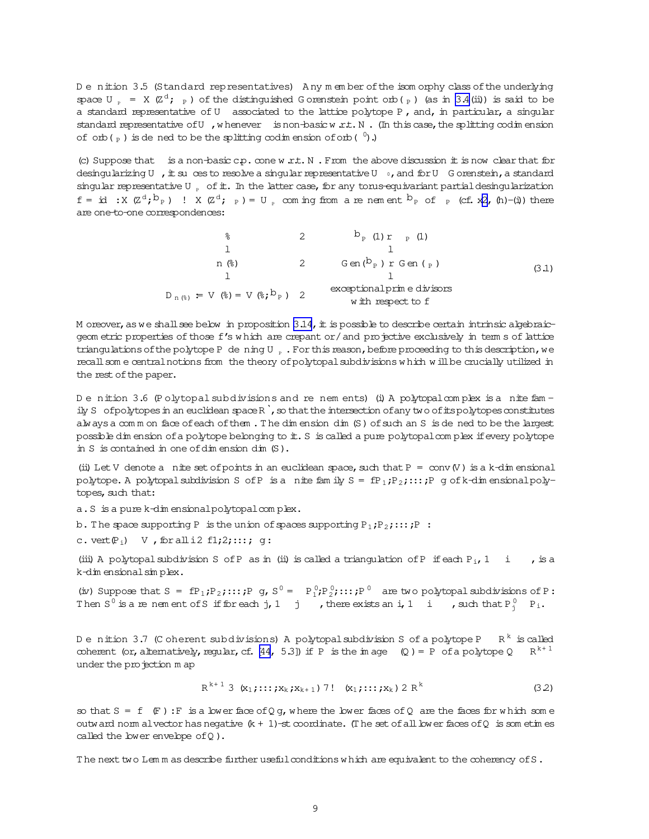<span id="page-8-0"></span>Denition 3.5 (Standard representatives) Any member of the isom orphy class of the underlying space  $U = X (Z^d; F)$  of the distinguished Gorenstein point orb( $F$ ) (as in 3.4(ii)) is said to be a standard representative of U associated to the lattice polytope P, and, in particular, a singular standard representative of U , whenever is non-basic w.r.t. N . (In this case, the splitting codimension of orb( $_{P}$ ) is dened to be the splitting codimension of orb( $^{0}$ ).

(c) Suppose that is a non-basic  $cp.$  cone w.r.t. N. From the above discussion it is now clear that for desingularizing U , it su ces to resolve a singular representative U  $_0$ , and for U G orenstein, a standard singular representative U of it. In the latter case, for any torus-equivariant partial desingularization  $f = id : X (Z<sup>d</sup>, b<sub>p</sub>) : X (Z<sup>d</sup>, b) = U$  com in the mean are none and  $b<sub>p</sub>$  of p (cf. x2, (h)-(i)) there are one-to-one correspondences:

$$
\begin{array}{cccc}\n\text{L}\n\end{array}\n\text{L}\n\begin{array}{cccc}\n\text{L}\n\end{array}\n\text{L}\n\begin{array}{cccc}\n\text{L}\n\end{array}\n\text{L}\n\begin{array}{cccc}\n\text{L}\n\end{array}\n\text{L}\n\end{array}\n\text{L}\n\begin{array}{cccc}\n\text{L}\n\end{array}\n\text{L}\n\begin{array}{cccc}\n\text{L}\n\end{array}\n\text{L}\n\text{L}\n\end{array}\n\text{L}\n\begin{array}{cccc}\n\text{L}\n\end{array}\n\text{L}\n\text{L}\n\text{L}\n\text{L}\n\text{L}\n\text{L}\n\text{L}\n\text{L}\n\text{L}\n\text{L}\n\text{L}\n\text{L}\n\text{L}\n\text{L}\n\text{L}\n\text{L}\n\text{L}\n\text{L}\n\text{L}\n\text{L}\n\text{L}\n\text{L}\n\text{L}\n\text{L}\n\text{L}\n\text{L}\n\text{L}\n\text{L}\n\text{L}\n\text{L}\n\text{L}\n\text{L}\n\text{L}\n\text{L}\n\text{L}\n\text{L}\n\text{L}\n\text{L}\n\text{L}\n\text{L}\n\text{L}\n\text{L}\n\text{L}\n\text{L}\n\text{L}\n\text{L}\n\text{L}\n\text{L}\n\text{L}\n\text{L}\n\text{L}\n\text{L}\n\text{L}\n\text{L}\n\text{L}\n\text{L}\n\text{L}\n\text{L}\n\text{L}\n\text{L}\n\text{L}\n\text{L}\n\text{L}\n\text{L}\n\text{L}\n\text{L}\n\text{L}\n\text{L}\n\text{L}\n\text{L}\n\text{L}\n\text{L}\n\text{L}\n\text{L}\n\text{L}\n\text{L}\n\text{L}\n\text{L}\n\text{L}\n\text{L}\n\text{L}\n\text{L}\n\text{L}\n\text{L}\n\text{L}\n\text{L}\n\text{L}\n\text{L}\n\text{L}\n\text{L}\n\text{L}\n\text{L}\n\text
$$

M oreover, as we shall see below in proposition  $3.14$ , it is possible to describe certain intrinsic algebraicgeom etric properties of those f's which are crepant or/ and projective exclusively in terms of lattice triangulations of the polytope P dening U  $_{p}$ . For this reason, before proceeding to this description, we recall som e central notions from the theory of polytopal subdivisions which will be crucially utilized in the rest of the paper.

De nition 3.6 (Polytopal subdivisions and re nem ents) (i) A polytopal complex is a nite family S of polytopes in an euclidean space R, so that the intersection of any two of its polytopes constitutes always a comm on face of each of them. The dimension dim (S) of such an S is de ned to be the largest possible dim ension of a polytope belonging to it. S is called a pure polytopal complex if every polytope in S is contained in one of dim ension dim  $(S)$ .

(ii) Let V denote a nite set of points in an euclidean space, such that  $P = conv(V)$  is a k-dimensional polytope. A polytopal subdivision S of P is a nite family  $S = fP_1; P_2; \dots; P$  g of k-dimensional polytopes, such that:

a. S is a pure k-dim ensional polytopal complex.

b. The space supporting P is the union of spaces supporting  $P_1; P_2; \ldots; P$  :

c. vert $(P_i)$  V, for all i2 f1;2;:::; g:

(iii) A polytopal subdivision S of P as in (ii) is called a triangulation of P if each  $P_i$ , 1 i , is a k-dimensional simplex.

(iv) Suppose that  $S = \text{fP}_1; P_2; \dots; P$  g,  $S^0 = P_1^0; P_2^0; \dots; P^0$  are two polytopal subdivisions of P: Then S<sup>0</sup> is a re nement of S if for each j, 1 j, there exists an i, 1 i, such that  $P_i^0$ ,  $P_i$ .

Denition 3.7 (Coherent subdivisions) A polytopal subdivision S of a polytope P  $R^k$  is called coherent (or, alternatively, regular, cf. [44, 5.3]) if P is the image (Q) = P of a polytope Q R<sup>k+1</sup> under the projection map

$$
R^{k+1} \t3 \t(x_1; \ldots; x_k; x_{k+1}) \t7! \t(x_1; \ldots; x_k) \t2 R^k \t(32)
$$

so that  $S = f(F)$ : F is a lower face of Q g, where the lower faces of Q are the faces for which some outward norm alvector has negative  $(k + 1)$ -st coordinate. (The set of all lower faces of Q is sometimes called the lower envelope  $ofQ$ ).

The next two Lemm as describe further useful conditions which are equivalent to the coherency of S.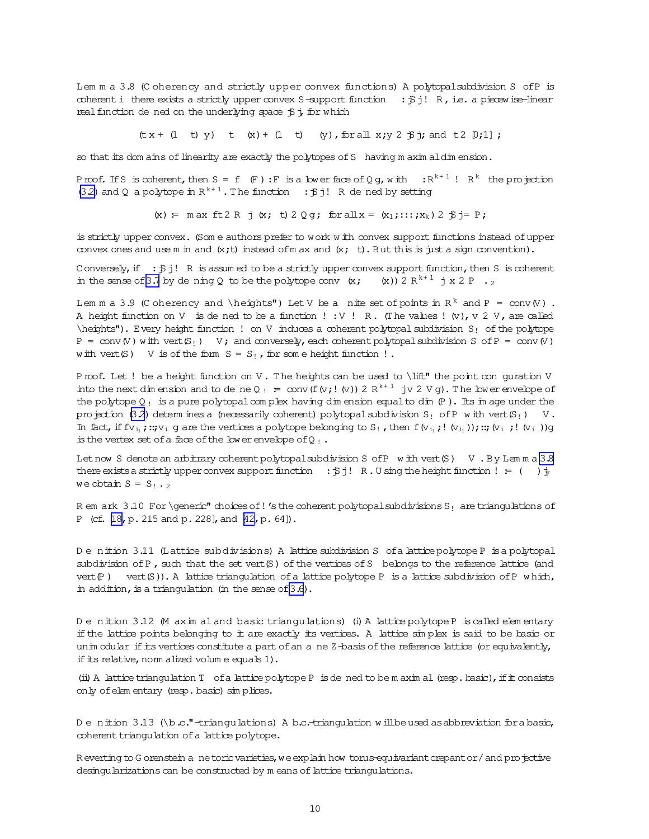<span id="page-9-0"></span>Lem m a 3.8 (C oherency and strictly upper convex functions) A polytopalsubdivision S ofP is coherent i there exists a strictly upper convex S-support function :  $\beta$ j! R, i.e. a piecewise-linear real function de ned on the underlying space  $\beta$ ; for which

 $(\text{tx + (1 t)} \text{ y}) \text{ t} (\text{x}) + (1 t) \text{ (y)}$ , for all  $x; y \text{ 2 } \text{ $5$}$ ; and  $\text{ $t \text{ 2 } [0;1]$}$ ;

so that its dom ains of linearity are exactly the polytopes of S having m axim aldim ension.

Proof. If S is coherent, then  $S = f$  (F): F is a lower face of Q g, with :  $R^{k+1}$  !  $R^k$  the projection [\(3.2\)](#page-8-0) and Q a polytope in  $R^{k+1}$ . The function :  $\sharp j!$  R de ned by setting

(x) = m ax ft 2 R j (x; t) 2 Q g; for all  $x = (x_1; \ldots; x_k)$  2  $\beta$  j = P;

is strictly upper convex. (Som e authors prefer to work w ith convex support functions instead ofupper convex ones and use m in and  $(x; t)$  instead of m ax and  $(x; t)$ . But this is just a sign convention).

C onversely, if :  $\sharp j!$  R is assum ed to be a strictly upper convex support function, then S is coherent in the sense of [3.7](#page-8-0) by de ning Q to be the polytope conv  $(x; (x)) 2 R^{k+1}$  j x 2 P . 2

Lem m a 3.9 (C oherency and \heights") Let V be a nite set of points in  $R^k$  and  $P = conv(V)$ . A height function on V is de ned to be a function ! : V ! R. (The values !  $(v)$ , v 2 V, are called  $\hbar$  \heights"). Every height function ! on V induces a coherent polytopal subdivision S<sub>!</sub> of the polytope  $P = \text{conv}(V)$  with vert(S<sub>!</sub>) V; and conversely, each coherent polytopal subdivision S of P = conv(V) with vert(S) V is of the form  $S = S_1$ , for some height function !.

Proof. Let ! be a height function on V. The heights can be used to \lift" the point con guration V into the next dim ension and to de ne Q  $_!$  = conv (f(v; ! (v)) 2  $R^{k+1}$  jv 2 V g). The lower envelope of the polytope  $Q_!$  is a pure polytopal complex having dim ension equal to dim  $(P)$ . Its im age under the projection [\(3.2](#page-8-0)) determ ines a (necessarily coherent) polytopal subdivision S<sub>!</sub> of P w ith vert(S<sub>!</sub>) V. In fact, if  $fv_1$ ;::; $v_i$  g are the vertices a polytope belonging to  $S_1$ , then  $f(v_1; !(v_1))$ ;::;(v<sub>i</sub>  $; !(v_1)$ )g is the vertex set of a face of the lower envelope of  $Q_{\perp}$ .

Let now S denote an arbitrary coherent polytopal subdivision S ofP with vert(S) V . By Lemma [3.8](#page-8-0) there exists a strictly upper convex support function :  $\ddot{y}$  i R.U sing the height function ! = ( )  $\dot{y}$ we obtain  $S = S_1 \cdot 2$ 

R em ark  $3.10$  For \generic" choices of! 's the coherent polytopal subdivisions S<sub>!</sub> are triangulations of P (cf. [\[18,](#page-31-0) p. 215 and p. 228], and [\[42,](#page-32-0) p. 64]).

D enition 3.11 (Lattice subdivisions) A lattice subdivision S ofa latticepolytopeP isa polytopal subdivision of P, such that the set vert $(S)$  of the vertices of S belongs to the reference lattice (and vert(P) vert(S)). A lattice triangulation of a lattice polytope P is a lattice subdivision of P which, in addition, is a triangulation (in the sense of  $3.6$ ).

D e nition 3.12 (M axim al and basic triangulations) (i) A lattice polytope P is called elem entary if the lattice points belonging to it are exactly its vertices. A lattice sim plex is said to be basic or unim odular if its vertices constitute a part of an ane Z-basis of the reference lattice (or equivalently, if its relative, norm alized volum e equals 1).

(ii) A lattice triangulation  $T$  of a lattice polytope P is dened to be m axim al (resp. basic), if it consists only of elem entary (resp. basic) sim plices.

D e nition 3.13 (\b.c."-triangulations) A b.c.-triangulation w illbeused as abbreviation for a basic, coherent triangulation of a lattice polytope.

R everting to G orenstein anetoric varieties, we explain how torus-equivariant crepant or/and projective desingularizations can be constructed by m eans of lattice triangulations.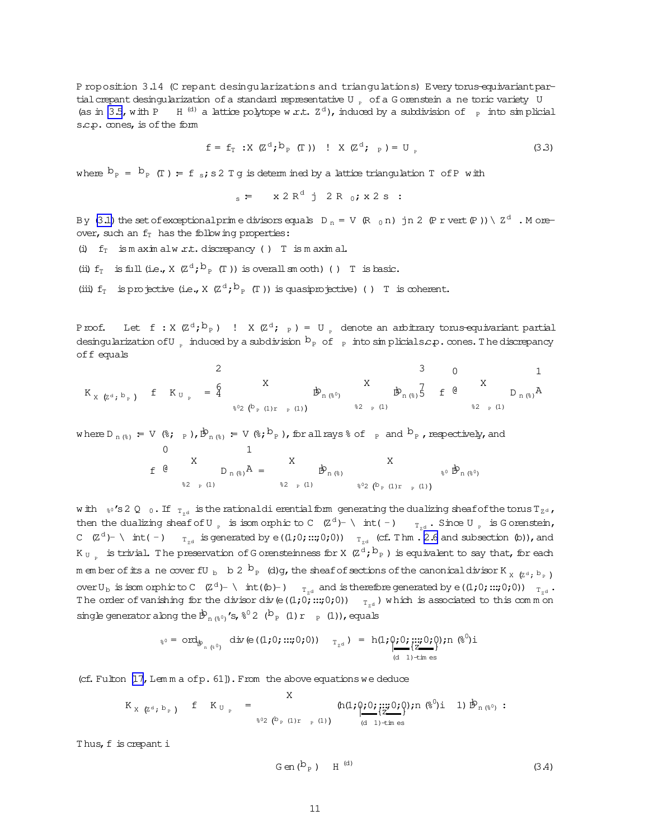<span id="page-10-0"></span>P roposition 3.14 (C repant desingularizations and triangulations) Every torus-equivariant partial crepant desingularization of a standard representative U  $_{\circ}$  of a G orenstein a ne toric variety U (as in [3.5](#page-8-0), with P H<sup>(d)</sup> a lattice polytope w.r.t.  $Z<sup>d</sup>$ ), induced by a subdivision of <sub>P</sub> into simplicial s.c.p. cones, is of the form

$$
\mathbf{f} = \mathbf{f}_{\mathbf{T}} \; : \; \mathbf{X} \; (\mathbf{Z}^{\mathbf{d}}; \mathbf{b}_{\mathbf{p}} \; (\mathbf{T})) \; : \; \mathbf{X} \; (\mathbf{Z}^{\mathbf{d}}; \; \mathbf{p}) = \mathbf{U}_{\mathbf{p}} \tag{3.3}
$$

where  $b_p = b_p$  (T) = f s; s2 T g is determ ined by a lattice triangulation T of P with

$$
s = x 2 Rd j 2 R0; x 2 s :
$$

By [\(3.1\)](#page-8-0) the set of exceptionalprim e divisors equals  $D_n = V (R_0 n)$  jn 2 (P r vert(P )) \  $Z^d$  . M oreover, such an  $f_T$  has the following properties:

(i)  $f<sub>T</sub>$  is m axim alw .r.t. discrepancy () T is m axim al.

(ii)  $f_T$  is full (i.e.,  $X$  ( $Z^d$ ;  $b_P$  (T)) is overall sm ooth) () T is basic.

(iii)  $f_T$  is projective (i.e., X  $(Z^d; b_p(T))$  is quasiprojective) () T is coherent.

Proof. Let  $f : X \times Z^d; b_P$  ) !  $X \times Z^d; p) = U_p$  denote an arbitrary torus-equivariant partial desingularization of U induced by a subdivision  $b_{p}$  of  $_{p}$  into sim plicials.c.p. cones. The discrepancy off equals

$$
K_{X \ (Z^{d}, b_{P})} \ f \ K_{U_{P}} = \begin{cases} 2 & X \\ 0 & X \\ 0 & \frac{1}{2} \\ 0 & \frac{1}{2} \end{cases}
$$

where  $D_{n(k)} = V(k; p)$ ,  $\dot{D}_{n(k)} = V(k; b_p)$ , for all rays  $k$  of  $p$  and  $b_p$ , respectively, and

f 0 @ X %2 <sup>P</sup> (1) D <sup>n</sup>(%) 1 A = X %2 <sup>P</sup> (1) Dbn(%) X %0<sup>2</sup> (<sup>b</sup> <sup>P</sup> (1)<sup>r</sup> <sup>P</sup> (1)) %<sup>0</sup> Dbn(%0)

w ith  $\frac{1}{8}$ °s2 Q  $_0$ . If  $_{T_{2d}}$  is the rationaldierentialform generating the dualizing sheafofthe torusT<sub>Z<sup>d</sup></sub>, then the dualizing sheaf of U  $_{p}$  is isom orphic to C (Z<sup>d</sup>)- \ int(-)  $_{T_{Z^d}}$ . Since U  $_{p}$  is G orenstein, C (Z<sup>d</sup>)- \ int( -)  $_{T_{Z^d}}$  is generated by e((1;0;:::;0;0))  $_{T_{Z^d}}$  (cf. Thm . [2.6](#page-5-0) and subsection (b)), and K  $_{\rm{U}_{-p}}\;$  is trivial. The preservation of G orensteinness for X  $\;$  (Z  $^{\rm{d}};^{\rm{b}}{}_{\rm{P}}$  ) is equivalent to say that, for each m em ber of its ane coverfU<sub>b</sub> b 2  $b_p$  (d)g, the sheaf of sections of the canonical divisor K<sub>X</sub> ( $z^d$ ;  $b_p$ ) over  $U_b$  is isom orphicto  $C$   $(Z^d)$   $\vdash \setminus$  int( $(b)$   $\vdash$ )  $T_{z^d}$  and is therefore generated by  $e((1,0);::;0,0))$   $T_{z^d}$ . The order of vanishing for the divisor div(e((1;0;:::;0;0))  $_{T_{ad}}$ ) which is associated to this comm on single generator along the  $\dot{\mathcal{B}}_{n (8^0)}$  's,  $8^0 2 (b_p (1) r_{p (1)})$ , equals

$$
\mathcal{E}_0 = \text{ord}_{\hat{\mathcal{B}}_{n}(\hat{\mathcal{E}}^0)} \quad \text{div}(\mathbf{e}((1,0; \dots; 0; 0)) \quad \mathbf{T}_{\mathbf{z}^d}) = \mathbf{h}(1; \mathbf{e}(\mathbf{y}^1; \dots; 0; 0); n \mathbf{e}(\mathbf{y}^0; \mathbf{z}^1; \dots; 0; 0))
$$

(cf. Fulton  $[17]$ , Lem m a ofp. 61]). From the above equations we deduce

$$
K_{X \ (Z^{d};\ b_{P})} \quad f \quad K_{U_{P}} \quad = \quad \ \ \, \underbrace{X}_{\ \ \, \text{``0'} \ (1)_{\Gamma \ (1)_{\Gamma \ (1)}}} \ (h(1;\textbf{0};0;\textbf{...})) ; n \ (8^{0})i \quad 1) \ \not\!\! \, \bigtriangledown_{n \ (8^{0})} : \quad
$$

Thus, f is crepanti

$$
Gen(b_p) \qquad H^{(d)} \tag{3.4}
$$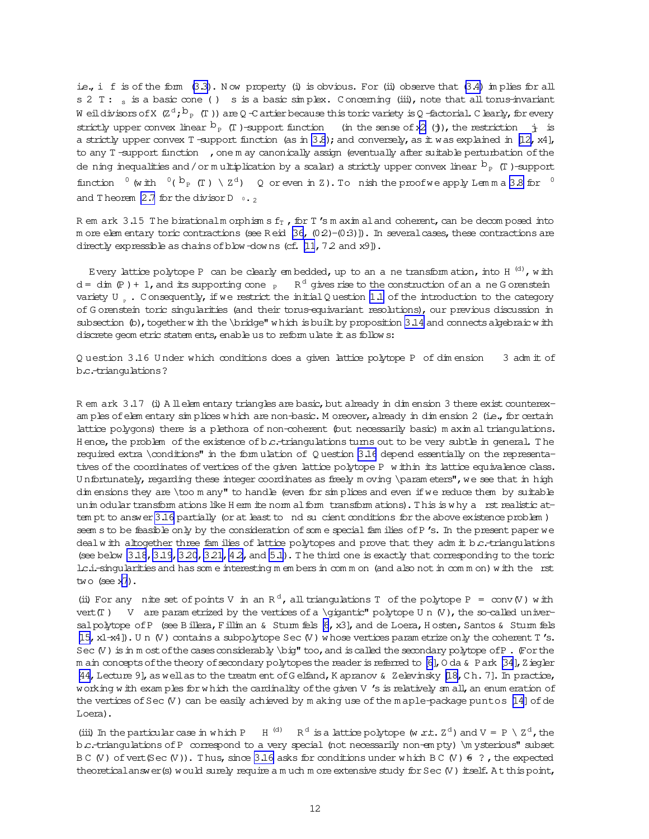i.e., i f is of the form  $(3.3)$ . Now property (i) is obvious. For (ii) observe that  $(3.4)$  im plies for all s 2 T : s is a basic cone () s is a basic simplex. Concerning (iii), note that all torus-invariant W eildivisors of X (Zd;  $b_{_{\rm P}}$  (T )) are Q -C artier because this toric variety is Q -factorial. C learly, for every strictly upper convex linear  $b_P$  (T)-support function (in the sense of x[2](#page-3-0) (j), the restriction  $\dot{T}_L$  is a strictly upper convex T -support function (as in  $3.8$ ); and conversely, as it was explained in [\[12,](#page-31-0) x4], to any T-support function , one m ay canonically assign (eventually after suitable perturbation of the de ning inequalities and / or m ultiplication by a scalar) a strictly upper convex linear  $b_{p}$  (T)-support function  $\int^0$  (with  $\int^0$  ( $b_P$  (T)  $\setminus Z^d$ ) Q or even in Z). To nish the proof we apply Lemma [3.8](#page-8-0) for  $\int^0$ and Theorem [2.7](#page-5-0) for the divisor D  $0.2$ 

R em ark 3.15 The birationalm orphism s  $f_T$ , for T's m axim aland coherent, can be decom posed into m ore elem entary toric contractions (see R eid  $[36, (0.2)-(0.3)]$ ). In several cases, these contractions are directly expressible as chains of blow -downs (cf.  $[11, 7.2$  and  $x9$ ).

Every lattice polytope P can be clearly embedded, up to an a ne transform ation, into H  $^{(\text{d})}$ , w ith d = dim (P) + 1, and its supporting cone  $_{\rm P}$  R<sup>d</sup> gives rise to the construction of an ane G orenstein variety U  $_{p}$ . C onsequently, if we restrict the initial Q uestion [1.1](#page-0-0) of the introduction to the category of G orenstein toric singularities (and their torus-equivariant resolutions), our previous discussion in subsection  $(\circ)$ , together w ith the \bridge" w hich is built by proposition [3.14](#page-9-0) and connects algebraic w ith discrete geom etric statem ents, enable us to reform ulate it as follow s:

Q uestion 3.16 U nder which conditions does a given lattice polytope P of dim ension 3 adm it of b.c.-triangulations?

R em ark 3.17 (i) A llelem entary triangles are basic, but already in dim ension 3 there exist counterexam ples of elem entary sim plices w hich are non-basic. M oreover, already in dim ension 2 (i.e., for certain lattice polygons) there is a plethora of non-coherent (but necessarily basic) m axim al triangulations. H ence, the problem of the existence of  $b.c.$ -triangulations turns out to be very subtle in general. The required extra \conditions" in the form ulation of Q uestion 3.16 depend essentially on the representatives of the coordinates of vertices of the given lattice polytope P w ithin its lattice equivalence class. Unfortunately, regarding these integer coordinates as freely m oving \param eters", we see that in high dim ensions they are \too m any" to handle (even for simplices and even if we reduce them by suitable unim odular transform ations like H erm ite norm al form transform ations). This is why a rst realistic attem pt to answer 3.16 partially (or at least to nd sucient conditions for the above existence problem ) seem s to be feasible only by the consideration of some special fam ilies of P's. In the present paper we dealw ith altogether three fam ilies of lattice polytopes and prove that they adm it b.c.-triangulations (see below  $3.18$ ,  $3.19$ ,  $3.20$ ,  $3.21$ ,  $4.2$ , and  $5.1$ ). The third one is exactly that corresponding to the toric l.c.i.-singularitiesand hassom e interesting m em bersin com m on (and also notin com m on)w ith the rst two  $($ see  $x7).$  $x7).$  $x7).$ 

(ii) For any nite set of points V in an R<sup>d</sup>, all triangulations T of the polytope P = conv(V) with vert(T) V are param etrized by the vertices of a \gigantic" polytope U n  $(V)$ , the so-called univer-salpolytope of P (see Billera, Fillim an & Sturm fels [\[6](#page-30-0), x3], and de Loera, H osten, Santos & Sturm fels [\[15,](#page-31-0) x1-x4]). Un (V) contains a subpolytope Sec (V) w hose vertices param etrize only the coherent T's. Sec  $(V)$  is in m ost of the cases considerably  $\binom{n}{k}$  too, and is called the secondary polytope of P. (For the m ain concepts of the theory of secondary polytopes the reader is referred to [\[6\]](#page-30-0), O da & Park [\[34](#page-32-0)], Ziegler [\[44,](#page-32-0) Lecture 9], as well as to the treatm ent of Gelfand, K apranov & Zelevinsky [\[18,](#page-31-0) Ch. 7]. In practice, working w ith exam ples for w hich the cardinality of the given V 's is relatively sm all, an enum eration of the vertices of Sec $(V)$  can be easily achieved by m aking use of the m aple-package puntos  $[14]$  of de Loera).

(iii) In the particular case in which P H<sup>(d)</sup> R<sup>d</sup> is a lattice polytope (w r.t.  $Z<sup>d</sup>$ ) and V = P \  $Z<sup>d</sup>$ , the b.c.-triangulations ofP correspond to a very special (not necessarily non-em pty) \m ysterious" subset B C (V) of vert(Sec (V)). Thus, since 3.16 asks for conditions under which B C (V)  $6$ ?, the expected theoreticalanswer(s) would surely require a m uch m ore extensive study for Sec(V) itself. At this point,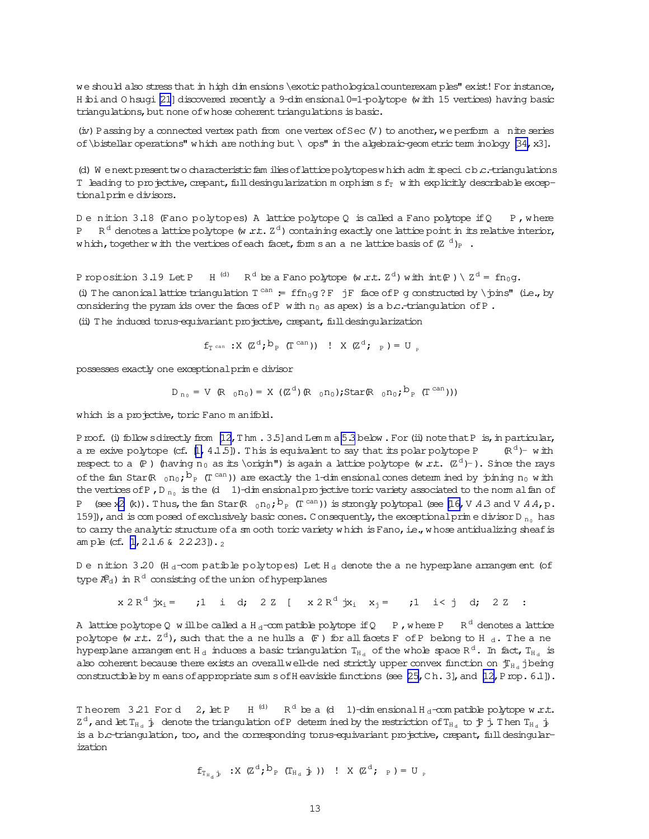<span id="page-12-0"></span>we should also stress that in high dim ensions \exotic pathological counterexam ples" exist! For instance, H ibiand O hsugi [\[21](#page-31-0)] discovered recently a 9-dim ensional 0=1-polytope (w ith 15 vertices) having basic triangulations, but none of whose coherent triangulations is basic.

 $(iv)$  Passing by a connected vertex path from one vertex of Sec  $(V)$  to another, we perform a nite series of \bistellar operations" which are nothing but \ ops" in the algebraic-geom etric term inology [\[34,](#page-32-0) x3].

(d) W enext present two characteristic fam ilies of lattice polytopes which adm it speci cb.c.-triangulations T leading to projective, crepant, full desingularization m orphism sf $_T$  w ith explicitly describable exceptionalprim e divisors.

D e nition 3.18 (Fano polytopes) A lattice polytope Q is called a Fano polytope if Q P, where  $P$  $^{\text{d}}$  denotes a lattice polytope (w .r.t.  $\text{Z}^{\text{d}}$ ) containing exactly one lattice point in its relative interior, which,togetherwith the vertices of each facet, forms an ane lattice basis of (Z  $^{\rm d}$  )<sub>P</sub> .

Proposition 3.19 Let P H<sup>(d)</sup> R<sup>d</sup> be a Fano polytope (w.r.t.  $Z<sup>d</sup>$ ) with  $\text{int}(P) \setminus Z<sup>d</sup> = f n_0 g$ . (i) The canonical lattice triangulation  $T^{can} = ffn_0g ?F$  jF face of P g constructed by \joins" (i.e., by considering the pyram ids over the faces of P with  $n_0$  as apex) is a b.c.-triangulation of P. (ii) The induced torus-equivariant projective, crepant, full desingularization

$$
f_{\text{T can}} : X \text{ (Zd; bp (Tcan)) : X (Zd; p) = Up
$$

possesses exactly one exceptionalprim e divisor

$$
D_{n_0}=V(R_{0}n_0)=X\ ((Z^d) (R_{0}n_0);\text{Star}(R_{0}n_0;{}^{\textstyle b}{}_{P}(T^{\text{can}})))
$$

which is a projective, toric Fano m anifold.

Proof. (i) follow sdirectly from [\[12,](#page-31-0)Thm . 3.5] and Lem m a [5.3](#page-19-0) below . For (ii) note that P is, in particular, a re exive polytope (cf.  $[1, 4.1.5]$ ). This is equivalent to say that its polar polytope P  $d$ )– with respect to a  $(P)$  (having n<sub>0</sub> as its \origin") is again a lattice polytope (w r.t.  $(Z<sup>d</sup>)$ -). Since the rays of the fan Star(R  $_0$ no; $^{\text{b}}$  (T  $^{\text{can}}$ )) are exactly the 1-dim ensional cones determ ined by joining n<sub>0</sub> with the vertices of P, D  $_{\text{n}_0}$  is the (d 1)-dim ensional projective toric variety associated to the norm alfan of P (see x[2](#page-3-0) (k)). Thus, the fan Star(R  $_0$ n $_0$ ;  $^{\text{b}}$  p (T  $^{\text{can}}$ )) is strongly polytopal (see [\[16,](#page-31-0)V .4.3 and V .4.4,p. 159]), and is com posed of exclusively basic cones. C onsequently, the exceptional prim e divisor D  $_{\text{no}}$  has to carry the analytic structure of a sm ooth toric variety which is Fano, i.e., whose antidualizing sheaf is am ple (cf. [\[1,](#page-30-0) 2.1.6 &  $2.2.23$ ]).

D e nition 3.20 (H d-com patible polytopes) Let H d denote the a ne hyperplane arrangem ent (of type  $R_{\rm d}$ ) in R  $^{\rm d}$  consisting of the union of hyperplanes

 $x 2 R<sup>d</sup> jx<sub>i</sub> = j1$  i d; 2 Z [  $x 2 R<sup>d</sup> jx<sub>i</sub> x<sub>j</sub> = j1$  i< j d; 2 Z :

A lattice polytope Q will be called a H  $_\mathrm{d}$ -com patible polytope if Q  $-$  P , w here P  $-$  R  $^\mathrm{d}$  denotes a lattice polytope (w .r.t.  $\text{Z}^\text{d}$  ), such that the ane hulls a (F ) for all facets F of P belong to H  $_\text{d}$  . The ane hyperplane arrangem ent H  $_{\rm d}$  induces a basic triangulation  $\rm T_{H_{d}}$  of the whole space R  $^{\rm d}$  . In fact,  $\rm T_{H_{d}}$  is also coherent because there exists an overall well-de ned strictly upper convex function on  $f_{H_d}$  jbeing constructible by m eans of appropriate sum s of H eaviside functions (see  $[25, C h.3]$ , and  $[12, Prop.6.1]$ ).

Theorem 3.21 For d 2, let P H<sup>(d)</sup> R<sup>d</sup> be a (d 1)-dim ensional H<sub>d</sub>-compatible polytope w.r.t.  $Z^d$ , and let  $T_{H_d}$   $j$  denote the triangulation of P determ ined by the restriction of  $T_{H_d}$  to  $j$  j. Then  $T_{H_d}$   $j$ is a b.c-triangulation, too, and the corresponding torus-equivariant projective, crepant, full desingularization

$$
f_{T_{H_d}\dot{p}} \xrightarrow{\cdot} X \ (Z^d; b_p \ (T_{H_d}\dot{p})) \ \vdots \ X \ (Z^d; p) = U_{p}
$$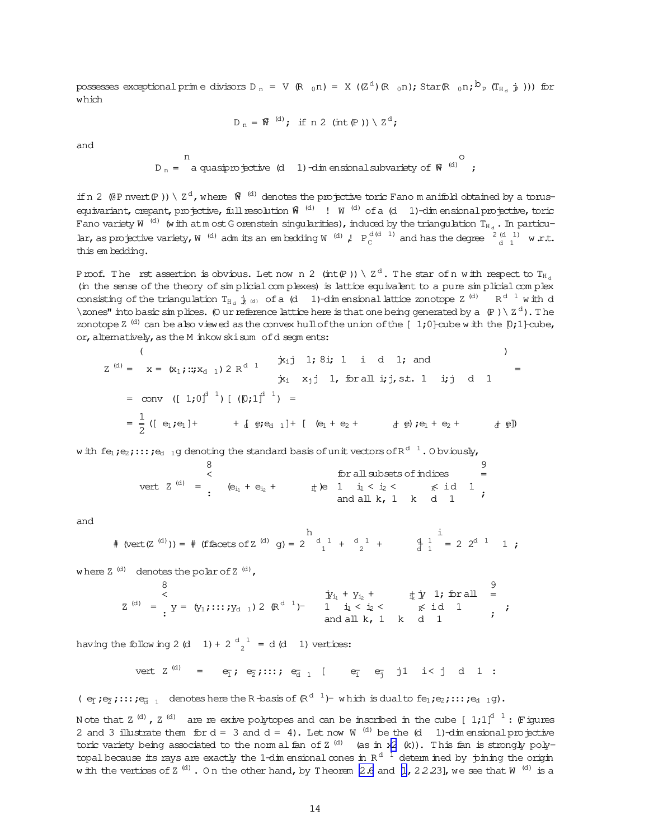possesses exceptional prim e divisors D  $_{\textrm{n}}$  = V (R  $_{0}$  n) = X ((Z^d)(R  $_{0}$  n); Star(R  $_{0}$  n; $^{\textrm{D}}$  p (T<sub>H d</sub> j ))) for which

$$
D_n = \mathfrak{R}^{(d)}; \text{ if } n \; 2 \text{ (int } (P)) \setminus Z^d;
$$

and

n

$$
D_n =
$$
 a quasiprojective (d 1) -dim ensional subvariety of  $\mathbf{\hat{W}}^{(d)}$  ;

o

if n 2 ( $\ell$ P nvert(P)) \  $Z^d$ , where  $\mathcal{R}^{(d)}$  denotes the projective toric Fano m anifold obtained by a torusequivariant, crepant, projective, full resolution  $\widehat{W}^{(d)}$  ! W  $^{(d)}$  of a (d) 1)-dim ensional projective, toric Fano variety W  $^{(\rm d)}$  (with atm ost G orenstein singularities), induced by the triangulation  $\rm T_{H_{d}}$  . In particular, as projective variety, W<sup>(d)</sup> adm its an embedding W<sup>(d)</sup>,  $P_C^{d(d-1)}$  and has the degree  $\frac{2(d-1)}{d-1}$  w.r.t. this em bedding.

Proof. The rst assertion is obvious. Let now n 2 (int(P )) \  $\text{Z}^{\,\text{d}}$  . The star of n with respect to  $\text{T}_{\text{H}_\text{d}}$ (in the sense of the theory of sim plicialcom plexes) is lattice equivalent to a pure sim plicialcom plex consisting of the triangulation  $T_{H_d} \frac{1}{2}$  (d) of a (d) 1)-dim ensional lattice zonotope Z<sup>(d)</sup> R<sup>d 1</sup> with d \zones" into basic sim plices. (O ur reference lattice here is that one being generated by a  $(P) \setminus Z^d$ ). The zonotope Z<sup>(d)</sup> can be also viewed as the convex hull of the union of the  $[1;0]$ -cube with the  $[0;1]$ -cube, or, alternatively, as the M inkow skisum ofd segm ents:

$$
Z^{(d)} = x = (x_1; ::; x_{d-1}) 2 R^{d-1} \n\begin{array}{ccc}\n\ddots & \ddots & \ddots & \ddots \\
\ddots & \ddots & \ddots & \ddots & \ddots \\
\ddots & \ddots & \ddots & \ddots & \ddots \\
\ddots & \ddots & \ddots & \ddots & \ddots \\
\ddots & \ddots & \ddots & \ddots & \ddots \\
\ddots & \ddots & \ddots & \ddots & \ddots \\
\ddots & \ddots & \ddots & \ddots & \ddots \\
\ddots & \ddots & \ddots & \ddots & \ddots \\
\ddots & \ddots & \ddots & \ddots & \ddots \\
\ddots & \ddots & \ddots & \ddots & \ddots \\
\ddots & \ddots & \ddots & \ddots & \ddots \\
\ddots & \ddots & \ddots & \ddots & \ddots \\
\ddots & \ddots & \ddots & \ddots & \ddots \\
\ddots & \ddots & \ddots & \ddots & \ddots \\
\ddots & \ddots & \ddots & \ddots & \ddots \\
\ddots & \ddots & \ddots & \ddots & \ddots \\
\ddots & \ddots & \ddots & \ddots & \ddots \\
\ddots & \ddots & \ddots & \ddots & \ddots \\
\ddots & \ddots & \ddots & \ddots & \ddots \\
\ddots & \ddots & \ddots & \ddots & \ddots \\
\ddots & \ddots & \ddots & \ddots & \ddots \\
\ddots & \ddots & \ddots & \ddots & \ddots \\
\ddots & \ddots & \ddots & \ddots & \ddots \\
\ddots & \ddots & \ddots & \ddots & \ddots \\
\ddots & \ddots & \ddots & \ddots & \ddots \\
\ddots & \ddots & \ddots & \ddots & \ddots \\
\ddots & \ddots & \ddots & \ddots & \ddots \\
\ddots & \ddots & \ddots & \ddots & \ddots \\
\ddots & \ddots & \ddots & \ddots & \ddots \\
\ddots & \ddots & \ddots & \ddots & \ddots \\
\ddots & \ddots & \ddots & \ddots & \ddots \\
\ddots & \ddots & \ddots & \ddots & \ddots \\
\ddots & \ddots & \ddots & \ddots & \ddots \\
\ddots & \ddots & \ddots & \ddots & \ddots \\
\ddots & \ddots & \ddots & \ddots & \ddots \\
\ddots & \ddots & \ddots & \ddots & \ddots \\
\ddots &
$$

w ith fe<sub>1</sub>;e<sub>2</sub>;:::;e<sub>d 1</sub>g denoting the standard basis of unit vectors of R  $^{\rm d}$   $^{\rm l}$  . O bviously,

\n
$$
\begin{array}{r}\n 8 \\
 \times \\
 \text{vert } Z^{(d)} = \n \end{array}
$$
\n

\n\n $\begin{array}{r}\n 8 \\
 \times \\
 \text{left } Z^{(d)} = \n \end{array}$ \n

\n\n $\begin{array}{r}\n 8 \\
 \times \\
 \text{left } P_{i_1} + e_{i_2} + \n \end{array}$ \n

\n\n $\begin{array}{r}\n 4 \\
 \times \text{left } P_{i_1} + e_{i_2} + \n \end{array}$ \n

\n\n $\begin{array}{r}\n 4 \\
 \times \text{left } P_{i_1} + e_{i_2} + \n \end{array}$ \n

\n\n $\begin{array}{r}\n 4 \\
 \times \text{left } P_{i_1} + e_{i_2} + \n \end{array}$ \n

\n\n $\begin{array}{r}\n 4 \\
 \times \text{left } P_{i_1} + e_{i_2} + \n \end{array}$ \n

\n\n $\begin{array}{r}\n 4 \\
 \times \text{left } P_{i_1} + e_{i_2} + \n \end{array}$ \n

\n\n $\begin{array}{r}\n 4 \\
 \times \text{left } P_{i_1} + e_{i_2} + \n \end{array}$ \n

and

$$
\# \text{ (vert(Z \text{ }^{(d)})) = } \# \text{ (ffaces of Z \text{ }^{(d)} \text{ } g)} = 2 \begin{bmatrix} h & 1 \\ 1 & + \frac{d-1}{2} + \frac{d-1}{2} + \frac{d-1}{2} + \frac{d-1}{2} + \frac{d-1}{2} + \frac{d-1}{2} + \frac{d-1}{2} + \frac{d-1}{2} + \frac{d-1}{2} + \frac{d-1}{2} + \frac{d-1}{2} + \frac{d-1}{2} + \frac{d-1}{2} + \frac{d-1}{2} + \frac{d-1}{2} + \frac{d-1}{2} + \frac{d-1}{2} + \frac{d-1}{2} + \frac{d-1}{2} + \frac{d-1}{2} + \frac{d-1}{2} + \frac{d-1}{2} + \frac{d-1}{2} + \frac{d-1}{2} + \frac{d-1}{2} + \frac{d-1}{2} + \frac{d-1}{2} + \frac{d-1}{2} + \frac{d-1}{2} + \frac{d-1}{2} + \frac{d-1}{2} + \frac{d-1}{2} + \frac{d-1}{2} + \frac{d-1}{2} + \frac{d-1}{2} + \frac{d-1}{2} + \frac{d-1}{2} + \frac{d-1}{2} + \frac{d-1}{2} + \frac{d-1}{2} + \frac{d-1}{2} + \frac{d-1}{2} + \frac{d-1}{2} + \frac{d-1}{2} + \frac{d-1}{2} + \frac{d-1}{2} + \frac{d-1}{2} + \frac{d-1}{2} + \frac{d-1}{2} + \frac{d-1}{2} + \frac{d-1}{2} + \frac{d-1}{2} + \frac{d-1}{2} + \frac{d-1}{2} + \frac{d-1}{2} + \frac{d-1}{2} + \frac{d-1}{2} + \frac{d-1}{2} + \frac{d-1}{2} + \frac{d-1}{2} + \frac{d-1}{2} + \frac{d-1}{2} + \frac{d-1}{2} + \frac{d-1}{2} + \frac{d-1}{2} + \frac{d-1}{2} + \frac{d-1}{2} + \frac{d-1}{2} + \frac{d-1}{2} + \frac{d-
$$

where  $Z^{(d)}$  denotes the polar of  $Z^{(d)}$ ,

$$
Z^{(d)} = \begin{cases} 8 & \text{if } y_1 + y_{12} + y_2 + z_1 \text{ for all } z = 0 \\ y = (y_1, \dots, y_{d-1}) 2 (R^{d-1}) & 1 \text{ if } z_2 < z \text{ for all } z = 0 \\ \text{and all } k, 1, k, d, 1 \end{cases}
$$

having the following 2 (d 1) + 2  $\frac{d}{2}$ <sup>1</sup> = d (d 1) vertices:

$$
\text{vert } Z^{(d)} = e_{\bar{1}}; e_{\bar{2}}; \dots; e_{\bar{d} 1} [ e_{\bar{1}} e_{\bar{3}} j1 \text{ i} < j \text{ d } 1 :
$$

 $( e_{\overline{1}} e_{\overline{2}} ; \ldots ; e_{\overline{d-1}}$  denotes here the R-basis of  $\mathbb{R}^{d-1}$  which is dualto  $f e_1; e_2; \ldots; e_{d-1}$ g).

Note that Z  $^{(\textnormal{\texttt{d}})}$  , Z  $^{(\textnormal{\texttt{d}})}$  are reexive polytopes and can be inscribed in the cube [  $1;1]^{\textnormal{\texttt{d}}}$   $^1$  : (Figures 2 and 3 illustrate them for  $d = 3$  and  $d = 4$ ). Let now W  $^{(d)}$  be the  $(d - 1)$ -dim ensional projective toric variety being associated to the norm al fan of Z  $^{(d)}$  (as in x[2](#page-3-0) (k)). This fan is strongly polytopal because its rays are exactly the 1-dim ensional cones in R  $^{\rm d}$  1 determ ined by joining the origin with the vertices of Z  $^{(\textnormal{\texttt{d}})}$  . On the other hand, by Theorem [2.6](#page-5-0) and [\[1](#page-30-0),22.23], we see that W  $^{(\textnormal{\texttt{d}})}$  is a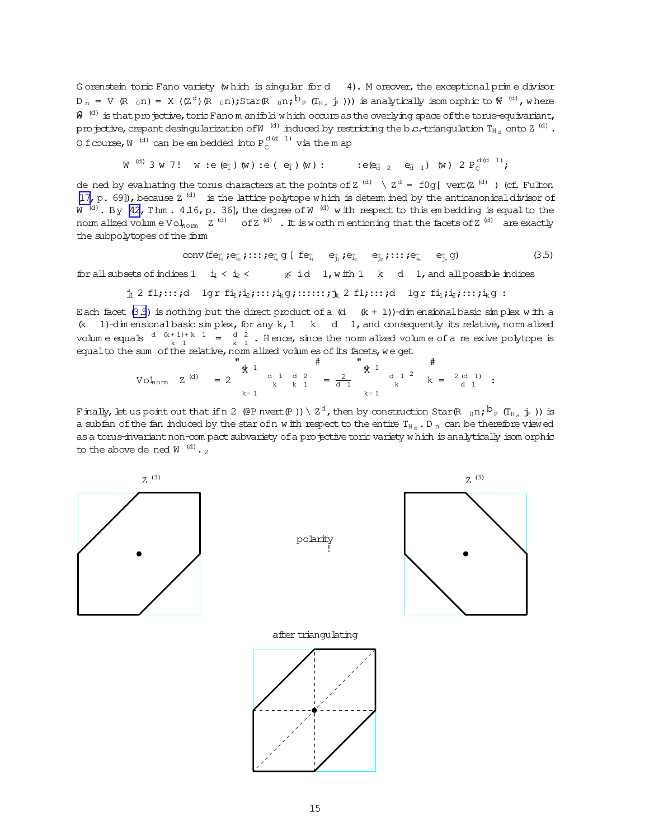G orenstein toric Fano variety (w hich is singular for d 4). M oreover, the exceptional prim e divisor  $D_n$  = V (R  $_0$ n) = X ((Z<sup>d</sup>)(R  $_0$ n);Star(R  $_0$ n; $^{\text{b}}$ P (T<sub>Hd</sub>  $_{\text{p}}$ ))) is analytically isom orphic to  $^{\text{c}}$  (<sup>d)</sup>, where  $\widehat{W}^{(d)}$  is that projective, toric Fano m anifold w hich occurs as the overlying space of the torus-equivariant, projective, crepant desingularization of W $^{-(d)}$  induced by restricting the b.c.-triangulation  $\rm T_{H_{d}}$  onto Z  $^{(d)}$  . 0 f $\infty$ urse, $W^{(\rm d)}$  can be em bedded into  $P^{(\rm d(d-1))}_{\rm C}$  via the map

$$
\text{W}^{(d)} \; 3 \; \text{W} \; 7 \; ! \quad \text{W} \; : \text{e} \; (\text{e}_{\overline{1}}) \; (\text{W}) \; : \text{e} \; (\text{ e}_{\overline{1}}) \; (\text{W}) \; : \qquad \text{e} \; (\text{e}_{\overline{d}} \; 2 \; \text{ e}_{\overline{d}} \; 1) \; (\text{W}) \; 2 \; \text{P}_{\text{C}}^{d \; (d-1)} \, ;
$$

de ned by evaluating the torus characters at the points of Z  $^{(d)}$   $\setminus$  Z  $^{d}$  = f0g[ vert(Z  $^{(d)}$  ) (cf. Fulton [\[17,](#page-31-0) p. 69]), because  $Z^{(d)}$  is the lattice polytope which is determ ined by the anticanonical divisor of W  $^{(d)}$ . By [\[42,](#page-32-0)Thm. 4.16,p. 36], the degree of W  $^{(d)}$  with respect to this embedding is equalto the nom alized volum e Vol<sub>nom</sub>  $Z^{(d)}$  of  $Z^{(d)}$  . It is worth m entioning that the facets of  $Z^{(d)}$  are exactly the subpolytopes of the form

$$
\text{conv}\,(\text{fe}_{\bar{i}_1}; e_{\bar{i}_2}; \dots; e_{\bar{i}_k} \, g \,[\,\text{fe}_{\bar{i}_1} \quad \text{e}_{\bar{i}_1}; e_{\bar{i}_2} \quad \text{e}_{\bar{i}_2}; \dots; e_{\bar{i}_k} \quad \text{e}_{\bar{i}_k} \, g) \tag{3.5}
$$

for all subsets of indices  $1 \quad i_1 < i_2 < \qquad \kappa \quad i d \quad 1$ , with  $1 \quad k \quad d \quad 1$ , and all possible indices

$$
j_1
$$
 2 fl;...;d 1gr  $fi_1$ ;  $i_2$ ;...;  $i_k$ g;...;  $j_k$  2 fl;...;d 1gr  $fi_1$ ;  $i_2$ ;...;  $i_k$ g :

Each facet (3.5) is nothing but the direct product of a  $(d - (k + 1))$ -dim ensional basic sim plex w ith a (k 1)-dim ensional basic simplex, for any k, 1 k d 1, and consequently its relative, norm alized volum e equals  $\frac{d(k+1)+k}{k}$  =  $\frac{d}{k}$  Hence, since the norm alized volum e of a reexive polytope is equalto the sum of the relative, norm alized volum es of its facets, we get

$$
\text{Vol}_{\text{norm}} \quad Z \xrightarrow{\text{(d)}} \quad = \begin{matrix} 0 & 0 & 0 \\ 0 & 0 & 0 \\ 0 & 0 & 0 \\ k & 0 & k \end{matrix} \xrightarrow{\text{(e)}} \begin{matrix} 0 & 0 & 0 & 0 \\ 0 & 0 & 0 & 0 \\ 0 & 0 & k & 1 \\ 0 & k & 1 & k \end{matrix} \xrightarrow{\text{(e)}} \begin{matrix} 0 & 0 & 0 & 0 \\ 0 & 0 & 0 & 0 \\ 0 & 0 & k & k \end{matrix} \xrightarrow{\text{(e)}} \begin{matrix} 0 & 0 & 0 & 0 \\ 0 & 0 & 0 & 0 \\ 0 & 0 & k & k \end{matrix} \xrightarrow{\text{(e)}} \begin{matrix} 0 & 0 & 0 & 0 \\ 0 & 0 & 0 & 0 \\ 0 & 0 & k & k \end{matrix} \xrightarrow{\text{(f)}} \begin{matrix} 0 & 0 & 0 & 0 \\ 0 & 0 & 0 & 0 \\ 0 & 0 & k & k \end{matrix} \xrightarrow{\text{(g)}} \begin{matrix} 0 & 0 & 0 & 0 \\ 0 & 0 & 0 & 0 \\ 0 & 0 & k & k \end{matrix} \xrightarrow{\text{(h)}} \begin{matrix} 0 & 0 & 0 & 0 \\ 0 & 0 & 0 & 0 \\ 0 & 0 & k & k \end{matrix} \xrightarrow{\text{(h)}} \begin{matrix} 0 & 0 & 0 & 0 \\ 0 & 0 & 0 & 0 \\ 0 & 0 & k & k \end{matrix} \xrightarrow{\text{(i)}\n\begin{matrix} 0 & 0 & 0 & 0 \\ 0 & 0 & k & k \end{matrix} \xrightarrow{\text{(j)}\n\begin{matrix} 0 & 0 & 0 & 0 \\ 0 & 0 & k & k \end{matrix} \x
$$

Finally, let us point out that if n 2 (@P nvert(P )) \  $\rm Z^d$ , then by construction Star(R  $_{\rm 0}$ n; $\rm {b_p}$  (T $_{\rm H_d}$   $_{\rm \dot{P}}$  )) is a subfan of the fan induced by the star of n w ith respect to the entire  $T_{H_d}$ . D n can be therefore viewed as a torus-invariant non-com pact subvariety of a projective toric variety w hich is analytically isom orphic to the above de ned W  $^{(d)}$ .

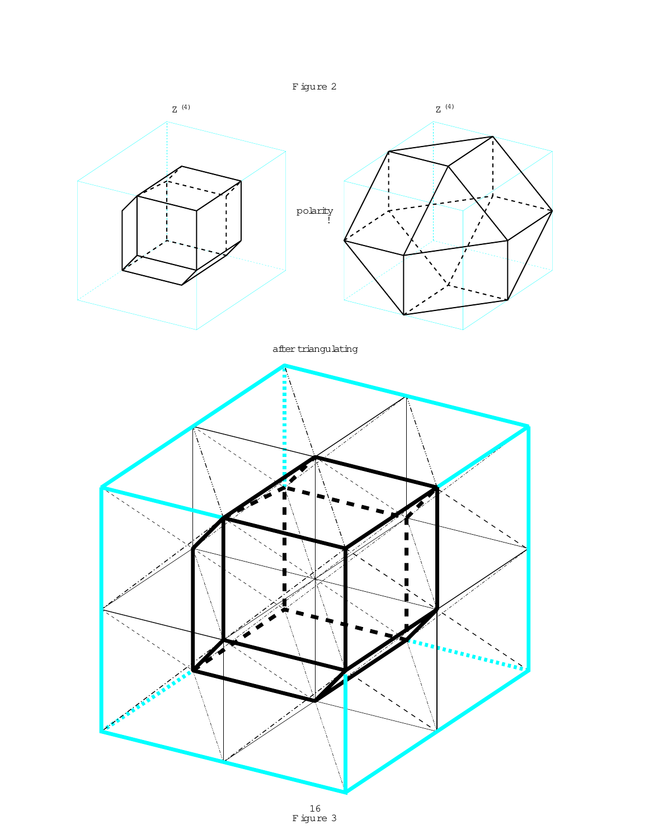

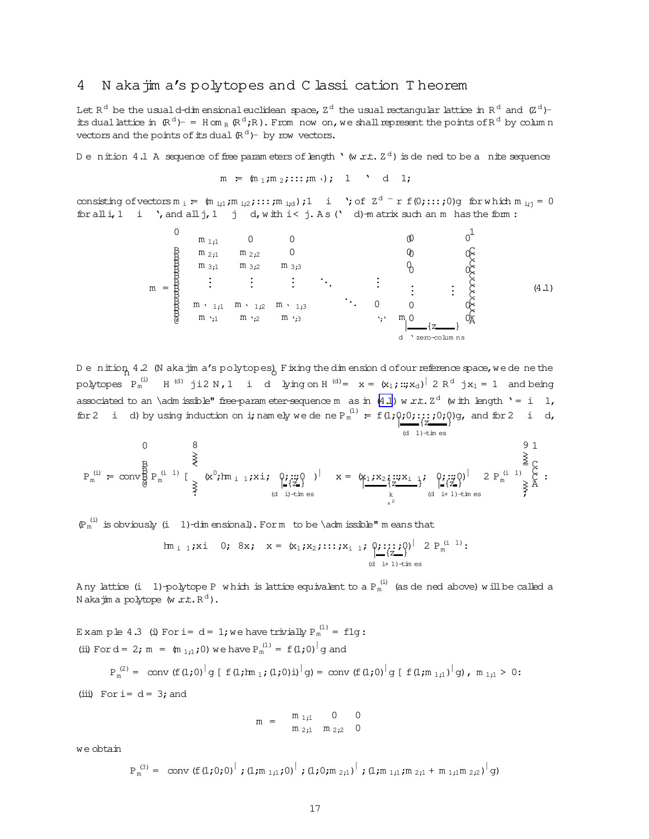#### <span id="page-16-0"></span>N aka jim a's polytopes and C lassi cation Theorem 4

Let  $R^d$  be the usual d-dim ensional euclidean space,  $Z^d$  the usual rectangular lattice in  $R^d$  and  $(Z^d)$ its dual lattice in  $(\mathbb{R}^d)^-$  = H om  $_R(\mathbb{R}^d)^R$ . From now on, we shall represent the points of  $\mathbb{R}^d$  by column vectors and the points of its dual  $(\mathbb{R}^d)$ - by row vectors.

Denition 4.1 A sequence of free parameters of length  $\cdot$  (w r.t.  $Z^d$ ) is dened to be a nite sequence

$$
m = (m_1, m_2, \ldots, m), 1 \quad d \quad 1;
$$

consisting of vectors  $m_i := (m_{i,1}, m_{i,2}, \ldots, m_{i,d})$ ; 1 i '; of  $Z^d - r f(0; \ldots; 0)$ g for which  $m_{i,j} = 0$  $\text{for all } i \neq 1$  i  $\prime$ , and all  $j \neq 1$  i d, with  $i < j$ . As ( d)-matrix such an m has the form:



De nition 4.2 (N aka jim a's polytopes). Fixing the dimension dofour reference space, we de ne the polytopes  $P_m^{(i)}$  H<sup>(d)</sup> ji2 N, 1 i d lying on H<sup>(d)</sup> =  $x = (x_1; ::, x_d)^{\dagger} 2 R^d$  jx<sub>1</sub> = 1 and being associated to an \adm issible" free-param eter-sequence m as in (4.1) w r.t.  $Z<sup>d</sup>$  (with length '= i 1, for 2 i d) by using induction on i; namely we dene  $P_m^{(1)} = f(1;\varphi;0; \cdots; j; 0; \varphi)$  and for 2 i d,  $(d \t1)$  -times

$$
P_m^{(i)} \; = \; \text{conv}^B_B \, P_m^{(i-1)} \; [ \; \underbrace{\overset{B}{\geqslant}}_{\geqslant} \; (x^0; h_{i-1}; x \; i, \; \underbrace{\underset{I \in \{Z\}}{\varphi_I; \; \text{up} \, Q}}_{(d-i)+\text{times}} \; )^\dagger \quad x \; = \; \underbrace{\underset{k}{\approxq}}_{\geqslant} \; \underbrace{\underset{I \in \{Z\}}{\varphi_I; \; \text{up} \, Q}}_{(d-i+1)-\text{times}} \; \underbrace{\underset{I \in \{Z\}}{\varphi_I; \; \text{up} \, Q}}_{\geqslant} \; P_m^{(i-1)} \; \underbrace{\overset{9}{\geqslant}}_{\geqslant} \; \underbrace{\overset{9}{\geqslant}}_{(d-i+1)-\text{times}} \; \underbrace{\overset{9}{\geqslant}}_{\geqslant} \; \underbrace{\overset{9}{\geqslant}}_{(d-i+1)-\text{times}} \; \underbrace{\overset{9}{\geqslant}}_{\geqslant} \; P_m^{(i-1)} \; \underbrace{\overset{9}{\geqslant}}_{\geqslant} \; \underbrace{\overset{9}{\geqslant}}_{\geqslant} \; P_m^{(i)} \; \underbrace{\overset{9}{\geqslant}}_{\geqslant} \; \underbrace{\overset{9}{\geqslant}}_{\geqslant} \; \underbrace{\overset{9}{\geqslant}}_{\geqslant} \; \underbrace{\overset{1}{\geqslant}}_{\geqslant} \; \underbrace{\overset{1}{\geqslant}}_{\geqslant} \; P_m^{(i)} \; \underbrace{\overset{9}{\geqslant}}_{\geqslant} \; \underbrace{\overset{1}{\geqslant}}_{\geqslant} \; \underbrace{\overset{1}{\geqslant}}_{\geqslant} \; \underbrace{\overset{1}{\geqslant}}_{\geqslant} \; \underbrace{\overset{1}{\geqslant}}_{\geqslant} \; \underbrace{\overset{1}{\geqslant}}_{\geqslant} \; \underbrace{\overset{1}{\geqslant}}_{\geqslant} \; \underbrace{\overset{1}{\geqslant}}_{\geqsl
$$

 $(\mathbb{P}_m^{(i)})$  is obviously (i 1)-dimensional). For m to be \admissible" means that

$$
\text{Im}_{i\ 1}\text{;xi}\ 0;\ 8x;\ x = (x_1\text{;}x_2\text{;}::;\text{;}x_{i\ 1}\text{;}\underset{(d\ i+1)\text{--time} \text{;}}{\underbrace{0\text{;}}::;\text{;}0}_{(d\ i+1)\text{--time} \text{;}}\ 2\ P_{m}^{(i\ 1)}:
$$

Any lattice (i 1)-polytope P which is lattice equivalent to a  $P_m^{(i)}$  (as de ned above) will be called a N aka $\overline{\text{im}}$  a polytope (w  $xt$ ,  $R^d$ ).

Example 4.3 (i) For i=  $d = 1$ ; we have trivially  $P_m^{(1)} = f1q$ : (ii) For d = 2; m =  $(m_{1,1};0)$  we have  $P_m^{(1)} = f(1;0)^{n} q$  and  $P_m^{(2)} = \text{conv} (f(1,0)^{1} g [f(1,1m_1;(1,0)i)^{1} g] = \text{conv} (f(1,0)^{1} g [f(1,m_{1,1})^{1} g], m_{1,1} > 0$  $(iii)$  For i=  $d = 3$ ; and

$$
m = \begin{array}{c} m_{1i1} & 0 & 0 \\ m_{2i1} & m_{2i2} & 0 \end{array}
$$

we obtain

 $P_m^{(3)} = \text{ conv } (f(1,0,0)^{\vert} ; (1,m_{1,1},0)^{\vert} ; (1,0,m_{2,1})^{\vert} ; (1,m_{1,1},m_{2,1}+m_{1,1}m_{2,2})^{\vert} g)$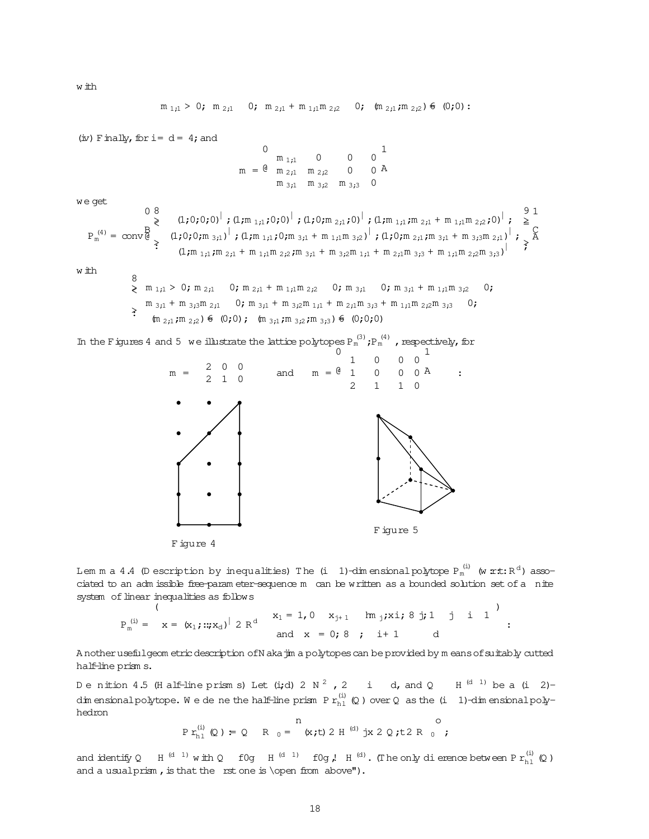m <sup>1</sup>;<sup>1</sup> > 0; m <sup>2</sup>;<sup>1</sup> 0; m <sup>2</sup>;<sup>1</sup> + m <sup>1</sup>;1m <sup>2</sup>;<sup>2</sup> 0; (m <sup>2</sup>;1;m <sup>2</sup>;2)6= (0;0): (iv) Finally,fori= d = 4;and m = 0 @ m <sup>1</sup>;<sup>1</sup> 0 0 0 m <sup>2</sup>;<sup>1</sup> m <sup>2</sup>;<sup>2</sup> 0 0 m <sup>3</sup>;<sup>1</sup> m <sup>3</sup>;<sup>2</sup> m <sup>3</sup>;<sup>3</sup> 0 1 A we get P (4) <sup>m</sup> = conv 0 B @ 8 >< >: (1;0;0;0)<sup>|</sup> ;(1;m <sup>1</sup>;1;0;0)<sup>|</sup> ;(1;0;m <sup>2</sup>;1;0)<sup>|</sup> ;(1;m <sup>1</sup>;1;m <sup>2</sup>;<sup>1</sup> + m <sup>1</sup>;1m <sup>2</sup>;2;0)<sup>|</sup> ; (1;0;0;m <sup>3</sup>;1) | ;(1;m <sup>1</sup>;1;0;m <sup>3</sup>;<sup>1</sup> + m <sup>1</sup>;1m <sup>3</sup>;2) | ;(1;0;m <sup>2</sup>;1;m <sup>3</sup>;<sup>1</sup> + m <sup>3</sup>;3m <sup>2</sup>;1) | ; (1;m <sup>1</sup>;1;m <sup>2</sup>;<sup>1</sup> + m <sup>1</sup>;1m <sup>2</sup>;2;m <sup>3</sup>;<sup>1</sup> + m <sup>3</sup>;2m <sup>1</sup>;<sup>1</sup> + m <sup>2</sup>;1m <sup>3</sup>;<sup>3</sup> + m <sup>1</sup>;1m <sup>2</sup>;2m <sup>3</sup>;3) | 9 >= >; 1 C A w ith 8 >< >: m <sup>1</sup>;<sup>1</sup> > 0; m <sup>2</sup>;<sup>1</sup> 0; m <sup>2</sup>;<sup>1</sup> + m <sup>1</sup>;1m <sup>2</sup>;<sup>2</sup> 0; m <sup>3</sup>;<sup>1</sup> 0; m <sup>3</sup>;<sup>1</sup> + m <sup>1</sup>;1m <sup>3</sup>;<sup>2</sup> 0; m <sup>3</sup>;<sup>1</sup> + m <sup>3</sup>;<sup>3</sup>m <sup>2</sup>;<sup>1</sup> 0; m <sup>3</sup>;<sup>1</sup> + m <sup>3</sup>;<sup>2</sup>m <sup>1</sup>;<sup>1</sup> + m <sup>2</sup>;<sup>1</sup>m <sup>3</sup>;<sup>3</sup> + m <sup>1</sup>;<sup>1</sup>m <sup>2</sup>;<sup>2</sup>m <sup>3</sup>;<sup>3</sup> 0; (m <sup>2</sup>;<sup>1</sup>;m <sup>2</sup>;<sup>2</sup>)6= (0;0); (m <sup>3</sup>;<sup>1</sup>;m <sup>3</sup>;<sup>2</sup>;m <sup>3</sup>;<sup>3</sup>)6= (0;0;0) In the Figures4 and 5 we illustrate the lattice polytopesP (3) <sup>m</sup> ;P (4) <sup>m</sup> ,respectively,for m = 2 0 0 2 1 0 and <sup>m</sup> <sup>=</sup> 0 @ 1 0 0 0 1 0 0 0 2 1 1 0 1 A : F igure 5

$$
F\ \mathrm{igure}\ 4
$$

<span id="page-17-0"></span>w ith

Lem m a 4.4 (D escription by inequalities) The (i  $\:$  1)-dimensionalpolytope  $\rm P_m^{(i)}$  (w  $\mathtt{rt:R^{d}}$ ) associated to an adm issible free-param eter-sequence m can be written as a bounded solution set of a nite system of linear inequalities as follows

:

 $P_m^{(i)} =$ (  $x = (x_1; ...; x_d)^{\vert} 2 R^d$   $x_1 = 1, 0$   $x_{j+1}$   $\lim_{j} x_i; 8 j; 1 j i 1$ and  $x = 0; 8; i+1$  d

A notherusefulgeom etricdescription ofN akajim a polytopescan be provided by m eansofsuitably cutted half-line prism s.

Denition 4.5 (Half-line prisms) Let (i;d) 2 N  $^2$  , 2 i d, and Q H  $^{\rm (d - 1)}$  be a (i 2)dim ensionalpolytope. We de ne the half-line prism P  $r_{\rm h1}^{(\rm i)}$  (Q ) over Q as the (i  $\,$  1)-dim ensionalpolyhedron

$$
\text{Pr}_{\text{hl}}^{(i)}(Q) = Q \quad \text{R}_{0} = \begin{array}{c} n \\ (x,t) 2 H^{(d)} jx 2 Q, t2 R_{0} \end{array};
$$

and identify Q H<sup>(d 1)</sup> with Q f0g H<sup>(d 1)</sup> f0g, H<sup>(d)</sup>. (The only dierence between P  $r_{h1}^{(i)}$  (Q) and a usualprism, is that the rst one is \open from above").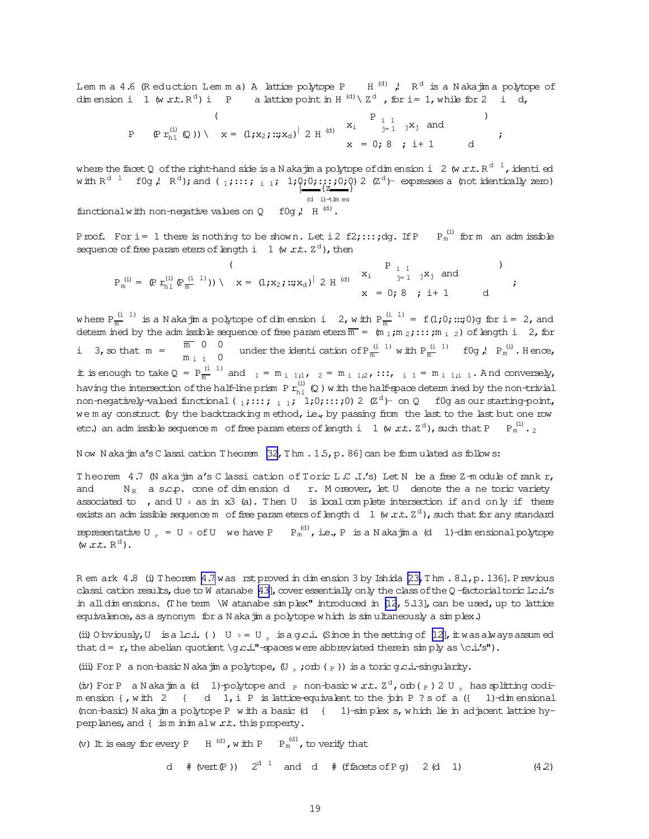<span id="page-18-0"></span>Lemma 4.6 (Reduction Lemma) A lattice polytope P  $H^{(d)}$ , R<sup>d</sup> is a Naka fina polytope of dimension i 1 (w r.t.  $R^d$ ) i P a lattice point in H  $^{(d)} \setminus Z^d$ , for i= 1, while for 2 i d,

where the facet Q of the right-hand side is a N aka jim a polytope of dimension i 2 (w.r.t.  $R^{d-1}$ , identi ed with  $R^{d-1}$  f0g,  $R^d$ ); and  $\binom{1}{1}$ :::;  $\frac{1}{1}$ ;  $\frac{1}{2}$ ;  $\binom{0}{2}$ ;  $\binom{0}{2}$ ;  $\binom{0}{2}$   $\binom{0}{2}$  expresses a (not identically zero)

$$
(d i) + im es
$$

 $\ddot{ }$ 

functional with non-negative values on  $Q$  f0q  $l$ , H<sup>(d)</sup>.

Proof. For i = 1 there is nothing to be shown. Let i2 f2;:::; dg. If P  $P_m^{(i)}$  for m an adm issible sequence of free parameters of length i 1 (w  $xt. Z<sup>d</sup>$ ), then

$$
P_m^{(i)} = (P r_{h1}^{(i)} (P_m^{(i-1)})) \setminus x = (1, x_2; ::; x_d)^{|\begin{array}{cc} 2 \text{ H}^{(d)} & x_i & \begin{array}{ccc} 1 & 1 & \text{ if } x_j \text{ and} \\ 1 & 1 & \text{ if } x_j \end{array} \end{array})}
$$

where  $P_{\overline{m}}^{(i-1)}$  is a N aka jim a polytope of dimension i 2, with  $P_{\overline{m}}^{(i-1)} = f(1,0;...;0)$ g for i = 2, and determ ined by the adm issible sequence of free parameters  $\overline{m} = (m_1, m_2, ...; m_{i-2})$  of length i 2, for m 0 0<br>m<sub>i1</sub> 0<br>under the identication of  $P_{\overline{m}}^{(i1)}$  with  $P_{\overline{m}}^{(i1)}$  f0g,  $P_{m}^{(i)}$ . Hence, i  $3, \infty$  that  $m =$ it is enough to take  $Q = P_{\overline{m}}^{(i-1)}$  and  $1 = m_{i-1,1}$ ,  $2 = m_{i-1,2}$ , :::,  $i = m_{i-1,i-1}$ . And conversely, having the intersection of the half-line prism  $P$   $r_{h1}^{(i)}$  (0) w ith the half-space determined by the non-trivial non-negatively-valued functional ( $_1$ ;:::;  $_{i=1}$ ; 1;0;:::;0) 2 ( $\mathbb{Z}^d$ )- on Q f0g as our starting-point, we m ay construct (by the backtracking method, i.e., by passing from the last to the last but one row etc.) an adm issible sequence m of free parameters of length i 1 (w r.t.  $Z<sup>d</sup>$ ), such that P  $P_m^{(i)}$ .

Now Nakajin a's Classi cation Theorem [32, Thm . 1.5, p. 86] can be formulated as follows:

Theorem 4.7 (N aka jim a's C lassi cation of Toric L.C.I.'s) Let N be a free Z-m odule of rank r,  $N_R$  a s.c.p. cone of dimension dr. Moreover, let U denote the a ne toric variety and associated to , and  $U \circ as$  in  $x3$  (a). Then  $U$  is local complete intersection if and only if there exists an adm issible sequence m of free parameters of length d  $1 \le x^d$ , such that for any standard representative U<sub>n</sub> = U  $\circ$  of U we have P  $P_m^{(d)}$ , i.e., P is a N aka jim a (d 1)-dimensional polytope  $(w.r.t. R<sup>d</sup>)$ .

R em ark 4.8 (i) Theorem 4.7 was rst proved in dimension 3 by Ishida  $[23, T \text{ hm. } 8.1, p. 136]$ . Previous classi cation results, due to W atanabe [43], cover essentially only the class of the Q-factorial toric lc.i.'s in all dimensions. (The term \W atanabe simplex" introduced in [12, 5.13], can be used, up to lattice equivalence, as a synonym for a N aka jim a polytope which is simultaneously a simplex.)

(ii) O bviously, U is a lc.i. () U  $\circ$  = U  $\circ$  is a gc.i. (Since in the setting of [12], it was always assumed that  $d = r$ , the abelian quotient \g c.i."-spaces were abbreviated therein sin ply as \c.i.'s").

(iii) For P a non-basic N aka jin a polytope,  $(U, \cdot, \cdot)$  orb  $(\frac{P}{P})$ ) is a toric g.c.i.-singularity.

(iv) For P a Nakajina (d 1)-polytope and p non-basic w.r.t.  $Z^d$ , orb(p) 2 U p has splitting codimension {, with 2 { d 1, i P is lattice-equivalent to the join P ? s of a ({ 1)-dimensional (non-basic) Nakajim a polytope P with a basic (d { 1)-simplex s, which lie in adjacent lattice hyperplanes, and { is m in im alw r.t. this property.

(v) It is easy for every P  $\;$  H  $\,^{(d)}$  , with P  $\;$  P  $_{\rm m}^{\,(\rm d)}$  , to verify that

d  $#$  (vert (P))  $2^{d}$  and d  $#$  (ffacets of Pq) 2 (d 1)  $(4.2)$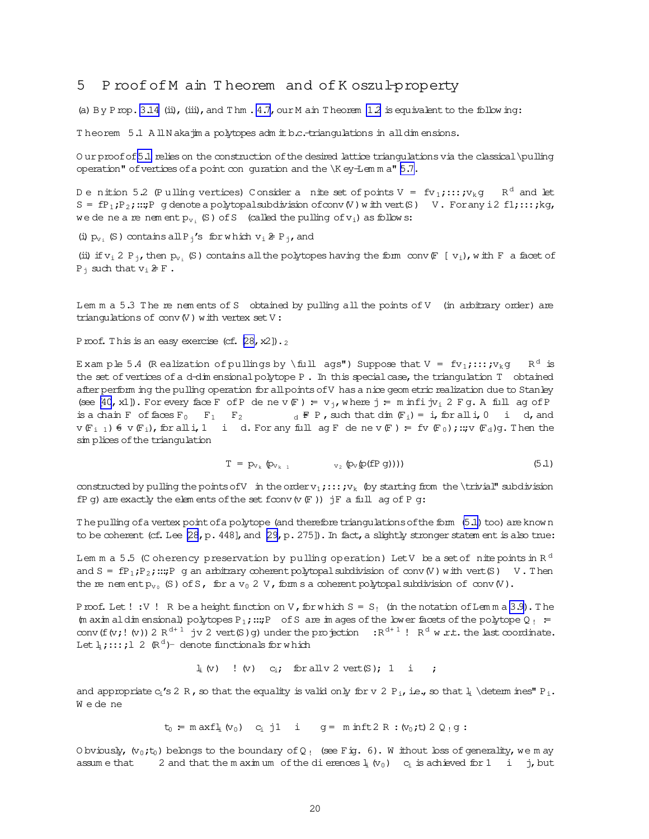## <span id="page-19-0"></span>5 Proof of M ain Theorem and of K oszul-property

(a) By P rop. 3.14 (ii), (iii), and T hm.  $4.7$ , our M ain T heorem 12 is equivalent to the following:

Theorem 5.1 AllNakajima polytopes admit b.c. triangulations in all dimensions.

Our proof of 5.1 relies on the construction of the desired lattice triangulations via the classical \pulling operation" of vertices of a point con guration and the \K ey-Lemma" 5.7.

Denition 5.2 (Pulling vertices) Consider a nite set of points  $V = fv_1$ ;:::; $y_k$ g R<sup>d</sup> and let  $S = fP_1; P_2; \dots; P$  g denote a polytopal subdivision of conv (V) with vert (S) V. For any i2 f1;:::; kg, we de ne a re nem ent  $p_{v_i}$  (S) of S (called the pulling of  $v_i$ ) as follows:

(i)  $p_{v_i}$  (S) contains all P<sub>i</sub>'s for which  $v_i \ncong P_{i}$ , and

(ii) if  $v_i$  2 P<sub>j</sub>, then  $p_{v_i}$  (S) contains all the polytopes having the form conv  $F$  [ $v_i$ ), with F a facet of  $P_i$  such that  $v_i \ncong F$ .

Lem m a 5.3 The re nem ents of S obtained by pulling all the points of V (in arbitrary order) are triangulations of  $conv(V)$  with vertex set  $V$ :

Proof. This is an easy exercise (cf.  $[28, x2]$ ).

Exam ple 5.4 (Realization of pullings by \full ags") Suppose that  $V = fv_1; \ldots; v_k q$  $R^d$  is the set of vertices of a d-dim ensional polytope P. In this special case, the triangulation T obtained after perform ing the pulling operation for all points of V has a nice geom etric realization due to Stanley (see [40, x1]). For every face F of P de ne v  $(F) = v_i$ , where j = m infi jv, 2 Fg. A full ag of P is a chain F of faces  $F_0$   $F_1$   $F_2$  $d \notin P$ , such that dim  $(F_i) = i$ , for all i, 0 i d, and  $v(F_{i-1})$   $\in$   $v(F_i)$ , for all i, 1 i d. For any full ag F denev  $(F)$  = fv  $(F_0)$ ; :: v  $(F_d)$ g. Then the simplices of the triangulation

$$
T = p_{v_k} \left( p_{v_{k-1}} - v_2 \left( p_v(p(\text{fP g}))) \right) \right) \tag{5.1}
$$

constructed by pulling the points of V in the order  $v_1$ ;::;  $v_k$  (by starting from the \trivial" subdivision fP q) are exactly the elements of the set fconv  $(v \nsubseteq j)$  jF a full aq of P q:

The pulling of a vertex point of a polytope (and therefore triangulations of the form (5.1) too) are known to be coherent (cf. Lee [28, p. 448], and [29, p. 275]). In fact, a slightly stronger statem ent is also true:

Lem m a 5.5 (C oherency preservation by pulling operation) LetV be a set of nite points in  $R<sup>d</sup>$ and S =  $fP_1;P_2; \dots; P$  g an arbitrary coherent polytopal subdivision of conv (V) with vert (S) V. Then the re nement  $p_{v_0}$  (S) of S, for a  $v_0$  2 V, form s a coherent polytopal subdivision of conv (V).

Proof. Let !: V! R be a height function on V, for which  $S = S_1$  (in the notation of Lemma 3.9). The (m axim al dim ensional) polytopes  $P_1$ ; ...;  $P_0$  of S are images of the lower facets of the polytope  $Q_1$  = conv (f (v; ! (v)) 2  $R^{d+1}$  jv 2 vert (S) g) under the projection :  $R^{d+1}$  !  $R^d$  w *xt*, the last coordinate. Let  $\frac{1}{4}$ ; :::; 1 2 ( $R^d$ ) - denote functionals for which

> $l_i(v)$  ! (v)  $c_i$ ; for all v 2 vert (S); 1 i  $\rightarrow$

and appropriate  $c_i$ 's 2 R, so that the equality is valid only for v 2 P<sub>i</sub>, i.e., so that  $l_i$  \detem ines" P<sub>i</sub>. Wedene

 $t_0$  = m axfl<sub>i</sub>  $(v_0)$  c<sub>i</sub> j1 i q = m inft 2 R :  $(v_0, t)$  2 Q  $\cdot$  q :

O bviously,  $(v_0,t_0)$  belongs to the boundary of Q<sub>!</sub> (see Fig. 6). W ithout loss of generality, we may assume that 2 and that the m aximum of the dierences  $l_i$  ( $v_0$ )  $c_i$  is achieved for 1 i j, but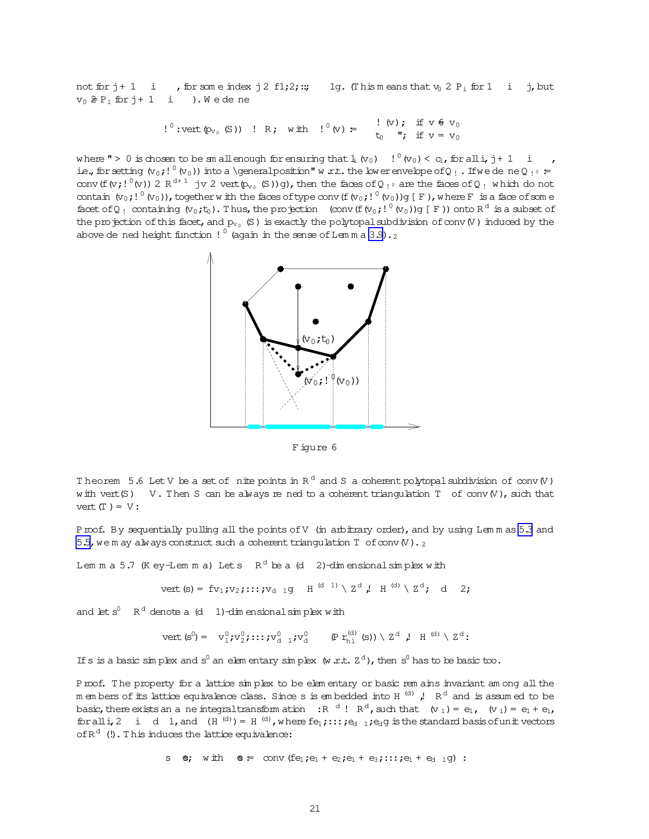<span id="page-20-0"></span>not for  $j+1$  i , for some index  $j$  2 f1;2;:; 1g. (This means that  $v_0$  2  $P_i$  for 1 i j, but  $v_0 \ncong P_i$  for  $j+1$  i ). We dene

$$
!^0
$$
:vert  $(\phi_v, (\mathbb{S}))$  ! R; with  $!^0(v) = \begin{cases} \n\vdots & \n\langle v \rangle; \text{ if } v \in v_0 \\
\vdots & \n\vdots & \n\vdots \\
\vdots & \n\vdots & \n\end{cases}$ 

where " > 0 is chosen to be smaller ough for ensuring that  $\frac{1}{4}(v_0)$   $\frac{1}{2}(v_0) < c_i$ , for all i, j + 1 i ie., for setting  $(v_0; l^0 (v_0))$  into a \general position" w r.t. the lower envelope of Q<sub>!</sub>. If we dene Q<sub>!</sub> = conv (f(v;! $(0,1)^0$ (v)) 2 R<sup>d+1</sup> jv 2 vert(p<sub>ve</sub> (S))q), then the faces of Q<sub>10</sub> are the faces of Q<sub>1</sub> which do not contain  $(v_0; ! 0 (v_0))$ , together with the faces of type conv  $(f(v_0; ! 0 (v_0))q \in F)$ , where F is a face of some facet of Q<sub>!</sub> containing  $(v_0,t_0)$ . Thus, the projection (conv (f  $(v_0, ! \circ (v_0))$  (F)) onto R<sup>d</sup> is a subset of the projection of this facet, and  $p_{v_0}$  (S) is exactly the polytopal subdivision of conv(V) induced by the above de ned height function !  $^0$  (again in the sense of Lemma 3.9).



Figure 6

Theorem 5.6 Let V be a set of nite points in  $R^d$  and S a coherent polytopal subdivision of conv (V) with vert (S) V. Then S can be always re ned to a coherent triangulation T of conv (V), such that vert  $(T) = V$ :

Proof. By sequentially pulling all the points of V (in arbitrary order), and by using Lemmas 5.3 and 5.5, we m ay always construct such a coherent triangulation  $T$  of conv $(V)$ .

Lem m a 5.7 (K ey-Lem m a) Lets  $R^d$  be a (d 2)-dimensional simplex with

vert (s) = fv<sub>1</sub>; v<sub>2</sub>;...; v<sub>d-1</sub>q H<sup>(d-1)</sup> \ 
$$
\times
$$
 Z<sup>d</sup>, H<sup>(d)</sup> \  $\times$  Z<sup>d</sup>; d 2;

and let  $s^0$   $R^d$  denote a (d 1)-dim ensional simplex with

$$
\text{vert } (s^0) = v_1^0; v_2^0; \dots; v_{d-1}^0; v_d^0 \qquad (\text{Pr}_{b_1}^{(d)}(s)) \setminus Z^d \text{ } \mu \text{ } ^{(d)} \setminus Z^d \text{ } .
$$

If s is a basic simplex and s<sup>0</sup> an elementary simplex (w.r.t.  $Z^d$ ), then s<sup>0</sup> has to be basic too.

Proof. The property for a lattice simplex to be elementary or basic rem ains invariant am ong all the m em bers of its lattice equivalence class. Since s is em bedded into H  $^{(d)}$  , R<sup>d</sup> and is assumed to be basic, there exists an a ne integral transform ation  $\mathbb{R}^{d}$ !  $\mathbb{R}^{d}$ , such that  $(v_1) = e_1$ ,  $(v_i) = e_1 + e_i$ , for all i, 2 i d 1, and  $(H^{(d)}) = H^{(d)}$ , where  $fe_1$ ; ::;  $te_1$  1;  $e_d$  is the standard basis of unit vectors of  $R<sup>d</sup>$  (!). This induces the lattice equivalence:

s e; with  $e = \text{conv}(fe_1; e_1 + e_2; e_1 + e_3; \dots; e_1 + e_{d-1}q)$ :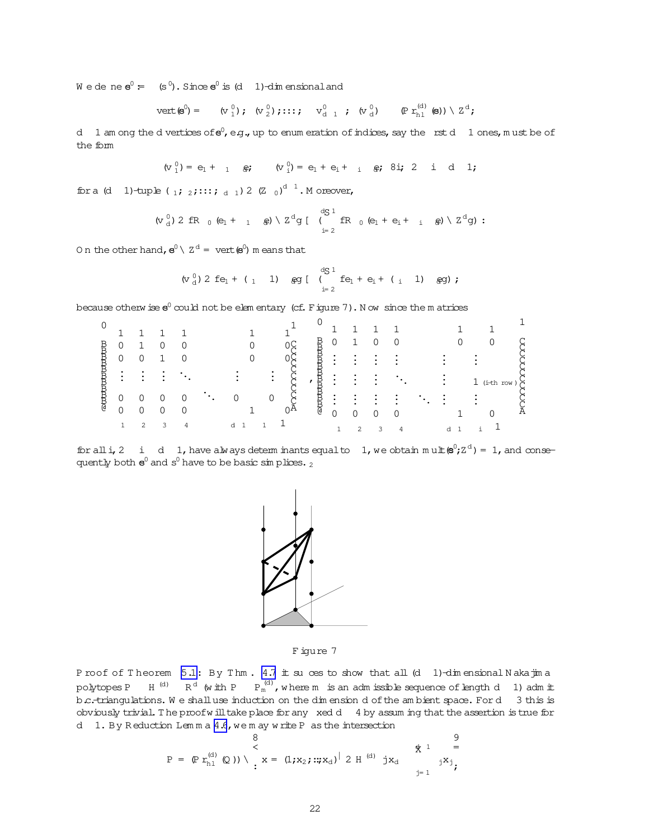$W$  e de ne  $e^0 = (s^0)$ . Since  $e^0$  is (d 1)-dim ensional and

$$
\text{vert}(\mathbf{S}^0) = \begin{pmatrix} \sigma_1^0 \\ \sigma_2^1 \end{pmatrix}; \quad (\sigma_2^0) \text{; : : :; } \quad \sigma_{d-1}^0 \text{ ; } \quad (\sigma_{d}^0) \qquad (\text{Pr}_{h1}^{(d)} \text{ } (\mathbf{S})) \setminus \text{Z}^d \text{ ;}
$$

d 1 am ong the d vertices of  $e^0$ , e.g., up to enum eration of indices, say the rst d 1 ones, must be of the form

 $(v_1^0) = e_1 + 1$   $\oplus$ ;  $(v_1^0) = e_1 + e_1 + 1$   $\oplus$ ;  $8i$ ; 2 i d 1;

for a (d 1)-tuple (1; 2; :::; d 1) 2 (Z 0)<sup>d 1</sup>. M oreover,

$$
(v_d^0) 2 fR_0 (e_1 + 1 e) \setminus Z^d g \left[ \begin{array}{c} dg 1 \\ (f) fR_0 (e_1 + e_1 + 1 e) \setminus Z^d g \end{array} \right].
$$

On the other hand,  $e^{0} \setminus Z^{d} = \text{vert}(e^{0})$  m eans that

$$
(v_d^0) 2 fe_1 + (1_1 1)
$$
  $g_g^0$   $\begin{bmatrix} d_0^1 & d_1 & d_2 & d_3 & d_4 \\ 0 & f_1^1 & f_2^1 & f_3 & f_4^1 & f_5^1 & f_6 & f_7^1 \\ 0 & 0 & 0 & 0 & 0 & 0 \\ 0 & 0 & 0 & 0 & 0 & 0 \\ 0 & 0 & 0 & 0 & 0 & 0 \\ 0 & 0 & 0 & 0 & 0 & 0 \\ 0 & 0 & 0 & 0 & 0 & 0 \\ 0 & 0 & 0 & 0 & 0 & 0 \\ 0 & 0 & 0 & 0 & 0 & 0 \\ 0 & 0 & 0 & 0 & 0 & 0 \\ 0 & 0 & 0 & 0 & 0 & 0 & 0 \\ 0 & 0 & 0 & 0 & 0 & 0 & 0 \\ 0 & 0 & 0 & 0 & 0 & 0 & 0 \\ 0 & 0 & 0 & 0 & 0 & 0 & 0 \\ 0 & 0 & 0 & 0 & 0 & 0 & 0 \\ 0 & 0 & 0 & 0 & 0 & 0 & 0 \\ 0 & 0 & 0 & 0 & 0 & 0 & 0 & 0 \\ 0 & 0 & 0 & 0 & 0 & 0 & 0 & 0 \\ 0 & 0 & 0 & 0 & 0 & 0 & 0 & 0 \\ 0 & 0 & 0 & 0 & 0 & 0 & 0 & 0 \\ 0 & 0 & 0 & 0 & 0 & 0 & 0 & 0 \\ 0 & 0 & 0 & 0 & 0 & 0 & 0 & 0 \\ 0 & 0 & 0 & 0 & 0 & 0 & 0 & 0 \\ 0 & 0 & 0 & 0 & 0 & 0 & 0 & 0 \\ 0 & 0 & 0 & 0 & 0 & 0 & 0 & 0 \\ 0 & 0 & 0 & 0 & 0 & 0 & 0 & 0 \\ 0 & 0 & 0 & 0 & 0 & 0 & 0 & 0 \\ 0 & 0 & 0 & 0 & 0 & 0 & 0 & 0 \\ 0 & 0 & 0 & 0 & 0 & 0 & 0 & 0 \\ 0 & 0 & 0 & 0 & 0 & 0 & 0 & 0 \\ 0 & 0 & 0 & 0 & 0 & 0 & 0 & 0 \\ 0 & 0 & 0 & 0 & 0 & 0 & 0 & 0 \\ 0 & 0 &$ 

because otherwise  $e^0$  could not be elementary (cf. Figure 7). Now since the m atrices

| 0       |   |  |  |   |                |     |        |          |   |  |  |  |               |   |
|---------|---|--|--|---|----------------|-----|--------|----------|---|--|--|--|---------------|---|
|         |   |  |  |   |                |     |        |          |   |  |  |  |               |   |
| B       | 0 |  |  |   |                |     | Ř      | U        |   |  |  |  |               |   |
| B       | 0 |  |  |   |                |     | Ŕ<br>₿ | ٠        |   |  |  |  |               |   |
| R<br>Ħ, | ٠ |  |  |   | $\bullet$<br>٠ |     | ₿      | ٠        |   |  |  |  | $1$ (i-th row |   |
| B       | 0 |  |  |   | 0              |     |        |          |   |  |  |  |               |   |
| G       | 0 |  |  |   |                | בעו | T      | $\Omega$ |   |  |  |  |               | A |
|         |   |  |  | d |                |     |        |          | 2 |  |  |  |               |   |

for all i, 2 i d 1, have always determinants equal to 1, we obtain  $m u \pm (\mathbf{e}^0; \mathbf{Z}^d) = 1$ , and consequently both  $e^0$  and  $s^0$  have to be basic simplices. 2



Figure 7

Proof of Theorem 5.1: By Thm. 4.7 it su ces to show that all (d 1)-dimensional Nakajima polytopes P H<sup>(d)</sup> R<sup>d</sup> (with P  $P_m^{(d)}$ , where m is an admissible sequence of length d 1) admit b.c.triangulations. We shall use induction on the dimension d of the ambient space. For d 3 this is obviously trivial. The proof will take place for any xed d 4 by assuming that the assertion is true for d 1. By Reduction Lemma 4.6, we may write P as the intersection

$$
P = (P r_{h1}^{(d)} (Q)) \setminus \begin{array}{c} 8 & 9 \\ \times & \times \\ \vdots & \vdots \\ x = (1, x_2, \ldots, x_d) \big| 2 H^{(d)} j x_d & j x_j \\ \vdots & \vdots \end{array}
$$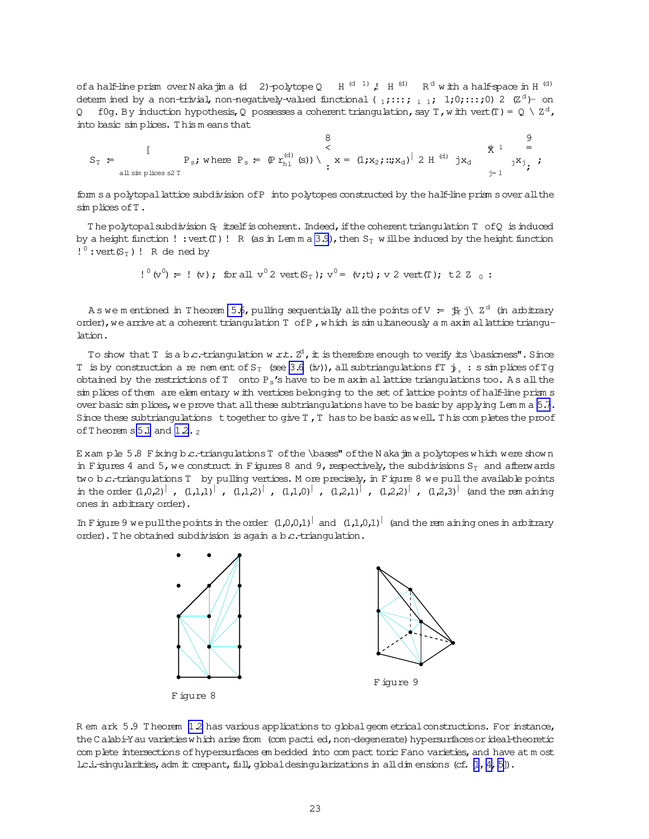of a half-line prism over N aka jim a (d 2)-polytope Q H  $^{(d)}$  J, H  $^{(d)}$  R<sup>d</sup> w ith a half-space in H  $^{(d)}$ detem ined by a non-trivial, non-negatively-valued functional (1;:::; i 1; 1;0;:::;0) 2  $(\mathbb{Z}^d)$ - on Q f0q. By induction hypothesis, Q possesses a coherent triangulation, say T, with vert  $(T) = Q \setminus Z^d$ , into basic simplices. This means that

$$
S_{T} = \begin{bmatrix} 8 & 9 \\ \text{if } P_{s} \text{ is the same set } P_{s} = \left( \Pr_{h1}^{(d)}(s) \right) \setminus \left( x = (1, x_{2}) : x_{d} \right)^{1} 2 H^{(d)} jx_{d} & \text{if } x_{j} = 1 \end{bmatrix}
$$

form s a polytopal lattice subdivision of P into polytopes constructed by the half-line prism s over all the simplices of T.

The polytopal subdivision S<sub>p</sub> itself is coherent. Indeed, if the coherent triangulation T of Q is induced by a height function !: vert  $(T)$ ! R (as in Lemma 3.9), then  $S_T$  will be induced by the height function  $!^0$ : vert  $(S_T)$ ! R de ned by

 $!^0$  (v<sup>0</sup>) =  $!$  (v); for all v<sup>0</sup> 2 vert(S<sub>T</sub>); v<sup>0</sup> = (v;t); v 2 vert(T); t 2 Z<sub>0</sub>:

As we m entioned in Theorem 5.6, pulling sequentially all the points of  $V = \frac{1}{P} \text{ i} \times 2^d$  (in arbitrary order), we arrive at a coherent triangulation T of P, which is simultaneously a m axim allattice triangulation.

To show that T is a b c.-triangulation w.r.t.  $Z^1$ , it is therefore enough to verify its \basicness". Since T is by construction a re nem ent of S<sub>T</sub> (see 3.6 (iv)), all subtriangulations fT  $\frac{1}{2}$ , : s simplices of Tg obtained by the restrictions of  $T$  onto  $P_s$ 's have to be m axim al lattice triangulations too. As all the sin plices of them are elementary with vertices belonging to the set of lattice points of half-line prisms over basic simplices, we prove that all these subtriangulations have to be basic by applying Lemma  $5.7$ . Since these subtriangulations together to give  $T$ ,  $T$  has to be basic as well. This completes the proof of Theorem s  $5.1$  and  $1.2.2$ 

Exam ple 5.8 Fixing b.c.-triangulations T of the \bases" of the N akajim a polytopes which were shown in Figures 4 and 5, we construct in Figures 8 and 9, respectively, the subdivisions  $S_T$  and afterwards two b.c.-triangulations T by pulling vertices. M ore precisely, in Figure 8 we pull the available points in the order  $(1,0,2)$ ,  $(1,1,1)$ ,  $(1,1,2)$ ,  $(1,1,0)$ ,  $(1,2,1)$ ,  $(1,2,2)$ ,  $(1,2,3)$ ,  $(1,2,3)$  and the rem aining ones in arbitrary order).

In Figure 9 we pull the points in the order  $(1,0,0,1)$  and  $(1,1,0,1)$  (and the rem aining ones in arbitrary order). The obtained subdivision is again a b.c.-triangulation.



R em ark 5.9 Theorem 12 has various applications to global geom etrical constructions. For instance, the C alabi-Y au varieties w hich arise from (com pacti ed, non-degenerate) hypersurfaces or ideal-theoretic com plete intersections of hypersurfaces em bedded into com pact toric Fano varieties, and have at m ost lc.i.-singularities, adm it crepant, full, qbbaldesingularizations in all dimensions (cf.  $[1, 4, 5]$ ).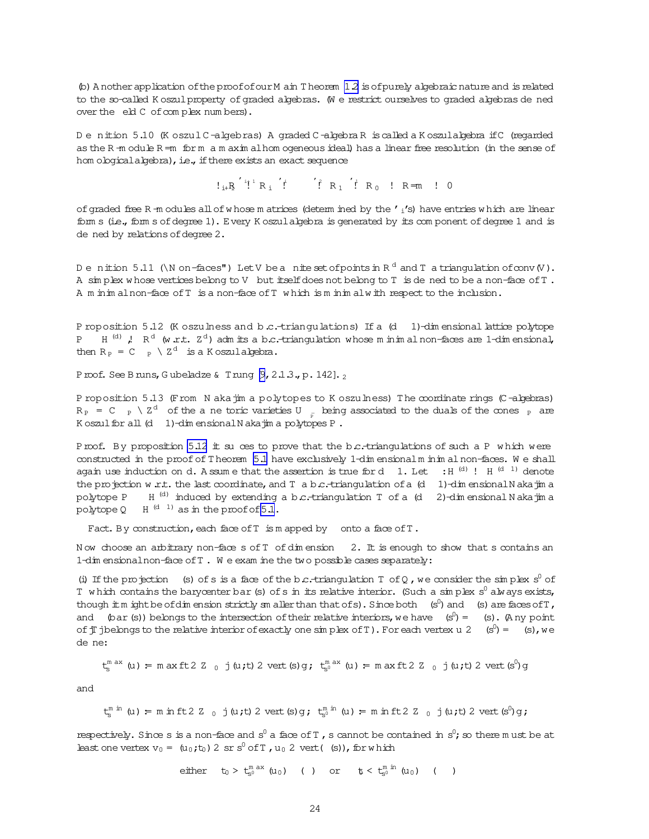$\phi$ ) A nother application of the proof of our M ain T heorem 12 is of purely algebraic nature and is related to the so-called K oszul property of graded algebras. We restrict ourselves to graded algebras de ned over the eld C of complex numbers).

De nition 5.10 (K oszul C-algebras) A graded C-algebra R is called a K oszul algebra if C (regarded as the R-m odule R-m form a m axim allom ogeneous ideal) has a linear free resolution (in the sense of hom ological algebra), i.e., if there exists an exact sequence

 $!_{i+1}R^{i}$   $!^{i+1}R_{i}$   $!^{i}$   $!^{i}R_{1}$   $!^{i}R_{0}$   $!^{i}R_{0}$   $!^{i}R_{0}$   $!^{i}R_{1}$   $!^{i}Q_{1}$ 

of graded free R = m odules all of whose m atrices (determ ined by the  $'$   $_1$ 's) have entries which are linear form s (i.e., form s of degree 1). Every K oszulalgebra is generated by its component of degree 1 and is de ned by relations of degree 2.

Denition 5.11 (\N on-faces") Let V be a nite set of points in  $R^d$  and T a triangulation of conv  $(V)$ . A simplex whose vertices belong to V but itself does not belong to T is dened to be a non-face of T. A m inim al non-face of T is a non-face of T which is m inim alw ith respect to the inclusion.

P roposition 5.12 (K oszulness and b.c.-triangulations) If a (d 1)-dimensional lattice polytope P  $H^{(d)}$ ,  $R^d$  (w.r.t.  $Z^d$ ) adm its a b.c.-triangulation whose m in im almon-faces are 1-dimensional, then  $R_P = C_{P} \setminus Z^d$  is a Koszulalgebra.

Proof. See Bruns, Gubeladze & Trung  $\beta$ , 2.1.3., p. 142].

P roposition 5.13 (From N aka jim a polytopes to K oszulness) The coordinate rings (C-algebras)  $R_P = C_P \setminus Z^d$  of the a ne toric varieties U  $\frac{1}{R}$  being associated to the duals of the cones  $\frac{1}{R}$  are K oszul for all (d 1)-dim ensional N akajim a polytopes P.

Proof. By proposition 5.12 it su ces to prove that the b.c.-triangulations of such a P which were constructed in the proof of Theorem 5.1 have exclusively 1-dimensional minimal non-faces. We shall again use induction on d. A ssum e that the assertion is true for d 1. Let : H  $^{(d)}$  ! H  $^{(d-1)}$  denote the projection w.r.t. the last coordinate, and T a b.c.-triangulation of a  $(d \ 1)$ -dimensional N akajim a H<sup>(d)</sup> induced by extending a b.c.-triangulation T of a (d) 2)-dimensional N akatima polytope P  $H^{(d-1)}$  as in the proof of  $5.1$ . polytope 0

Fact. By construction, each face of T is m apped by onto a face of T.

Now choose an arbitrary non-face s of T of dimension 2. It is enough to show that s contains an 1-dim ensional non-face of T. We exam ine the two possible cases separately:

(i) If the projection (s) of s is a face of the b.c.-triangulation T of Q, we consider the simplex s<sup>0</sup> of T which contains the barycenter bar (s) of s in its relative interior. (Such a simplex  $s^0$  always exists, though it m ight be of dimension strictly sm aller than that of s). Since both (s<sup>0</sup>) and (s) are faces of T, and (bar (s)) belongs to the intersection of their relative interiors, we have  $(s^0) = (s)$ . (A ny point of  $\pi$  jbelongs to the relative interior of exactly one sin plex of T). For each vertex u 2 (s<sup>0</sup>) = (s), we de ne:

$$
t_{\rm s}^{\rm max} \text{ (u) = } \text{maxft2 Z }_0 \text{ j (u;t) 2 vert (s) g; } t_{\rm s0}^{\rm max} \text{ (u) = } \text{maxft2 Z }_0 \text{ j (u;t) 2 vert (s0) g}
$$

and

 $t_{\epsilon}^{m \text{ in }}(u)$  = m in ft 2 Z  $_0$  j (u;t) 2 vert (s) g;  $t_{\epsilon}^{m \text{ in }}(u)$  = m in ft 2 Z  $_0$  j (u;t) 2 vert (s<sup>0</sup>) g;

respectively. Since s is a non-face and s<sup>0</sup> a face of T, s cannot be contained in s<sup>0</sup>; so there m ust be at least one vertex  $v_0 = (u_0, t_0) 2 \text{ sr } s^0 \text{ of } T$ ,  $u_0 2 \text{ vert}(s)$ , for which

either 
$$
t_0 > t_0^{\text{max}}(u_0)
$$
 ( ) or  $t_0 < t_0^{\text{min}}(u_0)$  ( )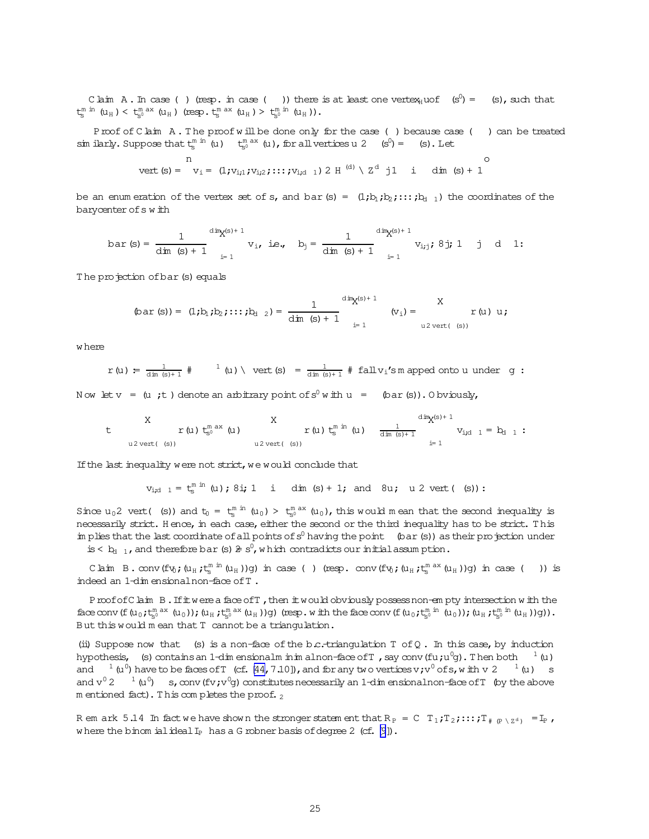C laim A. In case () (resp. in case ()) there is at least one vertex<sub>H</sub>uof  $(s^0) =$  (s), such that  $t_{s}^{m \text{ in }} (u_{H}) < t_{s}^{m \text{ ax }} (u_{H})$  (resp.  $t_{s}^{m \text{ ax }} (u_{H}) > t_{s}^{m \text{ in }} (u_{H}))$ .

Proof of Claim A. The proof will be done only for the case () because case () can be treated sim ilarly. Suppose that  $t_s^m$  <sup>in</sup> (u)  $t_{s_0}^{m \text{ ax}}$  (u), for all vertices u 2  $(s^0) =$  (s). Let

vert(s)= n v<sup>i</sup> = (1;vi;1;vi;2;:::;vi;d <sup>1</sup>)2 H (d) \ Z <sup>d</sup> j1 i dim (s)+ 1 o

be an enum eration of the vertex set of s, and bar(s) =  $(1,b_1,b_2,\ldots,b_{d-1})$  the coordinates of the barycenter of s with

$$
\text{bar}\ (s)=\ \frac{1}{\text{dim}\ (s)+1}\ \frac{\text{dim} _{X} (s)+1}{\text{dim}\ (s)+1}\ v_i,\ \text{ie.,}\ \ b_j=\ \frac{1}{\text{dim}\ (s)+1}\ \frac{\text{dim} _{X} (s)+1}{\text{dim}\ (s)+1}\ v_{i\, j};\ 8\ j;\ 1\quad j\quad d\quad 1\text{:}
$$

The projection of bar (s) equals

$$
\text{(bar (s)) = (1;b_1;b_2;\ldots;b_{d-2}) = \frac{1}{\text{dim (s)} + 1} \text{ div}_{X^{(s)+1}} \text{ (v_i)} = \text{Var (u) u;}
$$

w here

$$
r\left(u\right)\text{ := }\frac{1}{\dim\left(s\right)+1}\text{ } \text{ }^{\# }\text{ } \text{ }^{1}\left(u\right)\text{ }\backslash\text{ } \text{vert }(s)\text{ }^{=}\text{ }\frac{1}{\dim\left(s\right)+1}\text{ }^{\# }\text{ fall}\,v_{i}\text{'s}\,\text{m} \text{ and not out under }\,g\text{ :}
$$

Now let  $v = (u ; t)$  denote an arbitrary point of  $s^0 w$  ith  $u = (bar(s)).$  O bviously,

t  
\nx  
\n
$$
r(u) t_{s^0}^{\text{max}}(u)
$$
  
\nx  
\n $r(u) t_{s}^{\text{min}}(u) \frac{1}{\dim(s)+1} \text{diag}(s) + 1$   
\n $u^2 \text{vert}(\text{ s}))$   
\n $u^2 \text{vert}(\text{ s}))$   
\n $u^2 \text{vert}(\text{ s}))$   
\n $u^2 \text{vert}(\text{ s}))$   
\n $u^2 \text{vert}(\text{ s}))$   
\n $u^2 \text{vert}(\text{ s}))$ 

If the last inequality were not strict, we would conclude that

 $v_{i,d-1} = t_s^{m \text{ in }} (u)$ ; 8i; 1 i dim (s) + 1; and 8u; u 2 vert( (s)):

Since  $u_0$ 2 vert( (s)) and  $t_0 = t_s^{m in} (u_0) > t_s^{m}$  ( $u_0$ ), this would mean that the second inequality is necessarily strict. Hence, in each case, either the second or the third inequality has to be strict. This im plies that the last coordinate of all points of  $s^0$  having the point (bar(s)) as their projection under is  $< b_{d-1}$ , and therefore bar (s)  $\ge s^0$ , w hich contradicts our initial assum ption.

Claim B.  $conv(fv_0;(u_H,t_S^m)^m(u_H))g)$  in case ( ) (resp.  $conv(fv_0;(u_H,t_S^m)^{ax}(u_H))g)$  in case ( )) is indeed an 1-dim ensionalnon-face ofT .

ProofofClaim B. If it were a face of T, then it would obviously possess non-em pty intersection w ith the face conv (f  $(u_0; t_{s^0}^{\text{max}}(u_0)); (u_{\text{H}}; t_{s^0}^{\text{max}}(u_{\text{H}}))$ g) (resp.with the face conv (f  $(u_0; t_{s^0}^{\text{min}}(u_0)); (u_{\text{H}}; t_{s^0}^{\text{min}}(u_{\text{H}}))$ g)). But this would m ean that T cannot be a triangulation.

(ii) Suppose now that (s) is a non-face of the b.c.-triangulation  $T$  of Q. In this case, by induction hypothesis, (s) contains an 1-dim ensionalm inim alnon-face of T , say conv (fu;u $^0$ g). Then both  $^{-1}$  (u) and  $^{-1}$  (u<sup>0</sup>) have to be faces of T (cf. [\[44,](#page-32-0)7.10]), and for any two vertices v; v<sup>0</sup> of s, with v 2  $^{-1}$  (u) s and  $v^0$  2  $^{-1}$  (u<sup>0</sup>) s, conv (fv;v<sup>0</sup>g) constitutes necessarily an 1-dim ensionalnon-face of T (by the above m entioned fact). This completes the proof.  $_2$ 

R em ark 5.14 In fact we have shown the stronger statem ent that  $R_P = C T_1$ ;  $T_2$ ;:::;  $T_{\# (P \setminus Z^d)} = I_P$ , where the binom ialideal  $I_P$  has a G robner basis of degree 2 (cf.  $[9]$ ).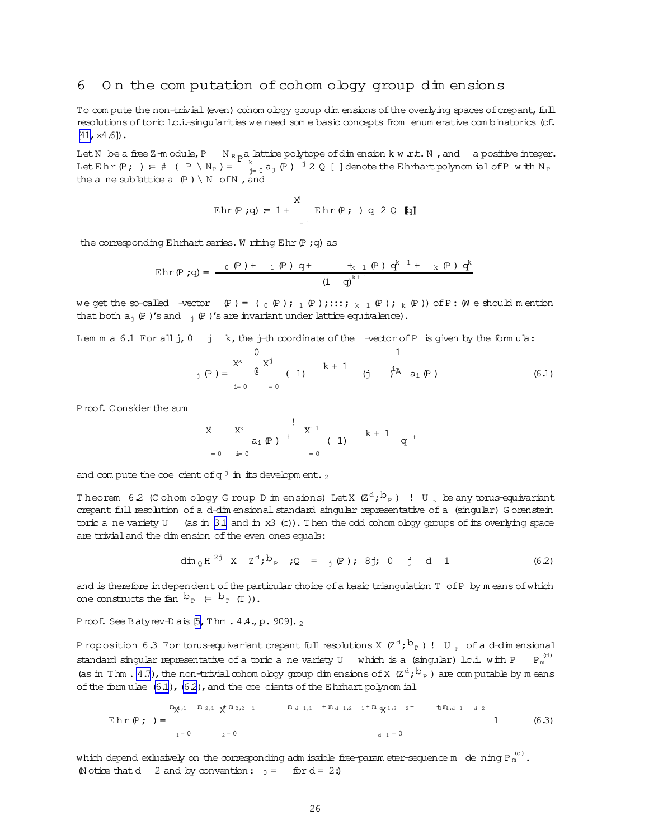#### <span id="page-25-0"></span>On the computation of cohom ology group dimensions 6

To compute the non-trivial (even) cohom ology group dim ensions of the overlying spaces of crepant, full resolutions of toric lc.i.-singularities we need some basic concepts from enumerative combinatorics (cf.  $[41, x4.6]$ .

Let N be a free Z m odule, P  $N_{R}$  pa lattice polytope of dimension k w  $xt. N$ , and a positive integer. Let E h r (P ; ) =  $#$  (P \ N<sub>P</sub>) =  $\frac{k}{j=0} a_j$  (P ) <sup>j</sup> 2 Q [ ] denote the E h rhart polynom ial of P with N<sub>P</sub> the a ne sublattice a  $(P) \setminus N$  of N, and

$$
\operatorname{Ehr}(\mathbb{P};q) = 1 + \sum_{i=1}^{N} \operatorname{Ehr}(\mathbb{P}; \cdot) q 2 Q \quad [q]
$$

the corresponding Ehrhart series. W riting Ehr  $(P, q)$  as

$$
\text{Ehr}(\mathbb{P} \text{ ; q}) = \frac{0 \text{ } (\mathbb{P} \text{ } ) + 1 \text{ } (\mathbb{P} \text{ } ) \text{ } q + \frac{1}{(\mathbb{P} \text{ } ) \text{ } q^k} \text{ } \frac{1}{(\mathbb{P} \text{ } ) \text{ } q^k} \text{ } \frac{1}{(\mathbb{P} \text{ } ) \text{ } q^k} \text{ } \frac{1}{(\mathbb{P} \text{ } ) \text{ } q^k}
$$

we get the so-called -vector  $(P) = (Q(P); P(P); \ldots; R(Q)$ ;  $(P); R(P)$ ) of P: (We should mention that both  $a_j$  (P)'s and  $j$  (P)'s are invariant under lattice equivalence).

Lem  $m a 6.1$  For all  $j, 0$  j k, the j-th coordinate of the -vector of P is given by the formula:

Proof. Consider the sum

$$
\begin{array}{ccc}\n\frac{1}{x} & x^{k} & \vdots & x^{k+1} \\
a_i (P) & i & (1) & k+1 \\
=0 & i=0 & & =0\n\end{array}
$$

and compute the coe cient of  $q^j$  in its development.

Theorem 6.2 (Cohom ology G roup D im ensions) Let X  $(\mathbb{Z}^d; b_{\mathbb{P}})$  ! U, be any torus-equivariant crepant full resolution of a d-dim ensional standard singular representative of a (singular) G orenstein toric a ne variety  $U$  (as in 3.1 and in x3 (c)). Then the odd cohom ology groups of its overlying space are trivial and the dim ension of the even ones equals:

$$
\dim_{\mathbb{Q}} H^{2j} \times Z^{d} ; b_{p} \quad (Q = \{ (\mathbb{P}) : 8 \} ; 0 \quad j \quad d \quad 1
$$

and is therefore independent of the particular choice of a basic triangulation T of P by m eans of which one constructs the fan  $b_{p} \leftarrow b_{p}$  (T)).

Proof. See Batyrev-Dais  $[5, Thm. 4.4, p. 909]$ .

P roposition 6.3 For torus-equivariant crepant full resolutions X  $(\mathbb{Z}^d; b_{\mathbb{P}})$ ! U, of a d-dimensional  $P_m^{(d)}$ standard singular representative of a toric a ne variety U which is a (singular) Lc.i. with P (as in Thm . 4.7), the non-trivial cohom ology group dim ensions of X  $(\mathbb{Z}^d; b_{\mathbb{P}})$  are computable by means of the formulae  $(6.1)$ ,  $(6.2)$ , and the  $\infty$ e cients of the Ehrhart polynomial

$$
\mathbf{E} \ln r \ (\mathbf{P} \ \mathbf{j} \ ) = \n\begin{array}{ccc}\n\mathbf{m}_{\mathbf{X}^{11}} & \mathbf{m}_{211} \ \mathbf{X}^{m_{212} 1} & \mathbf{m}_{d_{111}} + \mathbf{m}_{d_{112}} \ \mathbf{m}_{d_{111}} + \mathbf{m}_{d_{12}} \ \mathbf{m}_{d_{12}} \ \mathbf{m}_{d_{12}} \ \mathbf{m}_{d_{12}} \ \mathbf{m}_{d_{12}} \ \mathbf{m}_{d_{12}} \ \mathbf{m}_{d_{12}} \ \mathbf{m}_{d_{12}} \ \mathbf{m}_{d_{12}} \ \mathbf{m}_{d_{12}} \ \mathbf{m}_{d_{12}} \ \mathbf{m}_{d_{12}} \ \mathbf{m}_{d_{12}} \ \mathbf{m}_{d_{12}} \ \mathbf{m}_{d_{12}} \ \mathbf{m}_{d_{12}} \ \mathbf{m}_{d_{12}} \ \mathbf{m}_{d_{12}} \ \mathbf{m}_{d_{12}} \ \mathbf{m}_{d_{12}} \ \mathbf{m}_{d_{12}} \ \mathbf{m}_{d_{12}} \ \mathbf{m}_{d_{12}} \ \mathbf{m}_{d_{12}} \ \mathbf{m}_{d_{12}} \ \mathbf{m}_{d_{12}} \ \mathbf{m}_{d_{12}} \ \mathbf{m}_{d_{12}} \ \mathbf{m}_{d_{12}} \ \mathbf{m}_{d_{12}} \ \mathbf{m}_{d_{12}} \ \mathbf{m}_{d_{12}} \ \mathbf{m}_{d_{12}} \ \mathbf{m}_{d_{12}} \ \mathbf{m}_{d_{12}} \ \mathbf{m}_{d_{12}} \ \mathbf{m}_{d_{12}} \ \mathbf{m}_{d_{12}} \ \mathbf{m}_{d_{12}} \ \mathbf{m}_{d_{12}} \ \mathbf{m}_{d_{12}} \ \mathbf{m}_{d_{12}} \ \mathbf{m}_{d_{12}} \ \mathbf{m}_{d_{12}} \ \mathbf{m}_{d_{12}} \ \mathbf{m}_{d_{12}} \ \mathbf{m}_{d_{12}} \ \mathbf{m}_{d_{12}} \ \mathbf{m}_{d_{12}} \ \mathbf{m}_{d_{12}} \ \mathbf{m}_{d_{12}} \ \mathbf{m}_{d_{12}} \ \mathbf{m}_{d_{12}} \ \
$$

which depend exlusively on the corresponding adm issible free-param eter-sequence m de ning  $P_m^{(d)}$ . (N otice that d 2 and by convention:  $_0 =$  for  $d = 2$ :)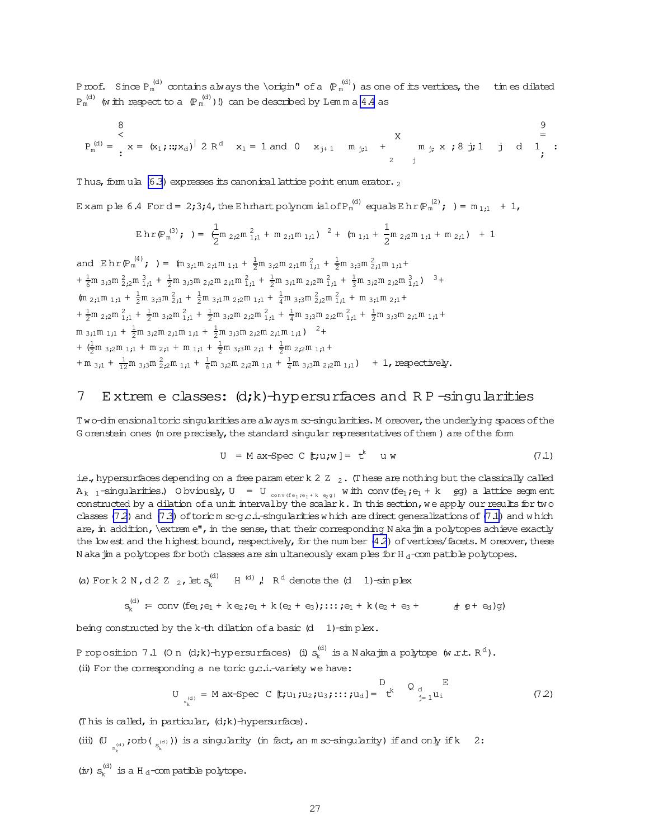<span id="page-26-0"></span>Proof. Since  ${\rm P}_{\rm m}^{(\rm d)}$  contains always the \origin" of a  $\; {\rm P}_{\rm m}^{(\rm d)}$  ) as one of its vertices, the times dilated  ${\tt P_m}^{\rm (d)}$  (with respect to a  $\left({\tt P_m}^{\rm (d)}\right)$  !) can be described by Lem m a [4.4](#page-17-0) as

$$
P_m^{(d)} = \begin{cases} 8 & 9 \\ \times \\ x = (x_1; ...; x_d)^{ \big| } \; 2 \; R^d & x_1 = 1 \; \text{and} \; 0 & x_{j+1} = m_{j,1} + m_{j,1} + m_{j,2} \; x \; ; \; 8 \; j \; ; \; 1 \; j \; d & 1 \; ; \; \\ & \; 2 \; j & \; \end{cases}
$$

Thus, form ula  $(6.3)$  expresses its canonical lattice point enum erator.  $_2$ 

Example 6.4 Ford= 2;3;4,the Ehrhartpolynomial of P $_{\rm m}^{\,(\rm d)}$  equals Ehr $({\rm P}_{\rm m}^{\,(\rm 2)}$ ; )=  ${\rm m}_{\rm \,1;1}$  + 1,

$$
\operatorname{Ehr}(\mathbb{P}_m^{(3)}; \cdot) = \frac{1}{2} m_{2i2} m_{1i1}^2 + m_{2i1} m_{1i1})^{-2} + (m_{1i1} + \frac{1}{2} m_{2i2} m_{1i1} + m_{2i1}) + 1
$$

and  $E \, h \, r \, \left( \mathbb{P}_m^{(4)} \right)$ ; ) =  $\int_{0}^{\pi} \int_{3}^{2} m \, r^2 \, dr \, r^3 \, dr \, \frac{1}{2} m \, r^2 \, dr \, \frac{1}{2} m \, r^2 \, dr \, \frac{1}{2} m \, \frac{1}{2} m \, \frac{1}{2} m \, \frac{1}{2} m \, \frac{1}{2} m \, \frac{1}{2} m \, \frac{1}{2} m \, \frac{1}{2} m \, \frac{1}{2} m \, \frac{1}{2} m \, \frac{1}{2} m \,$  $+ \frac{1}{6}m \frac{2}{3}m \frac{2}{2}m \frac{3}{11} + \frac{1}{2}m \frac{3}{3}m \frac{2}{2}m \frac{2}{11}m \frac{2}{11} + \frac{1}{2}m \frac{3}{11}m \frac{2}{2}m \frac{2}{11} + \frac{1}{3}m \frac{3}{2}m \frac{2}{2}m \frac{3}{11} \big)^{-3} +$  $(m_{2i1}m_{1i1} + \frac{1}{2}m_{3i3}m_{2i1}^2 + \frac{1}{2}m_{3i1}m_{2i2}m_{1i1} + \frac{1}{4}m_{3i3}m_{2i2}^2m_{1i1}^2 + m_{3i1}m_{2i1} +$  $+\frac{1}{2}m$  <sub>2</sub>;<sub>2</sub>m  $\frac{2}{1}$ <sub>1</sub> +  $\frac{1}{2}$ m <sub>3</sub>;<sub>2</sub>m  $\frac{2}{1}$ <sub>1</sub> +  $\frac{1}{2}$ m <sub>3</sub>;<sup>2</sup>m  $\frac{2}{1}$ <sub>1</sub> +  $\frac{1}{4}$ m <sub>3</sub>;3<sup>m</sup> <sub>2</sub>;2<sup>m</sup>  $\frac{2}{1}$ <sub>1</sub> +  $\frac{1}{2}$ m <sub>3</sub>;3<sup>m</sup>  $\frac{2}{1}$ <sup>1</sup> m  $\frac{1}{1}$ <sup>+</sup>  $m_{3,1}m_{1,1} + \frac{1}{2}m_{3,2}m_{2,1}m_{1,1} + \frac{1}{2}m_{3,3}m_{2,2}m_{2,1}m_{1,1})$   $^{2}+$ +  $(\frac{1}{2}m_{3i2}m_{1i1} + m_{2i1} + m_{1i1} + \frac{1}{2}m_{3i3}m_{2i1} + \frac{1}{2}m_{2i2}m_{1i1} +$  $+m_{3;1} + \frac{1}{12}m_{3;3}m_{2;2}^2m_{1;1} + \frac{1}{6}m_{3;2}m_{2;2}m_{1;1} + \frac{1}{4}m_{3;3}m_{2;2}m_{1;1}$  + 1, respectively.

# 7 E xtrem e classes: (d;k)-hypersurfaces and R P -singularities

T wo-dim ensional toric singularities are alwaysm sc-singularities. M oreover, the underlying spaces of the G orenstein ones (m ore precisely, the standard singular representatives of them) are of the form

$$
U = M ax-Spec C [t; u; w] = tk u w \qquad (7.1)
$$

i.e., hypersurfaces depending on a free param eterk 2  $Z$   $_2$ . (These are nothing but the classically called  $A_{k-1}$ -singularities.) O bviously,  $U = U_{conv(f e_1, e_1 + k - e_2 g)}$  with conv(fe<sub>1</sub>;e<sub>1</sub> + k eg) a lattice segm ent constructed by a dilation of a unit interval by the scalark. In this section, we apply our results for two classes (7.2) and [\(7.3\)](#page-27-0) of toric m sc-g.c.i.-singularities w hich are direct generalizations of (7.1) and w hich are, in addition, \extrem e", in the sense, that their corresponding N akajim a polytopes achieve exactly the lowest and the highest bound, respectively, for the num ber  $(4.2)$  of vertices/facets. M oreover, these N akajim a polytopes for both classes are simultaneously examples for  $H_d$ -compatible polytopes.

(a) For k 2 N, d 2 Z <sub>2</sub>, let 
$$
s_k^{(d)}
$$
 H <sup>(d)</sup>, R<sup>d</sup> denote the (d 1)-sim plex  

$$
s_k^{(d)} = \text{conv (fe}_1; e_1 + k e_2; e_1 + k (e_2 + e_3); \dots; e_1 + k (e_2 + e_3 + d e_1 + e_2)g)
$$

being constructed by the k-th dilation of a basic  $(d \t 1)$ -simplex.

P roposition 7.1 (O n  $(d;k)$ -hypersurfaces) (i)  $s_k^{(d)}$  $\mathbf{r}_{\mathbf{k}}^{(\text{d})}$  is a N akajim a polytope (w.r.t.  $\mathbb{R}^{\text{d}}$ ). (ii) For the corresponding a ne toric  $g.c.i$ -variety we have:

$$
U_{s_k^{(d)}} = M \, ax\text{-}Spec \, C \, [t; u_1; u_2; u_3; \dots; t u_d] = \left[ \begin{array}{cc} D & E \\ t^k & g_{j=1} u_1 \end{array} \right] \tag{7.2}
$$

(This is called, in particular,  $(d; k)$ -hypersurface).

(iii) (U  $_{\mathrm{s}^{(\mathrm{d})}_k}$  ;<br>orb(  $_{\mathrm{s}^{(\mathrm{d})}_k}$  )) is a singularity (in fact, an m sc-singularity) if and only if k  $-2$  :

 $(x) s_k^{(d)}$  $\mathbf{e}_{\mathbf{k}}^{(d)}$  is a H  $_d$ -com patible polytope.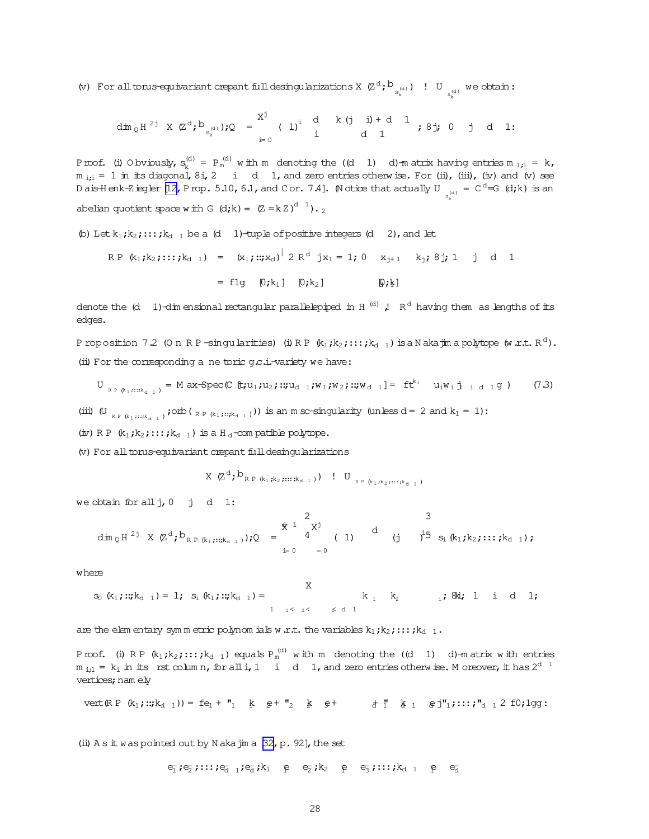<span id="page-27-0"></span>(v) For all torus-equivariant crepant full desingularizations X  $(\mathbb{Z}^d;\mathbb{b}_{s_k^{(d)}})$ ! U  $_{s_k^{(d)}}$  we obtain:

$$
\dim_{\mathbb{Q}} H^{2j} \times (\mathbb{Z}^{d}; b_{s_{k}^{(d)}}); \mathbb{Q} = \begin{matrix} X^{j} & d & k (j & i) + d & 1 \\ 1 & i & d & 1 \end{matrix} ; 8j; 0 \quad j \quad d \quad 1:
$$

Proof. (i) O bviously, s<sub>k</sub>d)  $P_k^{(d)} = P_m^{(d)}$  with m denoting the  $((d \ 1) \ d)$ -m atrix having entries m  $_{1;1} = k$ ,  $m_{i,i} = 1$  in its diagonal,  $8i$ , 2 i d 1, and zero entries otherw ise. For (ii), (iii), (iv) and (v) see D ais Henk-Ziegler [\[12,](#page-31-0) P rop. 5.10, 6.1, and C or. 7.4]. (N otice that actually U  $_{\rm s^{(d)}}$  = C  $^{\rm d}$  =G (d;k) is an k abelian quotient space with G  $(d;k) = (Z = kZ)^{d-1}$ ).

(b) Let 
$$
k_1
$$
;  $k_2$ ;  $\ldots$ ;  $k_{d-1}$  be a (d - 1)-tuple of positive integers (d - 2), and let

 $\blacksquare$ 

$$
RP (k_1; k_2; ...; k_{d-1}) = (x_1; ...; x_d)^{|\n2 R^d j x_1 = 1; 0 \quad x_{j+1} \quad k_j; 8j; 1 \quad j \quad d \quad 1
$$

$$
= \text{flg} \quad [0; k_1] \quad [0; k_2] \quad [0; k]
$$

 $[0:k]$ 

denote the  $(d-1)$ -dim ensional rectangular parallelepiped in H  $^{(d)}$  ,! R  $^{d}$  having them as lengths of its edges.

Proposition 7.2 (On RP-singularities) (i)RP (k1;k2;:::;kd 1) isa N akajim a polytope (w.r.t. R $^{\rm d}$ ). (ii) For the corresponding a ne toric  $q.c.i$ -variety we have:

$$
U_{R P (k_1, \ldots, k_{d-1})} = M ax-Spec(C [t; u_1; u_2; ::; u_{d-1}; w_1; w_2; ::; w_{d-1}] = ft^{k_1} u_1 w_1 j_{d-1} q)
$$
 (7.3)

(iii) (U<sub>RP (k<sub>1</sub> ;::;k<sub>d 1</sub>)</sub>; onb(<sub>RP (k<sub>1</sub> ;::;k<sub>d 1</sub>))) is an m sc-singularity (unless d = 2 and k<sub>1</sub> = 1):</sub>

(iv) R P  $(k_1; k_2; \ldots; k_{d-1})$  is a H<sub>d</sub>-com patible polytope.

(v) For all torus-equivariant crepant full desingularizations

$$
\textbf{X} \ (\textbf{Z}^{\text{d}}; \textbf{b}_{\text{R.P.}(k_1;k_2;\cdots;k_{\text{d-1}})}) \quad \textbf{!} \quad \textbf{U}_{\text{R.P.}(k_1;k_2;\cdots;k_{\text{d-1}})}
$$

we obtain for allj,0 j d 1:

$$
\dim_{\mathbb{Q}} H^{2j} \times (\mathbb{Z}^{d}; b_{\mathbb{R}^{p} (k_{1}; \dots ; k_{d-1})}) \mathbf{,} \mathbb{Q} = \begin{matrix} \frac{1}{2} & 2 & 3 \\ 4 & 4 & 1 \\ 1 & 1 & 1 \end{matrix} \quad \text{d} \quad \begin{matrix} 1 & 3 & 3 \\ 1 & 1 & 5 \\ 1 & 1 & 5 \end{matrix} \quad \text{e.g. } \text{g}_{1}; k_{2}; \dots ; k_{d-1};
$$

where

$$
s_0 (k_1;::; k_{d-1}) = 1; s_i (k_1;::; k_{d-1}) = \begin{cases} 0 & \text{if } k_1 = k_2 \\ 1 & \text{if } k_2 = k_1 \end{cases} \text{ and } s_i \text{ and } 1;
$$

are the elem entary symmetric polynom ials w.r.t. the variables  $k_1; k_2; \ldots; k_{d-1}$ .

Proof. (i) RP (k1;k2;:::;k<sub>d 1</sub>) equals  $P_m^{(d)}$  with m denoting the ((d  $1$ ) d)-matrix with entries  $m_{i,j1} = k_i$  in its rst column, for all i, 1 i d 1, and zero entries otherw ise. Moreover, it has  $2^{d}$  <sup>1</sup> vertices; nam ely

$$
\text{vert}(R \, P \, (k_1;::; k_{d-1})) = fe_1 + "_1 \quad k \quad g + "_2 \quad k \quad g + \qquad d \quad d \quad k \quad a \quad g \, j"_1;::; \quad r_{d-1} \, 2 \, f0; 1g \, g:
$$

(ii)  $A s \pm w$  as pointed out by N aka $\dot{m}$  a  $[32, p. 92]$ , the set

 $e_{\overline{1}}$ ; $e_{\overline{2}}$ ;:::; $e_{\overline{d}-1}$ ; $e_{\overline{d}}$ ; $k_1$   $e_{\overline{2}}$   $e_{\overline{2}}$ ; $k_2$   $e_{\overline{3}}$   $e_{\overline{3}}$ ;:::; $k_{d-1}$   $e_{\overline{3}}$   $e_{\overline{d}}$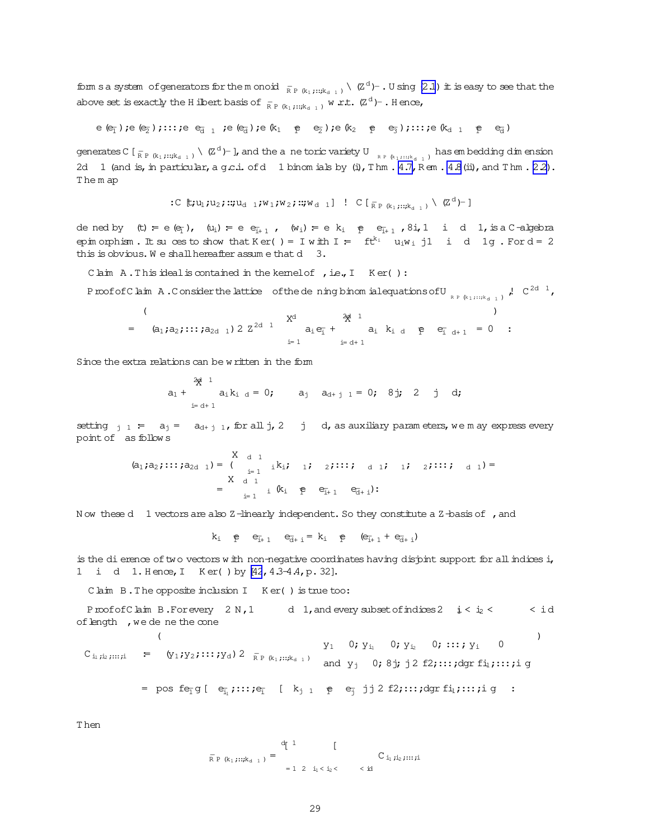form s a system of generators for the monoid  $\frac{1}{R P (k_1, ..., k_{d-1})}$  ( $Z^d$ ) - U sing (2.1) it is easy to see that the above set is exactly the H ilbert basis of  $\frac{1}{R}$   $\frac{1}{R}$   $\frac{1}{R}$   $\frac{1}{R}$   $\frac{1}{R}$   $\frac{1}{R}$   $\frac{1}{R}$   $\frac{1}{R}$   $\frac{1}{R}$   $\frac{1}{R}$   $\frac{1}{R}$   $\frac{1}{R}$   $\frac{1}{R}$   $\frac{1}{R}$   $\frac{1}{R}$   $\frac{1}{R}$   $\frac{1}{R}$   $\frac{1}{R}$ 

$$
\mathtt{\mathsf{e}}\ \mathtt{\mathsf{e}}_{\overline{1}}\ \mathtt{;}\ \mathtt{\mathsf{e}}\ \mathtt{\mathsf{e}}_{\overline{2}}\ \mathtt{;}\ \mathtt{;}\ \mathtt{;}\ \mathtt{;}\ \mathtt{\mathsf{e}}_{\overline{3}}\ \mathtt{;}\ \mathtt{\mathsf{e}}\ \mathtt{\mathsf{e}}_{\overline{4}}\ \mathtt{;}\ \mathtt{\mathsf{e}}\ \mathtt{\mathsf{e}}_{\overline{4}}\ \mathtt{;}\ \mathtt{\mathsf{e}}\ \mathtt{\mathsf{k}}_1\ \mathtt{\mathsf{e}}\ \mathtt{\mathsf{e}}_{\overline{2}}\ \mathtt{;}\ \mathtt{\mathsf{e}}\ \mathtt{\mathsf{k}}_2\ \mathtt{\mathsf{e}}\ \mathtt{\mathsf{e}}_{\overline{3}}\ \mathtt{;}\ \mathtt{;}\ \mathtt{;}\ \mathtt{\mathsf{e}}\ \mathtt{\mathsf{k}}_3\ \mathtt{;}\ \mathtt{\mathsf{e}}\ \mathtt{\mathsf{e}}_{\overline{3}}\ \mathtt{\mathsf{e}}\ \mathtt{\mathsf{e}}_3\ \mathtt{;}\ \mathtt{\mathsf{e}}\ \mathtt{\mathsf{e}}_{\overline{3}}\ \mathtt{\mathsf{e}}\ \mathtt{\mathsf{e}}_3\ \mathtt{\mathsf{e}}\ \mathtt{\mathsf{e}}_3\ \mathtt{\mathsf{e}}\ \mathtt{\mathsf{e}}_4\ \mathtt{\mathsf{e}}\ \mathtt{\mathsf{e}}_4\ \mathtt{\mathsf{e}}_5\ \mathtt{\mathsf{e}}_4\ \mathtt{\mathsf{e}}_5\ \mathtt{\mathsf{e}}_4\ \mathtt{\mathsf{e}}_6\ \mathtt{\mathsf{e}}_5\ \mathtt{\mathsf{e}}_7\ \mathtt{\mathsf{e}}_6\ \mathtt{\mathsf{e}}_7\ \mathtt{\mathsf{e}}_7\ \mathtt{\mathsf{e}}_8\ \mathtt{\mathsf{e}}_8\ \mathtt{\mathsf{e}}_9\ \mathtt{\mathsf{e}}_9\ \mathtt{\mathsf{e}}_9\ \mathtt{\mathsf{e}}_1\ \mathtt{\mathsf{e}}_1\ \mathtt{\mathsf{e}}_2\ \mathtt{\mathsf{e}}_3\ \mathtt{\mathsf{e}}_4\ \mathtt{\mathsf{e}}_4\ \mathtt{\mathsf{e}}_3\ \mathtt{\mathsf
$$

generates C  $[\frac{1}{R P (k_1);::k_{d-1}})$   $\setminus$   $(\mathbb{Z}^d)$ - ], and the a ne toric variety U  $[\frac{1}{R P (k_1);::k_{d-1}})$  has embedding dimension 2d 1 (and is, in particular, a g.c.i. of d 1 binom ials by (i), Thm. 4.7, Rem. 4.8 (ii), and Thm. 2.2). The m ap

: 
$$
C
$$
 [ $\vdash$ ;  $u_1$ ;  $u_2$ ;  $\cdots$ ;  $u_{d-1}$ ;  $W_1$ ;  $W_2$ ;  $\cdots$ ;  $W_{d-1}$ ]  $\vdots$   $C$  [ $\vdots$   $\vdots$   $(k_1, \cdots, k_{d-1})$   $\setminus$   $(Z^d)^{-}$ ]

dened by (t) = e (e<sub>1</sub>), (u<sub>1</sub>) = e e<sub>1+1</sub>, (w<sub>1</sub>) = e k<sub>1</sub> e e<sub>1+1</sub>, 8i, 1 i d 1, is a C-algebra epin orphism. It suces to show that Ker() = I with I =  $ft^{k_i}$  u<sub>i</sub>w<sub>i</sub> j1 i d 1g. For d = 2 this is obvious. We shall hereafter assume that  $d = 3$ .

Claim A. This ideal is contained in the kemel of , i.e., I Ker():

$$
= (a_1, a_2, \ldots, a_{2d-1}) 2 Z^{2d-1} \t X^d \t a_i e_{\bar{i}} + a_i k_{i d} e_{\bar{i} d+1} = 0 :
$$

Since the extra relations can be written in the form

$$
a_1 + a_1 k_{i d} = 0; \t a_j a_{d+j 1} = 0; \t 8j; 2 j d;
$$

setting  $\frac{1}{1}$  =  $a_1 = a_{d+1}$ , for all j, 2 j d, as auxiliary parameters, we m ay express every point of as follows

$$
(a_1, a_2, \ldots, a_{2d-1}) = \begin{cases} X & d & 1 \\ \vdots & \vdots \\ X & d & 1 \end{cases} \quad i \quad k_i; \quad 1; \quad 2; \ldots; \quad d & 1; \quad 1; \quad 2; \ldots; \quad d & 1
$$
\n
$$
= \begin{cases} X & d & 1 \\ \vdots & \vdots \\ X & d & 1 \end{cases} \quad k_i \quad p \quad e_{i+1} \quad e_{d+1} \end{cases};
$$

Now these d 1 vectors are also  $Z$ -linearly independent. So they constitute a  $Z$ -basis of , and

 $k_i$  e  $e_{i+1}$  e<sub>d+i</sub> = k<sub>i</sub> e  $(e_{i+1} + e_{d+i})$ 

is the di erence of two vectors with non-negative coordinates having disjoint support for all indices i, 1 i d 1. Hence, I Ker() by [42, 4.3-4.4, p. 32].

Claim B. The opposite inclusion I Ker() is true too:

Proof of C laim B. For every  $2 N, 1$  d 1, and every subset of indices  $2 \neq 2$  i c id of length, we de ne the cone  $\left($  $\lambda$ 

$$
C_{i_1,i_2,\ldots,i} = (y_1,y_2,\ldots,y_d) 2 \overline{R}_{P(k_1,\ldots,k_{d-1})} \text{ and } y_j \text{ 0; } 8j_j \text{ j2 f2, \ldots; dgr f1_1,\ldots,i_1 g}
$$
  
= pos f e<sub>T</sub> g [ e<sub>i\_1</sub>, \ldots; e<sub>T</sub> [ k<sub>j 1</sub> e e<sub>T</sub> j j 2 f2, \ldots; dgr f1<sub>i</sub>, \ldots; i g :

T hen

$$
\overline{R} \, p \, (k_1 \, ; \, :: \, ; k_{d-1} \, ) = \begin{cases} \text{d} \left[ 1 - \left[ \begin{array}{cc} 1 & \text{if } \\ \\ \\ \end{array} \right] & \text{if } \\ \\ =1 \ 2 \ 1_1 < \, i_2 < \dots < \, \text{id} \end{cases} \end{cases}
$$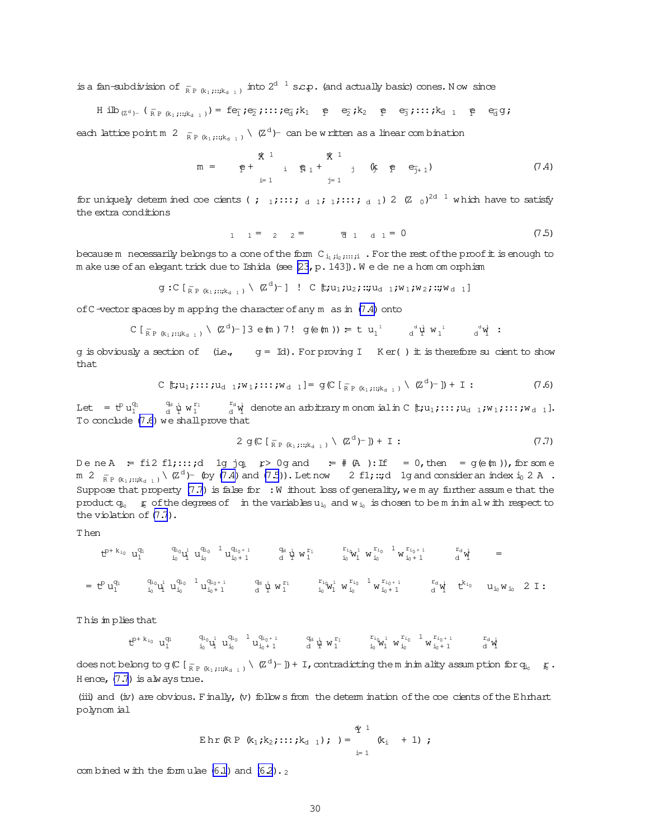is a fan-subdivision of  $_{\mathsf{RP}(k_1;\dots;k_{d-1})}$  into  $2^{d-1}$  s.e.p. (and actually basic) cones. Now since

$$
\text{H ilb}_{\text{Z}^d} \text{L}_{\text{R}^p \text{R}_1; \dots; \text{k}_{d-1}}) = \text{fe}_{\overline{1}} \text{; e}_{\overline{2}} \text{; \dots; e}_{\overline{d}} \text{; k}_1 \quad \text{p} \quad \text{e}_{\overline{2}} \text{; k}_2 \quad \text{p} \quad \text{e}_{\overline{3}} \text{; \dots; k}_{d-1} \quad \text{p} \quad \text{e}_{\overline{d}} \text{g};
$$

each lattice point m 2  $_{\overline{R}P(k_1);\mu_{k_1+1}} \setminus (Z^d)$  can be written as a linear combination

$$
m = \mathfrak{p} + \begin{array}{ccccccccc} & \mathfrak{X} & 1 & & \mathfrak{X} & 1 \\ & \mathfrak{p} & \mathfrak{i} & \mathfrak{p} & 1 & \mathfrak{j} & \mathfrak{k} & \mathfrak{p} & \mathfrak{e}_{\mathfrak{j}+1} \\ & & \mathfrak{i} & \mathfrak{j} & \mathfrak{j} & \mathfrak{k} & \mathfrak{k} & \mathfrak{k} \\ & & & \mathfrak{j} & \mathfrak{j} & \mathfrak{k} & \mathfrak{k} & \mathfrak{k} \end{array}
$$
 (7.4)

for uniquely determined coe cients (; 1;:::; d 1; 1;:::; d 1) 2 (Z 0)<sup>2d 1</sup> which have to satisfy the extra conditions

$$
1 \quad 1 = 2 \quad 2 = \quad \overline{a} \quad 1 \quad a \quad 1 = 0 \tag{7.5}
$$

because m necessarily belongs to a cone of the form  $C_{i_1,i_2,\ldots,i_r}$ . For the rest of the proof it is enough to m ake use of an elegant trick due to Ishida (see [23, p. 143]). We de ne a hom om orphism

$$
g:C\left[\begin{smallmatrix} - \\ \mathsf{R} & \mathsf{P} & (\mathsf{R}_1 & \mathsf{R}_1 & \mathsf{R}_1 & \mathsf{R}_1) \end{smallmatrix}\right] \setminus (\mathbb{Z}^d)^{-1} \quad \text{!} \quad C\left[\mathsf{t} & \mathsf{t} & \mathsf{t} & \mathsf{t} & \mathsf{t} & \mathsf{t} & \mathsf{t} & \mathsf{t} & \mathsf{t} & \mathsf{t} & \mathsf{t} & \mathsf{t} & \mathsf{t} & \mathsf{t} & \mathsf{t} & \mathsf{t} & \mathsf{t} & \mathsf{t} & \mathsf{t} & \mathsf{t} & \mathsf{t} & \mathsf{t} & \mathsf{t} & \mathsf{t} & \mathsf{t} & \mathsf{t} & \mathsf{t} & \mathsf{t} & \mathsf{t} & \mathsf{t} & \mathsf{t} & \mathsf{t} & \mathsf{t} & \mathsf{t} & \mathsf{t} & \mathsf{t} & \mathsf{t} & \mathsf{t} & \mathsf{t} & \mathsf{t} & \mathsf{t} & \mathsf{t} & \mathsf{t} & \mathsf{t} & \mathsf{t} & \mathsf{t} & \mathsf{t} & \mathsf{t} & \mathsf{t} & \mathsf{t} & \mathsf{t} & \mathsf{t} & \mathsf{t} & \mathsf{t} & \mathsf{t} & \mathsf{t} & \mathsf{t} & \mathsf{t} & \mathsf{t} & \mathsf{t} & \mathsf{t} & \mathsf{t} & \mathsf{t} & \mathsf{t} & \mathsf{t} & \mathsf{t} & \mathsf{t} & \mathsf{t} & \mathsf{t} & \mathsf{t} & \mathsf{t} & \mathsf{t} & \mathsf{t} & \mathsf{t} & \mathsf{t} & \mathsf{t} & \mathsf{t} & \mathsf{t} & \mathsf{t} & \mathsf{t} & \mathsf{t} & \mathsf{t} & \mathsf{t} & \mathsf{t} & \mathsf{t} & \mathsf{t} & \mathsf{t} & \mathsf{t} & \mathsf{t} & \mathsf{t} & \mathsf{t} & \mathsf{t} & \mathsf{t} & \mathsf{t} & \mathsf{t} & \
$$

of C-vector spaces by m apping the character of any m as in  $(7.4)$  onto

$$
C[\frac{1}{R P_{\alpha_1;\cdots;\alpha_{d-1}}}\setminus (Z^d)^{-}]\,3\,e(\text{m})\,7!\ \ g(e(\text{m})) = t\,u_1^{1}\,d^d\psi u_1^{1}\,d^d\psi:
$$

q is obviously a section of (i.e.,  $q = Id$ ). For proving I Ker() it is therefore su cient to show that.

$$
\text{C} \ \mathbb{t}; u_1; \cdots; u_{d-1}; w_1; \cdots; w_{d-1} = \text{g} \ \text{C} \ \text{I}_{\mathbb{R}^p \ (k_1; \cdots; k_{d-1})} \ \text{V} \ \text{Z}^d \ \text{I} \ \text{I} \ \text{I} \ \text{I} \tag{7.6}
$$

Let  $=$   $\mathfrak{t}^p u_1^{q_1}$   $=$   $\mathfrak{t}^q u_1^{q_1}$   $\mathfrak{t}^{r_1}$   $\mathfrak{t}^{r_1}$  denote an arbitrary m onomial in C  $\mathfrak{t}$ ;  $u_1$ ; :::;  $u_{d-1}$ ;  $w_1$ ; :::;  $w_{d-1}$ ]. To conclude (7.6) we shall prove that

$$
2 \text{ g}(\text{C} \left[ \frac{1}{R} \sum_{k_1} (k_1, \ldots, k_{d-1}) \right] \setminus (\text{Z}^{\alpha})^{-1}) + 1 : \tag{7.7}
$$

DeneA = fi2 f1;:::;d 1g jq<sub>i</sub>  $\uparrow$ > 0g and = # (A):If = 0, then = g(e(m)), for some m 2  $_{\overline{R} P (k_1) \cdots k_{d-1}}$  \  $(Z^d)$ - (by (7.4) and (7.5)). Let now 2 f1; ::; d 1g and consider an index i<sub>0</sub> 2 A. Suppose that property  $(7.7)$  is false for : W ithout loss of generality, we may further assume that the product  $q_{i_0}$   $\#$  of the degrees of in the variables  $u_{i_0}$  and  $w_{i_0}$  is chosen to be m in im all w ith respect to the violation of  $(7.7)$ .

This implies that

$$
t^{p+k_{i_0}} \ u_1^{q_1} \qquad \quad \begin{matrix} q_{i_0} \\ i_0 \end{matrix} u_1^{q_{i_0}} \ u_{i_0}^{q_{i_0+1}} \ u_{i_0+1}^{q_{i_0+1}} \qquad \quad \begin{matrix} q_{i_0} \\ i_1 \end{matrix} u_1^{r_1} \qquad \quad \begin{matrix} r_{i_0} \\ i_0 \end{matrix} u_1^{r_{i_0+1}} \ u_{i_0}^{r_{i_0+1}} \ u_{i_0+1}^{r_{i_0+1}} \qquad \quad \begin{matrix} r_{i_0} \\ i_1 \end{matrix} u_1^{r_{i_0+1}} \ u_{i_0+1}^{r_{i_0+1}} \ u_{i_0+1}^{r_{i_0+1}} \ u_{i_0+1}^{r_{i_0+1}} \ u_{i_0+1}^{r_{i_0+1}} \ u_{i_0+1}^{r_{i_0+1}} \ u_{i_0+1}^{r_{i_0+1}} \ u_{i_0+1}^{r_{i_0+1}} \ u_{i_0+1}^{r_{i_0+1}} \ u_{i_0+1}^{r_{i_0+1}} \ u_{i_0+1}^{r_{i_0+1}} \ u_{i_0+1}^{r_{i_0+1}} \ u_{i_0+1}^{r_{i_0+1}} \ u_{i_0+1}^{r_{i_0+1}} \ u_{i_0+1}^{r_{i_0+1}} \ u_{i_0+1}^{r_{i_0+1}} \ u_{i_0+1}^{r_{i_0+1}} \ u_{i_0+1}^{r_{i_0+1}} \ u_{i_0+1}^{r_{i_0+1}} \ u_{i_0+1}^{r_{i_0+1}} \ u_{i_0+1}^{r_{i_0+1}} \ u_{i_0+1}^{r_{i_0+1}} \ u_{i_0+1}^{r_{i_0+1}} \ u_{i_0+1}^{r_{i_0+1}} \ u_{i_0+1}^{r_{i_0+1}} \ u_{i_0+1}^{r_{i_0+1}} \ u_{i_0+1}^{r_{i_0+1}} \ u_{i_0+1}^{r_{i_0+1}} \ u_{i_0+1}^{r_{i_0+1}} \ u_{i_0+1}^{r_{i_0+1}} \ u_{i_0+1}
$$

 $\text{does not belong to}\; g\,(\text{C}\,\,\text{\small $\,[\,}_{\mathbf{R}\,\,\mathbf{P}\,\,\,(\mathbf{k}_1\,;\,::;\mathbf{k}_{\mathbf{d}-1}\,)}\,\,\backslash\,\,\text{($Z^d$)}-1)+1\text{, contradicting the $m$ in}\; \text{in}\; \text{ality}\; \text{assume prior}\; \text{for}\; q_{i_0}=\text{``}\; g\text{''}.\;$ Hence,  $(7.7)$  is always true.

(iii) and (iv) are obvious. Finally, (v) follows from the determination of the coe cients of the Ehrhart polynom ial

Ehr (RP (k<sub>1</sub>; k<sub>2</sub>;...; k<sub>d 1</sub>) ; ) = 
$$
\begin{cases} \frac{d}{dx} 1 \\ k_1 + 1 \end{cases}
$$
;

com bined with the formulae  $(6.1)$  and  $(6.2) \cdot z$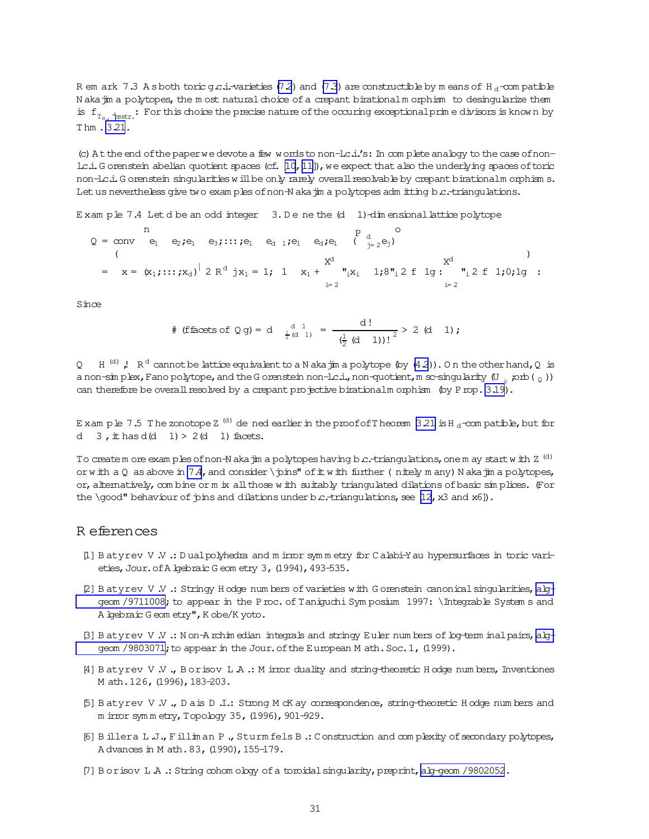<span id="page-30-0"></span>R em ark 7.3 A s both toric  $g.c.i$ -varieties (7.2) and (7.3) are constructible by m eans of H<sub>d</sub>-com patible Nakajim a polytopes, the most natural choice of a crepant birational morphism to desingularize them is  $f_{T_u \to \text{restr}}$ : For this choice the precise nature of the occuring exceptional prime divisors is known by Thm. 3.21.

(c) At the end of the paper we devote a few words to non-lc.i.'s: In complete analogy to the case of nonlc.i. G orenstein abelian quotient spaces (cf. [10, 11]), we expect that also the underlying spaces of toric non-lc.i. Gorenstein singularities will be only rarely overall resolvable by crepant birationalm orphisms. Let us nevertheless give two exam ples of non-N aka jim a polytopes adm itting b.c.-triangulations.

Exam ple 7.4 Let d be an odd integer  $3. D$  e ne the  $(d \ 1)$ -dim ensional lattice polytope

$$
Q = \text{conv} \quad e_1 \quad e_2 \text{ ; } e_1 \quad e_3 \text{ ; } \dots \text{ ; } e_1 \quad e_d \quad e_d \quad e_1 \quad e_d \text{ ; } e_1 \quad e_{d} \text{ ; } e_2 \text{ ; } e_1 \text{ ; } e_2 \text{ ; } e_1 \text{ ; } e_2 \text{ ; } e_1 \text{ ; } e_2 \text{ ; } e_1 \text{ ; } e_1 \text{ ; } e_2 \text{ ; } e_1 \text{ ; } e_1 \text{ ; } e_2 \text{ ; } e_1 \text{ ; } e_1 \text{ ; } e_1 \text{ ; } e_1 \text{ ; } e_1 \text{ ; } e_1 \text{ ; } e_1 \text{ ; } e_1 \text{ ; } e_1 \text{ ; } e_1 \text{ ; } e_1 \text{ ; } e_1 \text{ ; } e_1 \text{ ; } e_1 \text{ ; } e_1 \text{ ; } e_1 \text{ ; } e_1 \text{ ; } e_1 \text{ ; } e_1 \text{ ; } e_1 \text{ ; } e_1 \text{ ; } e_1 \text{ ; } e_1 \text{ ; } e_1 \text{ ; } e_1 \text{ ; } e_1 \text{ ; } e_1 \text{ ; } e_1 \text{ ; } e_1 \text{ ; } e_1 \text{ ; } e_1 \text{ ; } e_1 \text{ ; } e_1 \text{ ; } e_1 \text{ ; } e_1 \text{ ; } e_1 \text{ ; } e_1 \text{ ; } e_1 \text{ ; } e_1 \text{ ; } e_1 \text{ ; } e_1 \text{ ; } e_1 \text{ ; } e_1 \text{ ; } e_1 \text{ ; } e_1 \text{ ; } e_1 \text{ ; } e_1 \text{ ; } e_1 \text{ ; } e_1 \text{ ; } e_1 \text{ ; } e_1 \text{ ; } e_1 \text{ ; } e_1 \text{ ; } e_1 \text{ ; } e_1 \text{ ; } e_1 \text{ ; } e_1 \text{ ; } e_1 \text{ ; } e_1 \text{ ; } e_1 \text{ ; } e_1 \text{ ; } e_1 \text{ ; } e_1 \text{ ; } e_1 \text{ ; } e_1 \text{ ; } e_1 \text{ ; } e_1 \text{ ; } e_1 \text{ ; } e_1 \text{ ; } e_1 \text{ ; } e_1 \text{ ; } e_1 \text{
$$

Since

$$
\# \text{ (ffaces of } \mathbb{Q} \text{ g)} = d \quad \frac{d}{\frac{1}{2} (d-1)} = \frac{d!}{\left(\frac{1}{2} (d-1)\right)!^2} > 2 \quad (d-1);
$$

H<sup>(d)</sup>, R<sup>d</sup> cannot be lattice equivalent to a N aka jin a polytope (by  $(4\,2)$ ). On the other hand, Q is  $Q$ a non-simplex, Fano polytope, and the G orenstein non-l.c.i., non-quotient, m sc-singularity (U  $_0$  ; orb ( $_0$ )) can therefore be overall resolved by a crepant projective birationalm orphism (by Prop. 3.19).

E xam ple 7.5 The zonotope Z<sup>(d)</sup> de ned earlier in the proof of Theorem 3.21 is H<sub>d</sub>-compatible, but for d  $3$ , it has d(d  $1$ ) > 2(d 1) facets.

To create m ore exam ples of non-N aka jin a polytopes having b c.-triangulations, one m ay start with Z<sup>(d)</sup> or with a Q as above in  $7.4$ , and consider \pins" of it with further (nitely m any) N aka jim a polytopes, or, alternatively, combine or m ix all those with suitably triangulated dilations of basic simplices. (For the \qood" behaviour of pins and dilations under b.c.-triangulations, see [12, x3 and x6]).

### R eferences

- [1] B atyrev V .V .: D ualpolyhedra and m irror symmetry for Calabi-Y au hypersurfaces in toric varieties, Jour. of A lgebraic G eom etry 3, (1994), 493-535.
- [2] B atyrev V V .: Stringy H odge numbers of varieties with G orenstein canonical singularities, alggeom /9711008; to appear in the P roc. of Taniguchi Sym posium 1997: \Integrable System s and A lgebraic G eom etry", K obe/K yoto.
- [3] Batyrev V .V .: Non-Archim edian integrals and stringy Euler numbers of bg-term inal pairs, alggeom /9803071; to appear in the Jour. of the European M ath. Soc. 1, (1999).
- [4] Batyrev V.V., Borisov L.A .: M irror duality and string-theoretic Hodge numbers, Inventiones M ath. 126, (1996), 183-203.
- [5] Batyrev V.V., Dais D.I.: Strong McK ay correspondence, string-theoretic Hodge numbers and m irror symmetry, Topology 35, (1996), 901-929.
- [6] Billera L.J., Filliman P., Sturm fels B.: Construction and complexity of secondary polytopes, A dvances in M ath. 83, (1990), 155-179.
- [7] Borisov L.A.: String cohom ology of a tomidal singularity, preprint, alg-geom /9802052.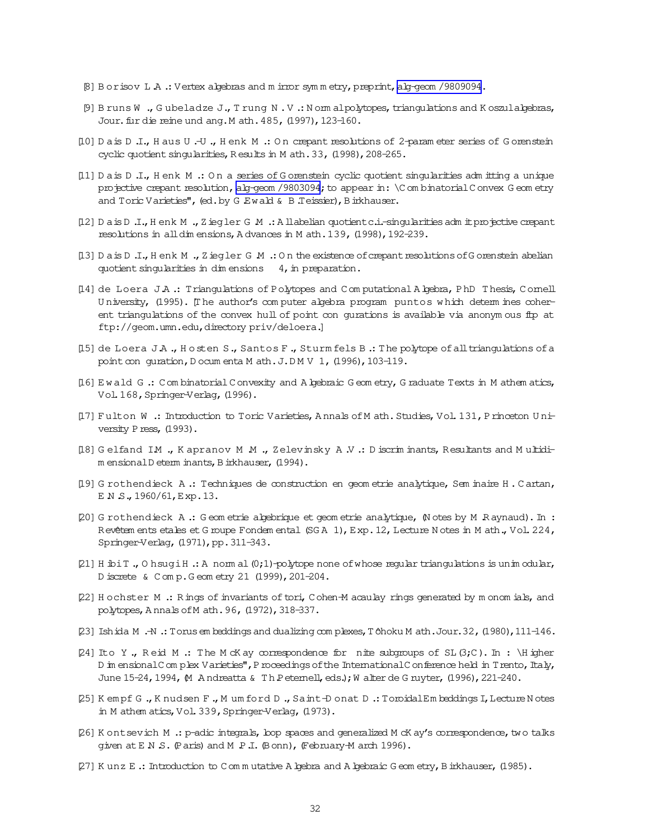- <span id="page-31-0"></span>[8] B or isov L A .: Vertex algebras and m irror symmetry, preprint, alg-geom /9809094.
- [9] Bruns W., Gubeladze J., Trung N.V.: Nommalpolytopes, triangulations and Koszulalgebras, Jour. fur die reine und ang. M ath. 485, (1997), 123-160.
- [10] D a is D .I., H aus U .-U ., H enk M .: On crepant resolutions of 2-param eter series of G orenstein cyclic quotient singularities, Results in M ath. 33, (1998), 208-265.
- [11] Dais D.I., Henk M .: On a series of Gorenstein cyclic quotient singularities adm itting a unique projective crepant resolution, alg-geom /9803094; to appear in: \C om binatorial C onvex G eom etry and Toric Varieties", (ed. by G Ewald & B Teissier), B irkhauser.
- [12] Dais D.I., Henk M., Ziegler G.M.: Allabelian quotient c.i.-singularities adm it projective crepant resolutions in all dim ensions, A dvances in M ath. 139, (1998), 192-239.
- [13] Dais D.I., Henk M., Ziegler G.M.: On the existence of crepant resolutions of Gorenstein abelian quotient singularities in dimensions 4, in preparation.
- [14] de Loera J.A .: Triangulations of Polytopes and Computational Algebra, PhD Thesis, Comell University, (1995). [The author's computer algebra program puntos which determines coherent triangulations of the convex hull of point con gurations is available via anonym ous fip at ftp://geom.umn.edu,directorypriv/deloera.]
- [15] de Loera JA., Hosten S., Santos F., Sturm fels B.: The polytope of all triangulations of a point con guration, D ocum enta M ath. J.DMV 1, (1996), 103-119.
- [16] Ewald G .: Combinatorial Convexity and A bebraic Geometry, Graduate Texts in M athem atics, Vol. 168, Springer-Verlag, (1996).
- [17] Fulton W : Introduction to Toric Varieties, Annals of M ath. Studies, Vol. 131, Princeton University Press, (1993).
- [18] Gelfand IM ., Kapranov M M ., Zelevinsky A .V .: Discriminants, Resultants and Multidim ensionalD eterm inants, B irkhauser, (1994).
- [19] G rothendieck A .: Techniques de construction en geom etrie analytique, Sem inaire H . Cartan, ENS. 1960/61, Exp. 13.
- [20] G rothendieck A .: Geom etrie algebrique et geom etrie analytique, (Notes by M Raynaud). In : Revêtem ents etales et G roupe Fondem ental (SGA 1), Exp. 12, Lecture N otes in M ath., Vol. 224, Springer-Verlag, (1971), pp. 311-343.
- [21] H ibi T., O hsugi H .: A norm al  $(0,1)$ -polytope none of whose regular triangulations is unimodular, D iscrete & C om p. G eom etry 21 (1999), 201-204.
- [22] Hochster M .: Rings of invariants of tori, Cohen-M acaulay rings generated by monomials, and polytopes, Annals of M ath. 96, (1972), 318-337.
- [23] Ishida M .-N .: Torus em beddings and dualizing com plexes, Tôhoku M ath.Jour. 32, (1980), 111-146.
- [24] Ito Y., Reid M .: The McK ay correspondence for nite subgroups of SL  $(3;C)$ . In : \Higher D in ensional C on plex V arieties", P rocedings of the International C on ference held in T rento, Italy, June 15-24, 1994, M Andreatta & Th Petemell, eds.); W alter de G ruyter, (1996), 221-240.
- [25] Kempf G., Knudsen F., Mumford D., Saint-Donat D.: ToroidalEm beddings I, Lecture Notes in M athem atics, Vol. 339, Springer-Verlag, (1973).
- [26] K ont sevich M .: p-adic integrals, loop spaces and generalized M cK ay's correspondence, two talks given at E N S. (Paris) and M P J. (Bonn), (February-M arch 1996).
- [27] Kunz E .: Introduction to Commutative A bebra and A bebraic Geometry, B inkhauser, (1985).